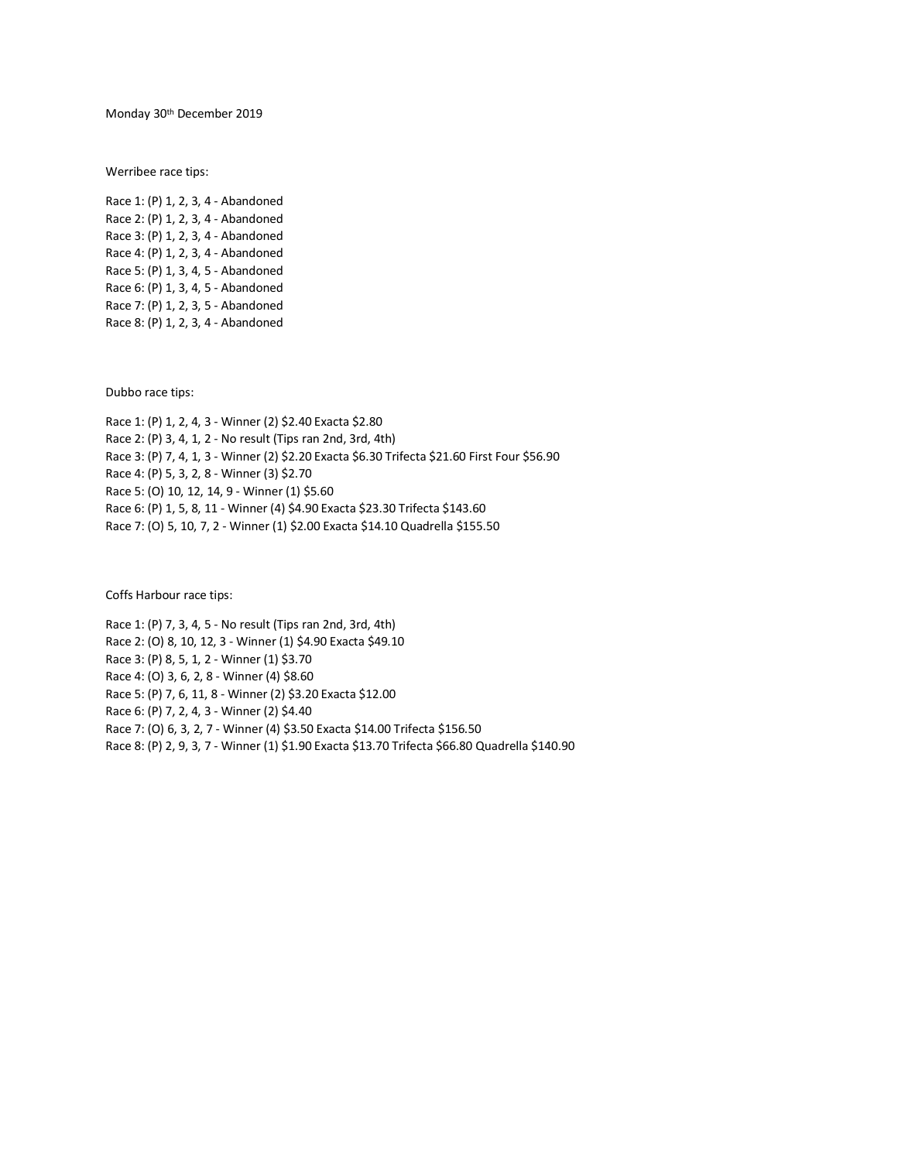Monday 30th December 2019

Werribee race tips:

Race 1: (P) 1, 2, 3, 4 - Abandoned Race 2: (P) 1, 2, 3, 4 - Abandoned Race 3: (P) 1, 2, 3, 4 - Abandoned Race 4: (P) 1, 2, 3, 4 - Abandoned Race 5: (P) 1, 3, 4, 5 - Abandoned Race 6: (P) 1, 3, 4, 5 - Abandoned Race 7: (P) 1, 2, 3, 5 - Abandoned Race 8: (P) 1, 2, 3, 4 - Abandoned

Dubbo race tips:

Race 1: (P) 1, 2, 4, 3 - Winner (2) \$2.40 Exacta \$2.80 Race 2: (P) 3, 4, 1, 2 - No result (Tips ran 2nd, 3rd, 4th) Race 3: (P) 7, 4, 1, 3 - Winner (2) \$2.20 Exacta \$6.30 Trifecta \$21.60 First Four \$56.90 Race 4: (P) 5, 3, 2, 8 - Winner (3) \$2.70 Race 5: (O) 10, 12, 14, 9 - Winner (1) \$5.60 Race 6: (P) 1, 5, 8, 11 - Winner (4) \$4.90 Exacta \$23.30 Trifecta \$143.60 Race 7: (O) 5, 10, 7, 2 - Winner (1) \$2.00 Exacta \$14.10 Quadrella \$155.50

Coffs Harbour race tips:

Race 1: (P) 7, 3, 4, 5 - No result (Tips ran 2nd, 3rd, 4th) Race 2: (O) 8, 10, 12, 3 - Winner (1) \$4.90 Exacta \$49.10 Race 3: (P) 8, 5, 1, 2 - Winner (1) \$3.70 Race 4: (O) 3, 6, 2, 8 - Winner (4) \$8.60 Race 5: (P) 7, 6, 11, 8 - Winner (2) \$3.20 Exacta \$12.00 Race 6: (P) 7, 2, 4, 3 - Winner (2) \$4.40 Race 7: (O) 6, 3, 2, 7 - Winner (4) \$3.50 Exacta \$14.00 Trifecta \$156.50 Race 8: (P) 2, 9, 3, 7 - Winner (1) \$1.90 Exacta \$13.70 Trifecta \$66.80 Quadrella \$140.90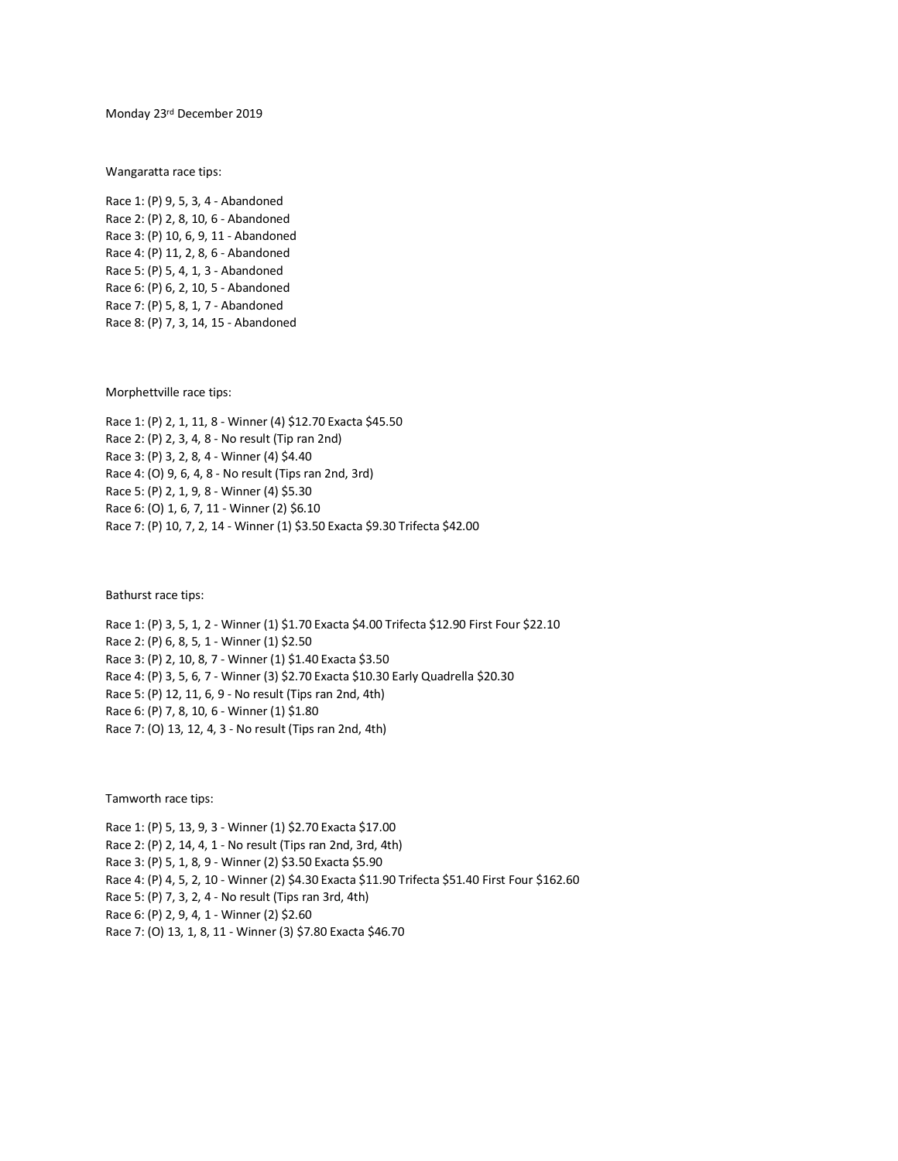Monday 23rd December 2019

Wangaratta race tips:

Race 1: (P) 9, 5, 3, 4 - Abandoned Race 2: (P) 2, 8, 10, 6 - Abandoned Race 3: (P) 10, 6, 9, 11 - Abandoned Race 4: (P) 11, 2, 8, 6 - Abandoned Race 5: (P) 5, 4, 1, 3 - Abandoned Race 6: (P) 6, 2, 10, 5 - Abandoned Race 7: (P) 5, 8, 1, 7 - Abandoned Race 8: (P) 7, 3, 14, 15 - Abandoned

Morphettville race tips:

Race 1: (P) 2, 1, 11, 8 - Winner (4) \$12.70 Exacta \$45.50 Race 2: (P) 2, 3, 4, 8 - No result (Tip ran 2nd) Race 3: (P) 3, 2, 8, 4 - Winner (4) \$4.40 Race 4: (O) 9, 6, 4, 8 - No result (Tips ran 2nd, 3rd) Race 5: (P) 2, 1, 9, 8 - Winner (4) \$5.30 Race 6: (O) 1, 6, 7, 11 - Winner (2) \$6.10 Race 7: (P) 10, 7, 2, 14 - Winner (1) \$3.50 Exacta \$9.30 Trifecta \$42.00

Bathurst race tips:

Race 1: (P) 3, 5, 1, 2 - Winner (1) \$1.70 Exacta \$4.00 Trifecta \$12.90 First Four \$22.10 Race 2: (P) 6, 8, 5, 1 - Winner (1) \$2.50 Race 3: (P) 2, 10, 8, 7 - Winner (1) \$1.40 Exacta \$3.50 Race 4: (P) 3, 5, 6, 7 - Winner (3) \$2.70 Exacta \$10.30 Early Quadrella \$20.30 Race 5: (P) 12, 11, 6, 9 - No result (Tips ran 2nd, 4th) Race 6: (P) 7, 8, 10, 6 - Winner (1) \$1.80 Race 7: (O) 13, 12, 4, 3 - No result (Tips ran 2nd, 4th)

Tamworth race tips:

Race 1: (P) 5, 13, 9, 3 - Winner (1) \$2.70 Exacta \$17.00 Race 2: (P) 2, 14, 4, 1 - No result (Tips ran 2nd, 3rd, 4th) Race 3: (P) 5, 1, 8, 9 - Winner (2) \$3.50 Exacta \$5.90 Race 4: (P) 4, 5, 2, 10 - Winner (2) \$4.30 Exacta \$11.90 Trifecta \$51.40 First Four \$162.60 Race 5: (P) 7, 3, 2, 4 - No result (Tips ran 3rd, 4th) Race 6: (P) 2, 9, 4, 1 - Winner (2) \$2.60 Race 7: (O) 13, 1, 8, 11 - Winner (3) \$7.80 Exacta \$46.70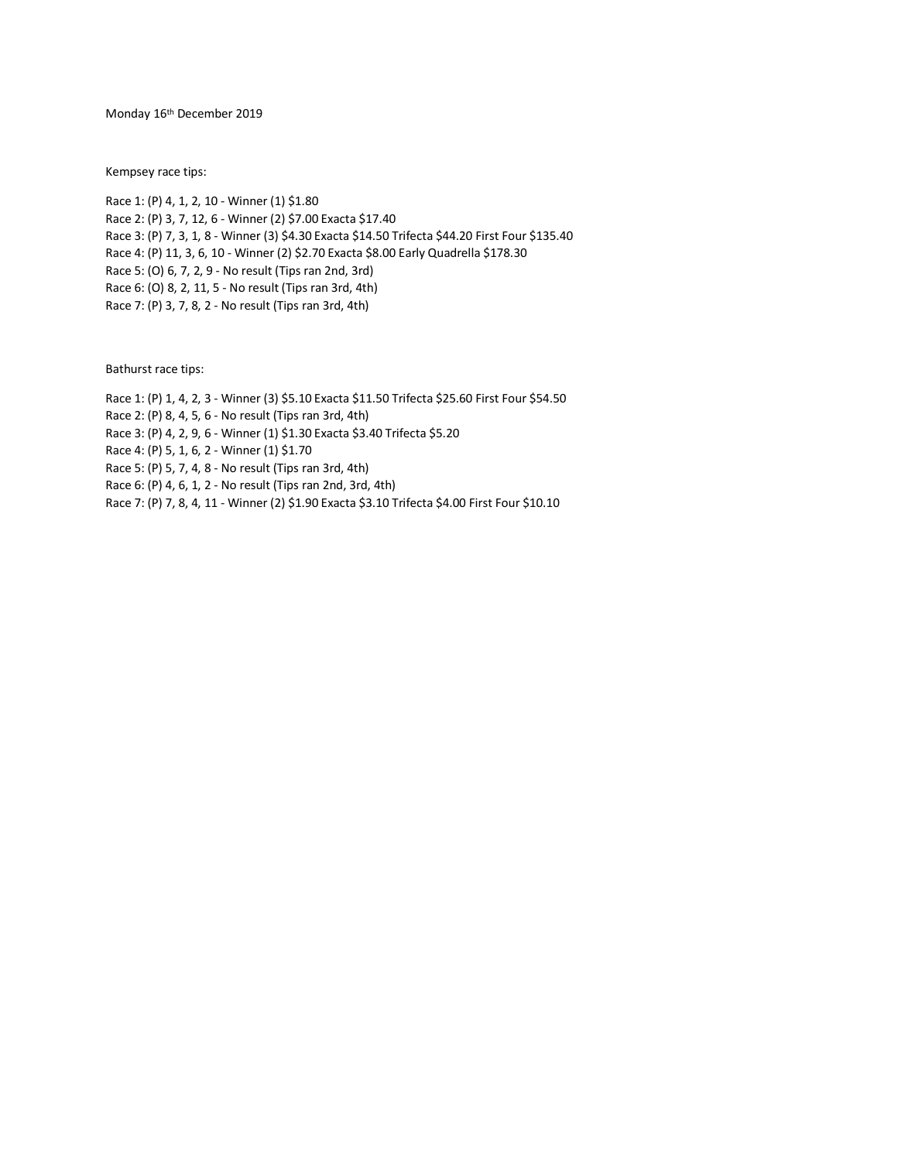Monday 16th December 2019

Kempsey race tips:

Race 1: (P) 4, 1, 2, 10 - Winner (1) \$1.80 Race 2: (P) 3, 7, 12, 6 - Winner (2) \$7.00 Exacta \$17.40 Race 3: (P) 7, 3, 1, 8 - Winner (3) \$4.30 Exacta \$14.50 Trifecta \$44.20 First Four \$135.40 Race 4: (P) 11, 3, 6, 10 - Winner (2) \$2.70 Exacta \$8.00 Early Quadrella \$178.30 Race 5: (O) 6, 7, 2, 9 - No result (Tips ran 2nd, 3rd) Race 6: (O) 8, 2, 11, 5 - No result (Tips ran 3rd, 4th) Race 7: (P) 3, 7, 8, 2 - No result (Tips ran 3rd, 4th)

Bathurst race tips:

Race 1: (P) 1, 4, 2, 3 - Winner (3) \$5.10 Exacta \$11.50 Trifecta \$25.60 First Four \$54.50

Race 2: (P) 8, 4, 5, 6 - No result (Tips ran 3rd, 4th)

Race 3: (P) 4, 2, 9, 6 - Winner (1) \$1.30 Exacta \$3.40 Trifecta \$5.20

Race 4: (P) 5, 1, 6, 2 - Winner (1) \$1.70

Race 5: (P) 5, 7, 4, 8 - No result (Tips ran 3rd, 4th)

Race 6: (P) 4, 6, 1, 2 - No result (Tips ran 2nd, 3rd, 4th)

Race 7: (P) 7, 8, 4, 11 - Winner (2) \$1.90 Exacta \$3.10 Trifecta \$4.00 First Four \$10.10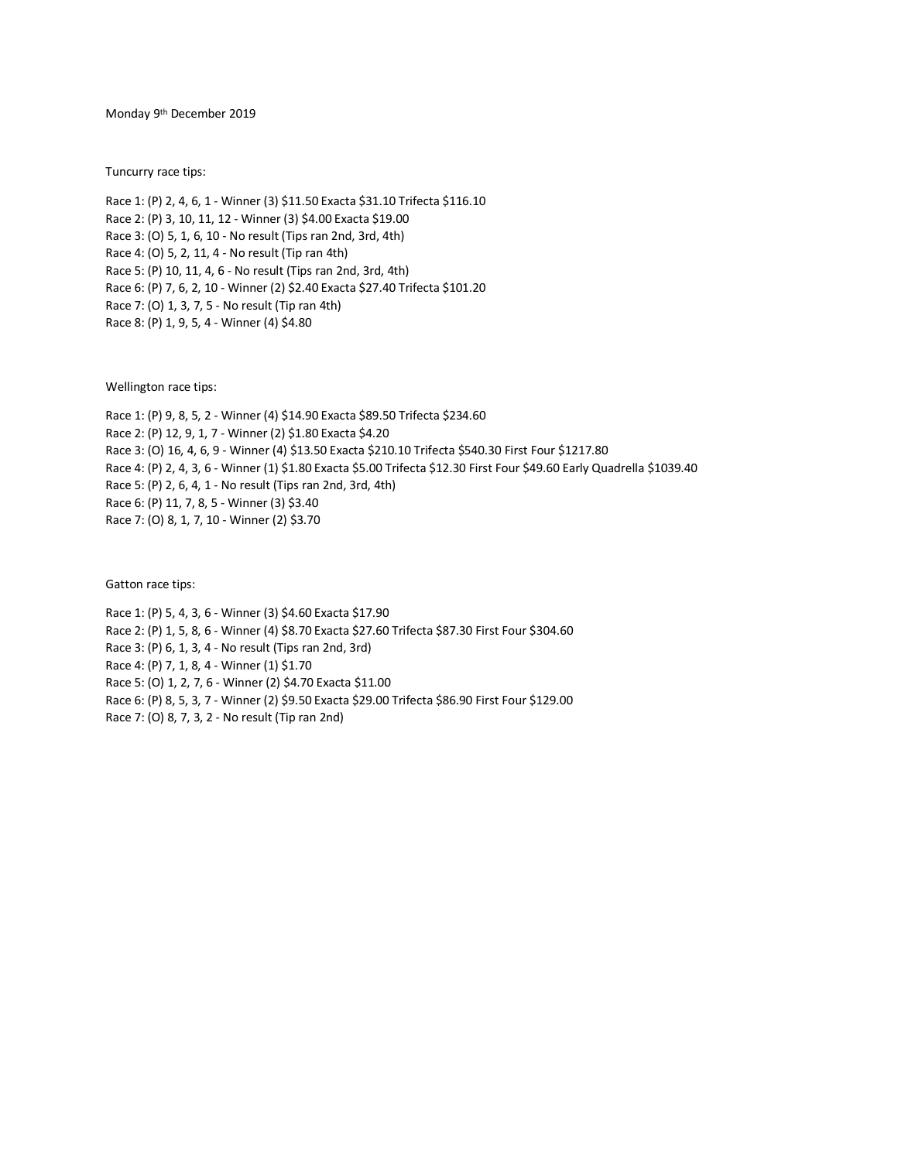Monday 9<sup>th</sup> December 2019

Tuncurry race tips:

Race 1: (P) 2, 4, 6, 1 - Winner (3) \$11.50 Exacta \$31.10 Trifecta \$116.10 Race 2: (P) 3, 10, 11, 12 - Winner (3) \$4.00 Exacta \$19.00 Race 3: (O) 5, 1, 6, 10 - No result (Tips ran 2nd, 3rd, 4th) Race 4: (O) 5, 2, 11, 4 - No result (Tip ran 4th) Race 5: (P) 10, 11, 4, 6 - No result (Tips ran 2nd, 3rd, 4th) Race 6: (P) 7, 6, 2, 10 - Winner (2) \$2.40 Exacta \$27.40 Trifecta \$101.20 Race 7: (O) 1, 3, 7, 5 - No result (Tip ran 4th) Race 8: (P) 1, 9, 5, 4 - Winner (4) \$4.80

Wellington race tips:

Race 1: (P) 9, 8, 5, 2 - Winner (4) \$14.90 Exacta \$89.50 Trifecta \$234.60 Race 2: (P) 12, 9, 1, 7 - Winner (2) \$1.80 Exacta \$4.20 Race 3: (O) 16, 4, 6, 9 - Winner (4) \$13.50 Exacta \$210.10 Trifecta \$540.30 First Four \$1217.80 Race 4: (P) 2, 4, 3, 6 - Winner (1) \$1.80 Exacta \$5.00 Trifecta \$12.30 First Four \$49.60 Early Quadrella \$1039.40 Race 5: (P) 2, 6, 4, 1 - No result (Tips ran 2nd, 3rd, 4th) Race 6: (P) 11, 7, 8, 5 - Winner (3) \$3.40 Race 7: (O) 8, 1, 7, 10 - Winner (2) \$3.70

Gatton race tips:

Race 1: (P) 5, 4, 3, 6 - Winner (3) \$4.60 Exacta \$17.90 Race 2: (P) 1, 5, 8, 6 - Winner (4) \$8.70 Exacta \$27.60 Trifecta \$87.30 First Four \$304.60 Race 3: (P) 6, 1, 3, 4 - No result (Tips ran 2nd, 3rd) Race 4: (P) 7, 1, 8, 4 - Winner (1) \$1.70 Race 5: (O) 1, 2, 7, 6 - Winner (2) \$4.70 Exacta \$11.00 Race 6: (P) 8, 5, 3, 7 - Winner (2) \$9.50 Exacta \$29.00 Trifecta \$86.90 First Four \$129.00 Race 7: (O) 8, 7, 3, 2 - No result (Tip ran 2nd)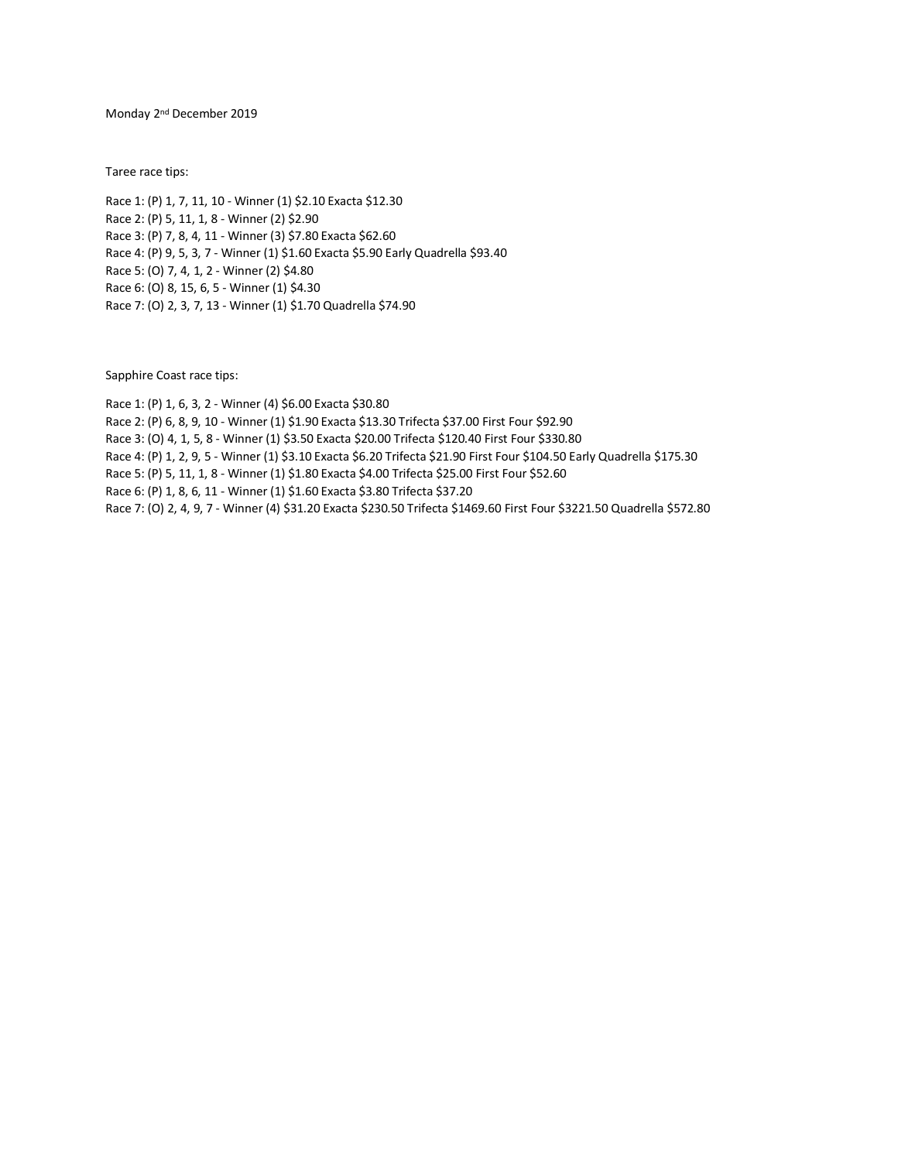Monday 2<sup>nd</sup> December 2019

Taree race tips:

Race 1: (P) 1, 7, 11, 10 - Winner (1) \$2.10 Exacta \$12.30 Race 2: (P) 5, 11, 1, 8 - Winner (2) \$2.90 Race 3: (P) 7, 8, 4, 11 - Winner (3) \$7.80 Exacta \$62.60 Race 4: (P) 9, 5, 3, 7 - Winner (1) \$1.60 Exacta \$5.90 Early Quadrella \$93.40 Race 5: (O) 7, 4, 1, 2 - Winner (2) \$4.80 Race 6: (O) 8, 15, 6, 5 - Winner (1) \$4.30 Race 7: (O) 2, 3, 7, 13 - Winner (1) \$1.70 Quadrella \$74.90

Sapphire Coast race tips:

Race 1: (P) 1, 6, 3, 2 - Winner (4) \$6.00 Exacta \$30.80 Race 2: (P) 6, 8, 9, 10 - Winner (1) \$1.90 Exacta \$13.30 Trifecta \$37.00 First Four \$92.90 Race 3: (O) 4, 1, 5, 8 - Winner (1) \$3.50 Exacta \$20.00 Trifecta \$120.40 First Four \$330.80 Race 4: (P) 1, 2, 9, 5 - Winner (1) \$3.10 Exacta \$6.20 Trifecta \$21.90 First Four \$104.50 Early Quadrella \$175.30 Race 5: (P) 5, 11, 1, 8 - Winner (1) \$1.80 Exacta \$4.00 Trifecta \$25.00 First Four \$52.60 Race 6: (P) 1, 8, 6, 11 - Winner (1) \$1.60 Exacta \$3.80 Trifecta \$37.20 Race 7: (O) 2, 4, 9, 7 - Winner (4) \$31.20 Exacta \$230.50 Trifecta \$1469.60 First Four \$3221.50 Quadrella \$572.80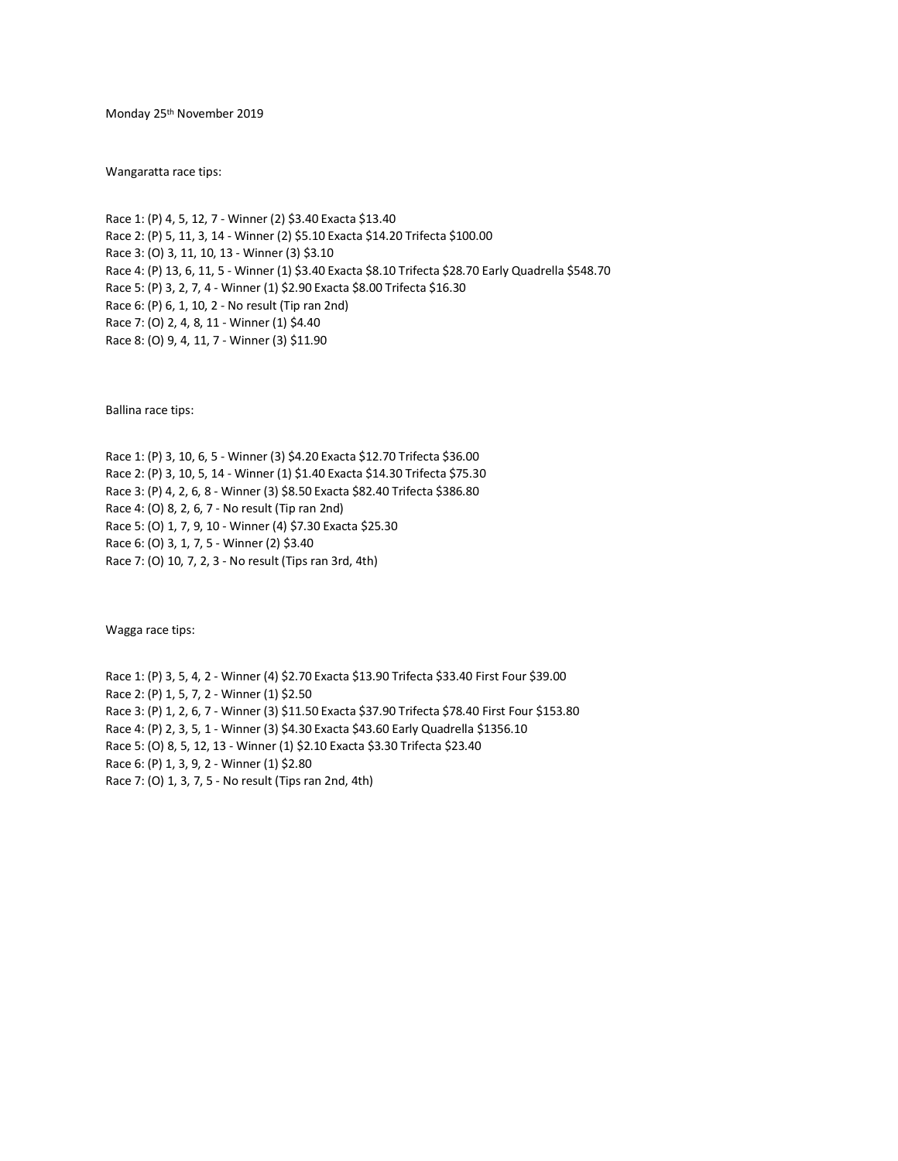Monday 25th November 2019

Wangaratta race tips:

Race 1: (P) 4, 5, 12, 7 - Winner (2) \$3.40 Exacta \$13.40 Race 2: (P) 5, 11, 3, 14 - Winner (2) \$5.10 Exacta \$14.20 Trifecta \$100.00 Race 3: (O) 3, 11, 10, 13 - Winner (3) \$3.10 Race 4: (P) 13, 6, 11, 5 - Winner (1) \$3.40 Exacta \$8.10 Trifecta \$28.70 Early Quadrella \$548.70 Race 5: (P) 3, 2, 7, 4 - Winner (1) \$2.90 Exacta \$8.00 Trifecta \$16.30 Race 6: (P) 6, 1, 10, 2 - No result (Tip ran 2nd) Race 7: (O) 2, 4, 8, 11 - Winner (1) \$4.40 Race 8: (O) 9, 4, 11, 7 - Winner (3) \$11.90

Ballina race tips:

Race 1: (P) 3, 10, 6, 5 - Winner (3) \$4.20 Exacta \$12.70 Trifecta \$36.00 Race 2: (P) 3, 10, 5, 14 - Winner (1) \$1.40 Exacta \$14.30 Trifecta \$75.30 Race 3: (P) 4, 2, 6, 8 - Winner (3) \$8.50 Exacta \$82.40 Trifecta \$386.80 Race 4: (O) 8, 2, 6, 7 - No result (Tip ran 2nd) Race 5: (O) 1, 7, 9, 10 - Winner (4) \$7.30 Exacta \$25.30 Race 6: (O) 3, 1, 7, 5 - Winner (2) \$3.40 Race 7: (O) 10, 7, 2, 3 - No result (Tips ran 3rd, 4th)

Wagga race tips:

Race 1: (P) 3, 5, 4, 2 - Winner (4) \$2.70 Exacta \$13.90 Trifecta \$33.40 First Four \$39.00 Race 2: (P) 1, 5, 7, 2 - Winner (1) \$2.50 Race 3: (P) 1, 2, 6, 7 - Winner (3) \$11.50 Exacta \$37.90 Trifecta \$78.40 First Four \$153.80 Race 4: (P) 2, 3, 5, 1 - Winner (3) \$4.30 Exacta \$43.60 Early Quadrella \$1356.10 Race 5: (O) 8, 5, 12, 13 - Winner (1) \$2.10 Exacta \$3.30 Trifecta \$23.40 Race 6: (P) 1, 3, 9, 2 - Winner (1) \$2.80 Race 7: (O) 1, 3, 7, 5 - No result (Tips ran 2nd, 4th)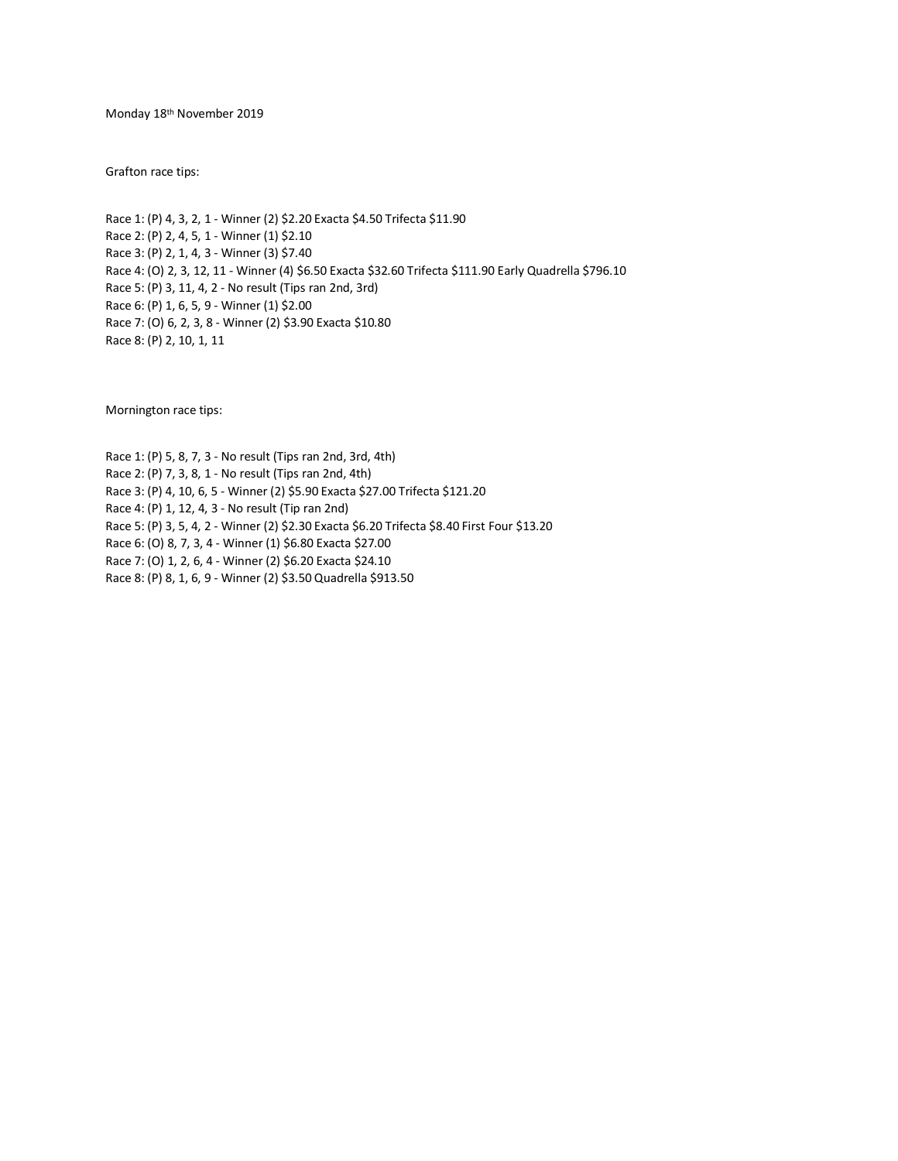Monday 18th November 2019

Grafton race tips:

Race 1: (P) 4, 3, 2, 1 - Winner (2) \$2.20 Exacta \$4.50 Trifecta \$11.90 Race 2: (P) 2, 4, 5, 1 - Winner (1) \$2.10 Race 3: (P) 2, 1, 4, 3 - Winner (3) \$7.40 Race 4: (O) 2, 3, 12, 11 - Winner (4) \$6.50 Exacta \$32.60 Trifecta \$111.90 Early Quadrella \$796.10 Race 5: (P) 3, 11, 4, 2 - No result (Tips ran 2nd, 3rd) Race 6: (P) 1, 6, 5, 9 - Winner (1) \$2.00 Race 7: (O) 6, 2, 3, 8 - Winner (2) \$3.90 Exacta \$10.80 Race 8: (P) 2, 10, 1, 11

Mornington race tips:

Race 1: (P) 5, 8, 7, 3 - No result (Tips ran 2nd, 3rd, 4th) Race 2: (P) 7, 3, 8, 1 - No result (Tips ran 2nd, 4th) Race 3: (P) 4, 10, 6, 5 - Winner (2) \$5.90 Exacta \$27.00 Trifecta \$121.20 Race 4: (P) 1, 12, 4, 3 - No result (Tip ran 2nd) Race 5: (P) 3, 5, 4, 2 - Winner (2) \$2.30 Exacta \$6.20 Trifecta \$8.40 First Four \$13.20 Race 6: (O) 8, 7, 3, 4 - Winner (1) \$6.80 Exacta \$27.00 Race 7: (O) 1, 2, 6, 4 - Winner (2) \$6.20 Exacta \$24.10 Race 8: (P) 8, 1, 6, 9 - Winner (2) \$3.50 Quadrella \$913.50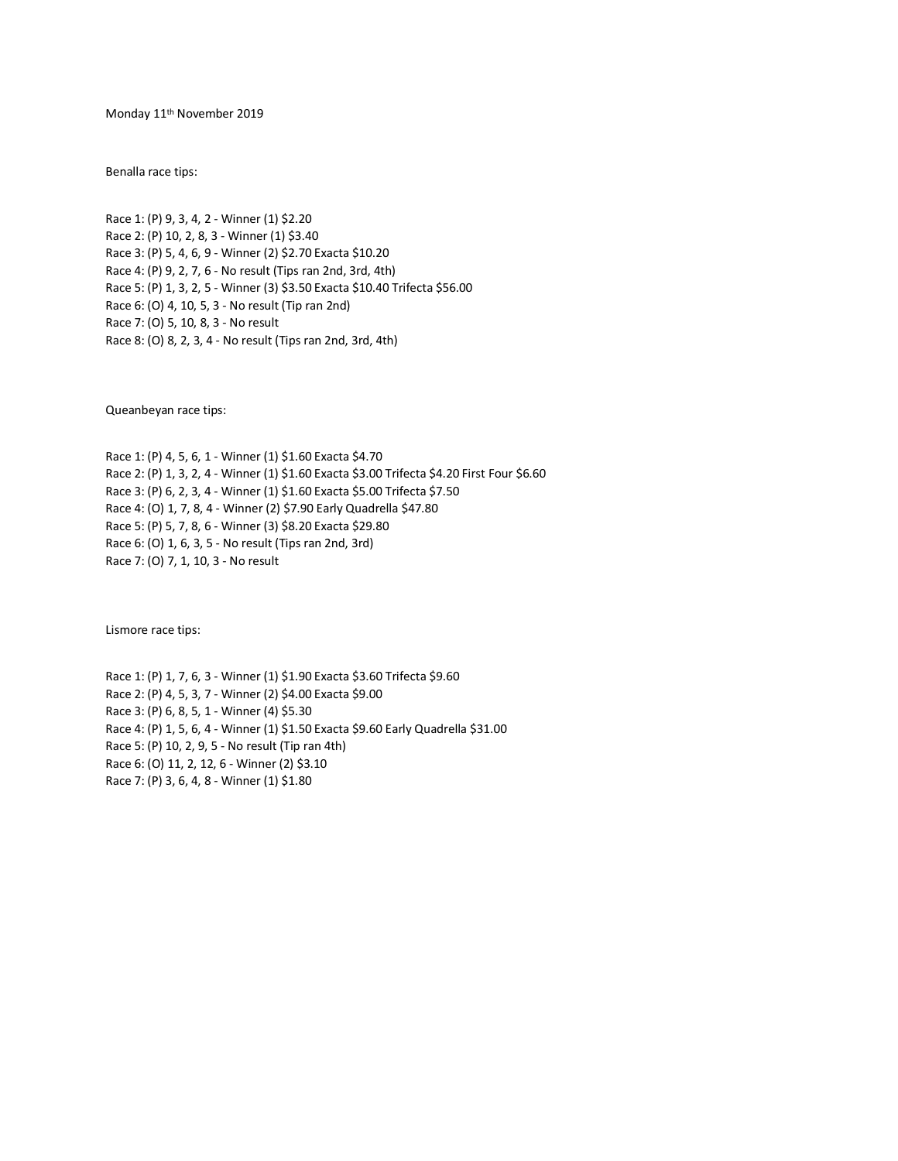Monday 11th November 2019

Benalla race tips:

Race 1: (P) 9, 3, 4, 2 - Winner (1) \$2.20 Race 2: (P) 10, 2, 8, 3 - Winner (1) \$3.40 Race 3: (P) 5, 4, 6, 9 - Winner (2) \$2.70 Exacta \$10.20 Race 4: (P) 9, 2, 7, 6 - No result (Tips ran 2nd, 3rd, 4th) Race 5: (P) 1, 3, 2, 5 - Winner (3) \$3.50 Exacta \$10.40 Trifecta \$56.00 Race 6: (O) 4, 10, 5, 3 - No result (Tip ran 2nd) Race 7: (O) 5, 10, 8, 3 - No result Race 8: (O) 8, 2, 3, 4 - No result (Tips ran 2nd, 3rd, 4th)

Queanbeyan race tips:

Race 1: (P) 4, 5, 6, 1 - Winner (1) \$1.60 Exacta \$4.70 Race 2: (P) 1, 3, 2, 4 - Winner (1) \$1.60 Exacta \$3.00 Trifecta \$4.20 First Four \$6.60 Race 3: (P) 6, 2, 3, 4 - Winner (1) \$1.60 Exacta \$5.00 Trifecta \$7.50 Race 4: (O) 1, 7, 8, 4 - Winner (2) \$7.90 Early Quadrella \$47.80 Race 5: (P) 5, 7, 8, 6 - Winner (3) \$8.20 Exacta \$29.80 Race 6: (O) 1, 6, 3, 5 - No result (Tips ran 2nd, 3rd) Race 7: (O) 7, 1, 10, 3 - No result

Lismore race tips:

Race 1: (P) 1, 7, 6, 3 - Winner (1) \$1.90 Exacta \$3.60 Trifecta \$9.60 Race 2: (P) 4, 5, 3, 7 - Winner (2) \$4.00 Exacta \$9.00 Race 3: (P) 6, 8, 5, 1 - Winner (4) \$5.30 Race 4: (P) 1, 5, 6, 4 - Winner (1) \$1.50 Exacta \$9.60 Early Quadrella \$31.00 Race 5: (P) 10, 2, 9, 5 - No result (Tip ran 4th) Race 6: (O) 11, 2, 12, 6 - Winner (2) \$3.10 Race 7: (P) 3, 6, 4, 8 - Winner (1) \$1.80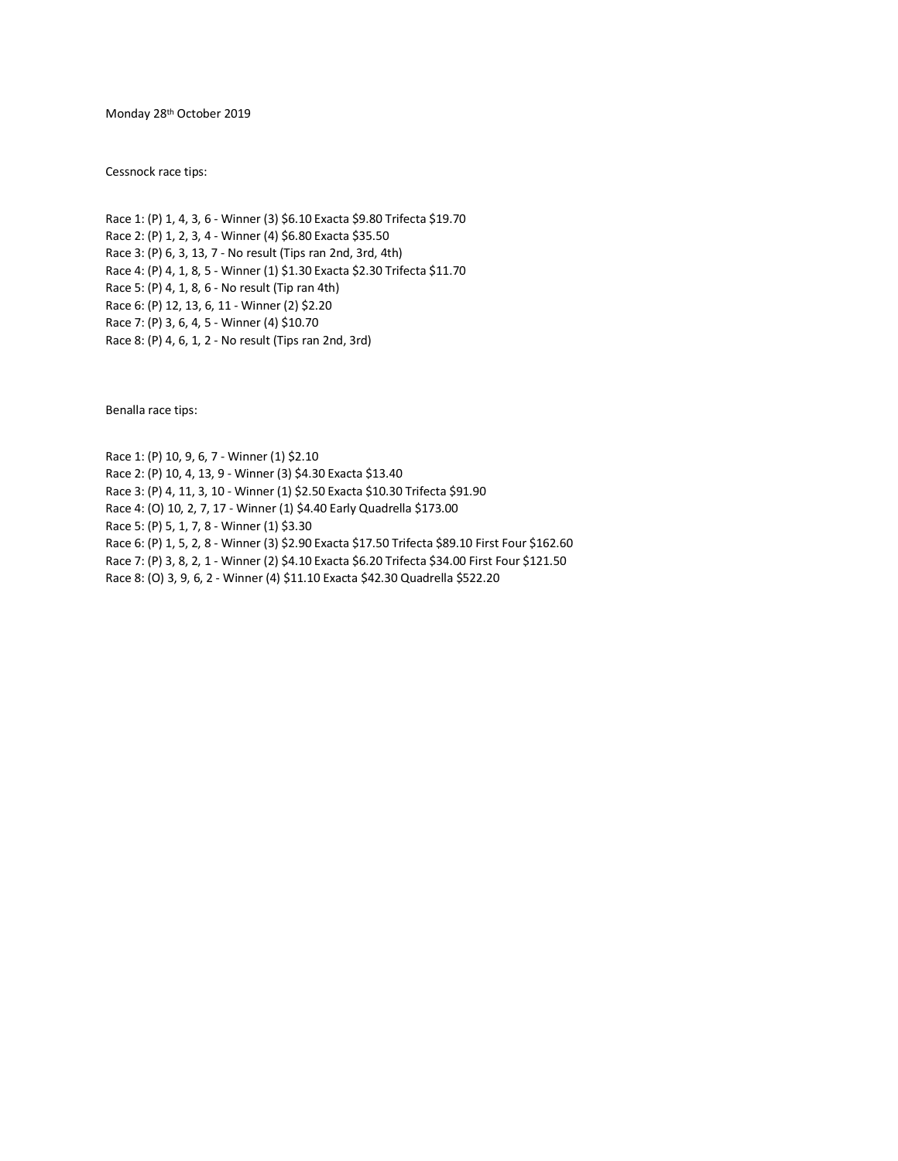Monday 28th October 2019

Cessnock race tips:

Race 1: (P) 1, 4, 3, 6 - Winner (3) \$6.10 Exacta \$9.80 Trifecta \$19.70 Race 2: (P) 1, 2, 3, 4 - Winner (4) \$6.80 Exacta \$35.50 Race 3: (P) 6, 3, 13, 7 - No result (Tips ran 2nd, 3rd, 4th) Race 4: (P) 4, 1, 8, 5 - Winner (1) \$1.30 Exacta \$2.30 Trifecta \$11.70 Race 5: (P) 4, 1, 8, 6 - No result (Tip ran 4th) Race 6: (P) 12, 13, 6, 11 - Winner (2) \$2.20 Race 7: (P) 3, 6, 4, 5 - Winner (4) \$10.70 Race 8: (P) 4, 6, 1, 2 - No result (Tips ran 2nd, 3rd)

Benalla race tips:

Race 1: (P) 10, 9, 6, 7 - Winner (1) \$2.10 Race 2: (P) 10, 4, 13, 9 - Winner (3) \$4.30 Exacta \$13.40 Race 3: (P) 4, 11, 3, 10 - Winner (1) \$2.50 Exacta \$10.30 Trifecta \$91.90 Race 4: (O) 10, 2, 7, 17 - Winner (1) \$4.40 Early Quadrella \$173.00 Race 5: (P) 5, 1, 7, 8 - Winner (1) \$3.30 Race 6: (P) 1, 5, 2, 8 - Winner (3) \$2.90 Exacta \$17.50 Trifecta \$89.10 First Four \$162.60 Race 7: (P) 3, 8, 2, 1 - Winner (2) \$4.10 Exacta \$6.20 Trifecta \$34.00 First Four \$121.50 Race 8: (O) 3, 9, 6, 2 - Winner (4) \$11.10 Exacta \$42.30 Quadrella \$522.20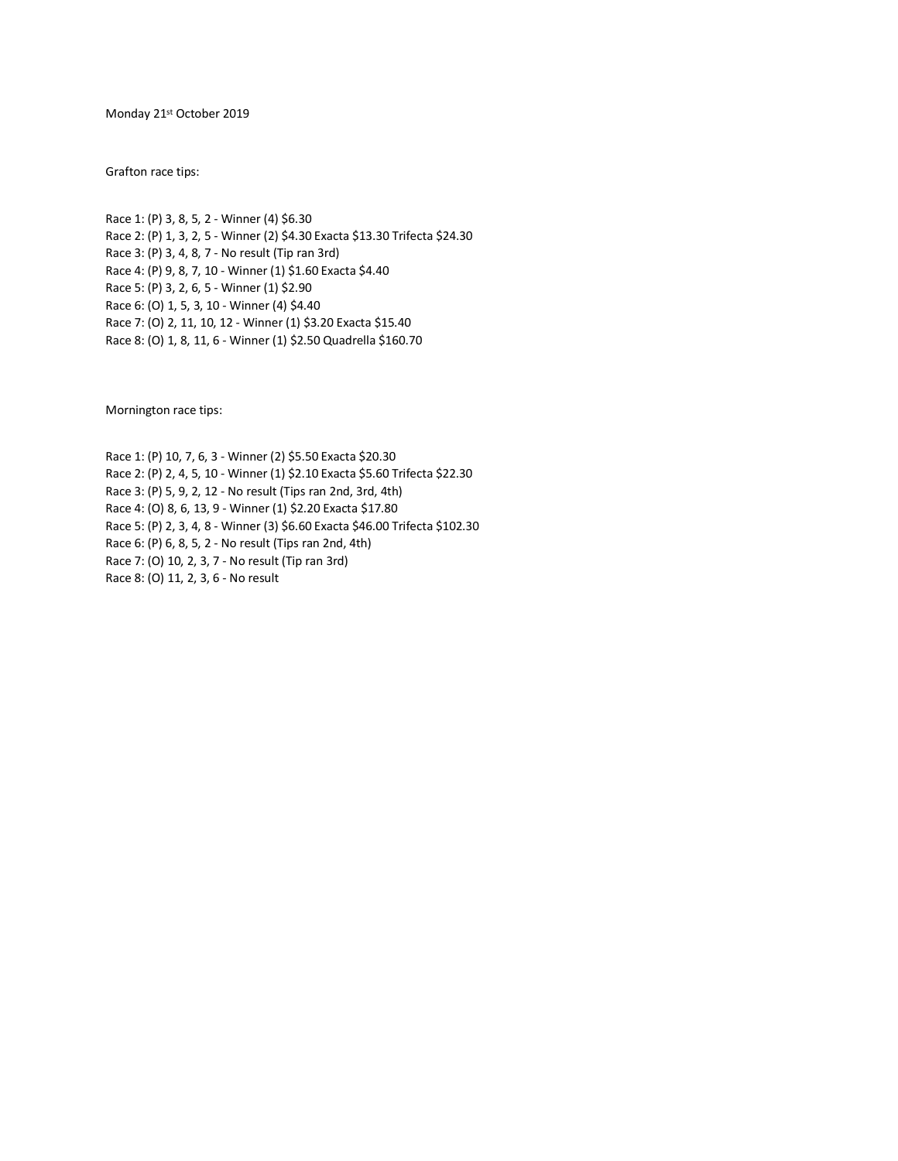Monday 21st October 2019

Grafton race tips:

Race 1: (P) 3, 8, 5, 2 - Winner (4) \$6.30 Race 2: (P) 1, 3, 2, 5 - Winner (2) \$4.30 Exacta \$13.30 Trifecta \$24.30 Race 3: (P) 3, 4, 8, 7 - No result (Tip ran 3rd) Race 4: (P) 9, 8, 7, 10 - Winner (1) \$1.60 Exacta \$4.40 Race 5: (P) 3, 2, 6, 5 - Winner (1) \$2.90 Race 6: (O) 1, 5, 3, 10 - Winner (4) \$4.40 Race 7: (O) 2, 11, 10, 12 - Winner (1) \$3.20 Exacta \$15.40 Race 8: (O) 1, 8, 11, 6 - Winner (1) \$2.50 Quadrella \$160.70

Mornington race tips:

Race 1: (P) 10, 7, 6, 3 - Winner (2) \$5.50 Exacta \$20.30 Race 2: (P) 2, 4, 5, 10 - Winner (1) \$2.10 Exacta \$5.60 Trifecta \$22.30 Race 3: (P) 5, 9, 2, 12 - No result (Tips ran 2nd, 3rd, 4th) Race 4: (O) 8, 6, 13, 9 - Winner (1) \$2.20 Exacta \$17.80 Race 5: (P) 2, 3, 4, 8 - Winner (3) \$6.60 Exacta \$46.00 Trifecta \$102.30 Race 6: (P) 6, 8, 5, 2 - No result (Tips ran 2nd, 4th) Race 7: (O) 10, 2, 3, 7 - No result (Tip ran 3rd) Race 8: (O) 11, 2, 3, 6 - No result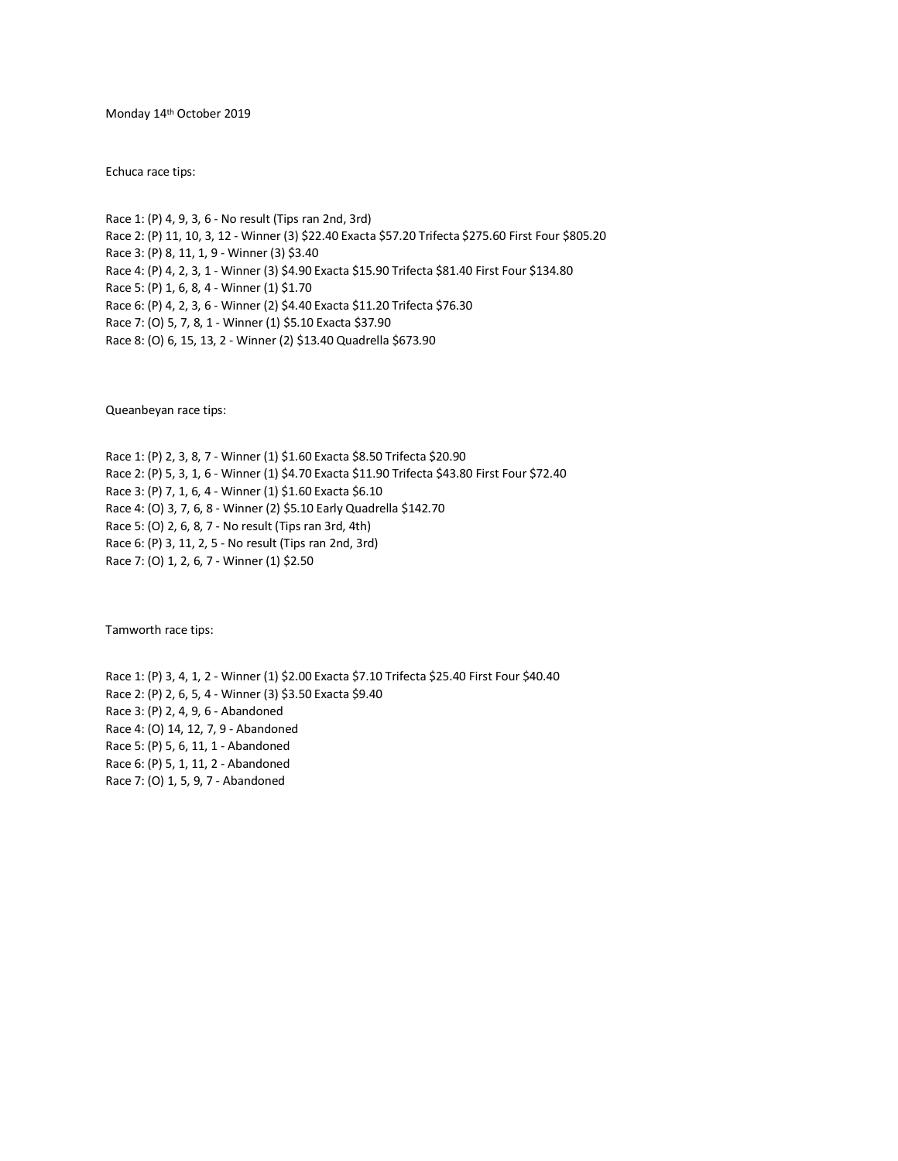Monday 14th October 2019

Echuca race tips:

Race 1: (P) 4, 9, 3, 6 - No result (Tips ran 2nd, 3rd) Race 2: (P) 11, 10, 3, 12 - Winner (3) \$22.40 Exacta \$57.20 Trifecta \$275.60 First Four \$805.20 Race 3: (P) 8, 11, 1, 9 - Winner (3) \$3.40 Race 4: (P) 4, 2, 3, 1 - Winner (3) \$4.90 Exacta \$15.90 Trifecta \$81.40 First Four \$134.80 Race 5: (P) 1, 6, 8, 4 - Winner (1) \$1.70 Race 6: (P) 4, 2, 3, 6 - Winner (2) \$4.40 Exacta \$11.20 Trifecta \$76.30 Race 7: (O) 5, 7, 8, 1 - Winner (1) \$5.10 Exacta \$37.90 Race 8: (O) 6, 15, 13, 2 - Winner (2) \$13.40 Quadrella \$673.90

Queanbeyan race tips:

Race 1: (P) 2, 3, 8, 7 - Winner (1) \$1.60 Exacta \$8.50 Trifecta \$20.90 Race 2: (P) 5, 3, 1, 6 - Winner (1) \$4.70 Exacta \$11.90 Trifecta \$43.80 First Four \$72.40 Race 3: (P) 7, 1, 6, 4 - Winner (1) \$1.60 Exacta \$6.10 Race 4: (O) 3, 7, 6, 8 - Winner (2) \$5.10 Early Quadrella \$142.70 Race 5: (O) 2, 6, 8, 7 - No result (Tips ran 3rd, 4th) Race 6: (P) 3, 11, 2, 5 - No result (Tips ran 2nd, 3rd) Race 7: (O) 1, 2, 6, 7 - Winner (1) \$2.50

Tamworth race tips:

Race 1: (P) 3, 4, 1, 2 - Winner (1) \$2.00 Exacta \$7.10 Trifecta \$25.40 First Four \$40.40 Race 2: (P) 2, 6, 5, 4 - Winner (3) \$3.50 Exacta \$9.40 Race 3: (P) 2, 4, 9, 6 - Abandoned Race 4: (O) 14, 12, 7, 9 - Abandoned Race 5: (P) 5, 6, 11, 1 - Abandoned Race 6: (P) 5, 1, 11, 2 - Abandoned Race 7: (O) 1, 5, 9, 7 - Abandoned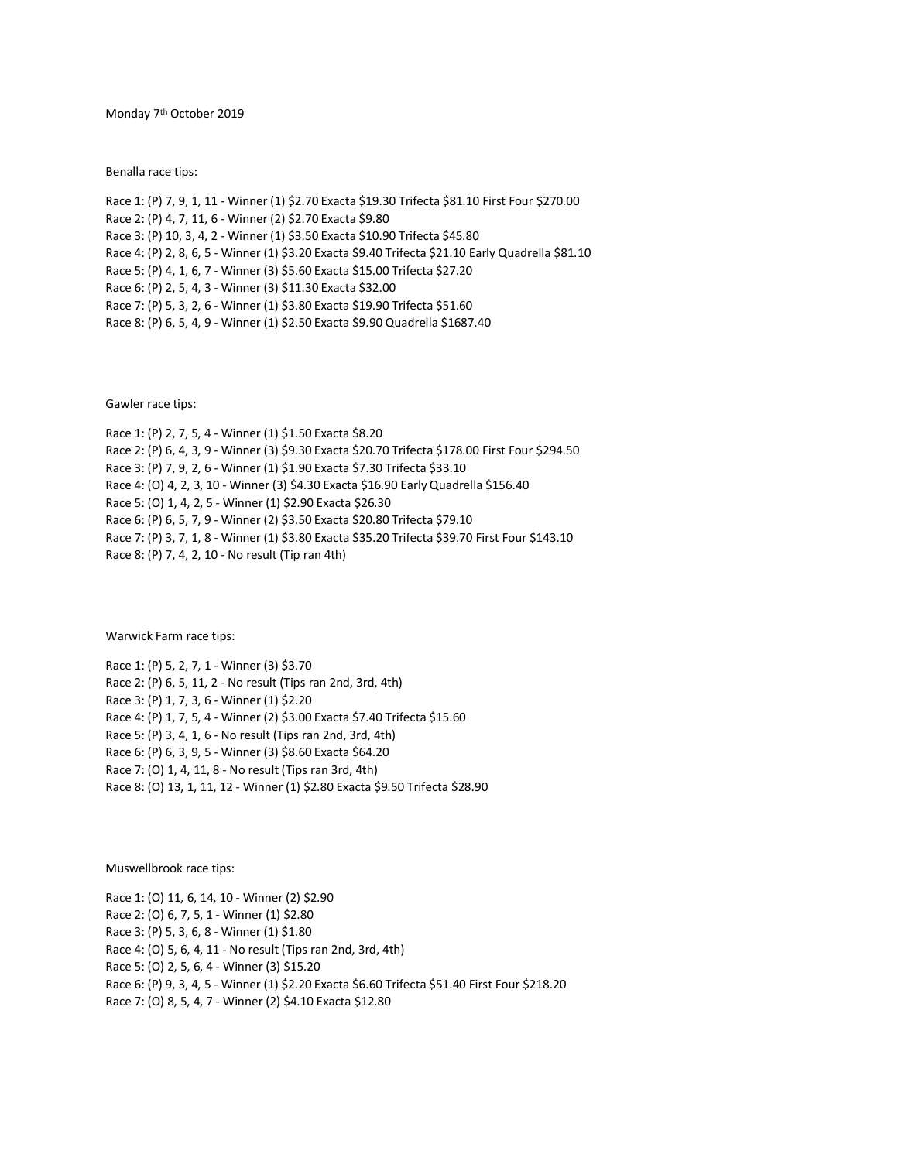Monday 7th October 2019

Benalla race tips:

Race 1: (P) 7, 9, 1, 11 - Winner (1) \$2.70 Exacta \$19.30 Trifecta \$81.10 First Four \$270.00 Race 2: (P) 4, 7, 11, 6 - Winner (2) \$2.70 Exacta \$9.80 Race 3: (P) 10, 3, 4, 2 - Winner (1) \$3.50 Exacta \$10.90 Trifecta \$45.80 Race 4: (P) 2, 8, 6, 5 - Winner (1) \$3.20 Exacta \$9.40 Trifecta \$21.10 Early Quadrella \$81.10 Race 5: (P) 4, 1, 6, 7 - Winner (3) \$5.60 Exacta \$15.00 Trifecta \$27.20 Race 6: (P) 2, 5, 4, 3 - Winner (3) \$11.30 Exacta \$32.00 Race 7: (P) 5, 3, 2, 6 - Winner (1) \$3.80 Exacta \$19.90 Trifecta \$51.60 Race 8: (P) 6, 5, 4, 9 - Winner (1) \$2.50 Exacta \$9.90 Quadrella \$1687.40

Gawler race tips:

Race 1: (P) 2, 7, 5, 4 - Winner (1) \$1.50 Exacta \$8.20 Race 2: (P) 6, 4, 3, 9 - Winner (3) \$9.30 Exacta \$20.70 Trifecta \$178.00 First Four \$294.50 Race 3: (P) 7, 9, 2, 6 - Winner (1) \$1.90 Exacta \$7.30 Trifecta \$33.10 Race 4: (O) 4, 2, 3, 10 - Winner (3) \$4.30 Exacta \$16.90 Early Quadrella \$156.40 Race 5: (O) 1, 4, 2, 5 - Winner (1) \$2.90 Exacta \$26.30 Race 6: (P) 6, 5, 7, 9 - Winner (2) \$3.50 Exacta \$20.80 Trifecta \$79.10 Race 7: (P) 3, 7, 1, 8 - Winner (1) \$3.80 Exacta \$35.20 Trifecta \$39.70 First Four \$143.10 Race 8: (P) 7, 4, 2, 10 - No result (Tip ran 4th)

Warwick Farm race tips:

Race 1: (P) 5, 2, 7, 1 - Winner (3) \$3.70 Race 2: (P) 6, 5, 11, 2 - No result (Tips ran 2nd, 3rd, 4th) Race 3: (P) 1, 7, 3, 6 - Winner (1) \$2.20 Race 4: (P) 1, 7, 5, 4 - Winner (2) \$3.00 Exacta \$7.40 Trifecta \$15.60 Race 5: (P) 3, 4, 1, 6 - No result (Tips ran 2nd, 3rd, 4th) Race 6: (P) 6, 3, 9, 5 - Winner (3) \$8.60 Exacta \$64.20 Race 7: (O) 1, 4, 11, 8 - No result (Tips ran 3rd, 4th) Race 8: (O) 13, 1, 11, 12 - Winner (1) \$2.80 Exacta \$9.50 Trifecta \$28.90

Muswellbrook race tips:

Race 1: (O) 11, 6, 14, 10 - Winner (2) \$2.90 Race 2: (O) 6, 7, 5, 1 - Winner (1) \$2.80 Race 3: (P) 5, 3, 6, 8 - Winner (1) \$1.80 Race 4: (O) 5, 6, 4, 11 - No result (Tips ran 2nd, 3rd, 4th) Race 5: (O) 2, 5, 6, 4 - Winner (3) \$15.20 Race 6: (P) 9, 3, 4, 5 - Winner (1) \$2.20 Exacta \$6.60 Trifecta \$51.40 First Four \$218.20 Race 7: (O) 8, 5, 4, 7 - Winner (2) \$4.10 Exacta \$12.80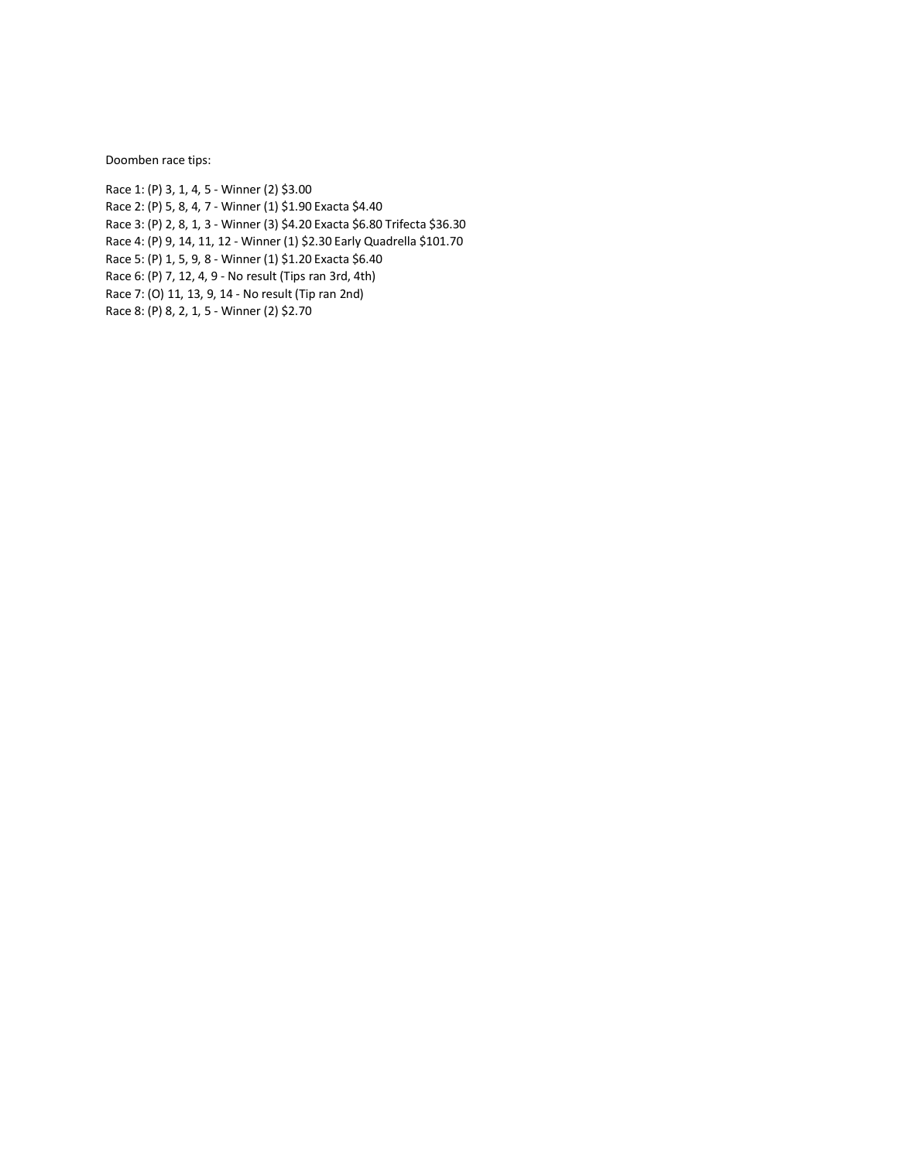Doomben race tips:

Race 1: (P) 3, 1, 4, 5 - Winner (2) \$3.00 Race 2: (P) 5, 8, 4, 7 - Winner (1) \$1.90 Exacta \$4.40 Race 3: (P) 2, 8, 1, 3 - Winner (3) \$4.20 Exacta \$6.80 Trifecta \$36.30 Race 4: (P) 9, 14, 11, 12 - Winner (1) \$2.30 Early Quadrella \$101.70 Race 5: (P) 1, 5, 9, 8 - Winner (1) \$1.20 Exacta \$6.40 Race 6: (P) 7, 12, 4, 9 - No result (Tips ran 3rd, 4th) Race 7: (O) 11, 13, 9, 14 - No result (Tip ran 2nd) Race 8: (P) 8, 2, 1, 5 - Winner (2) \$2.70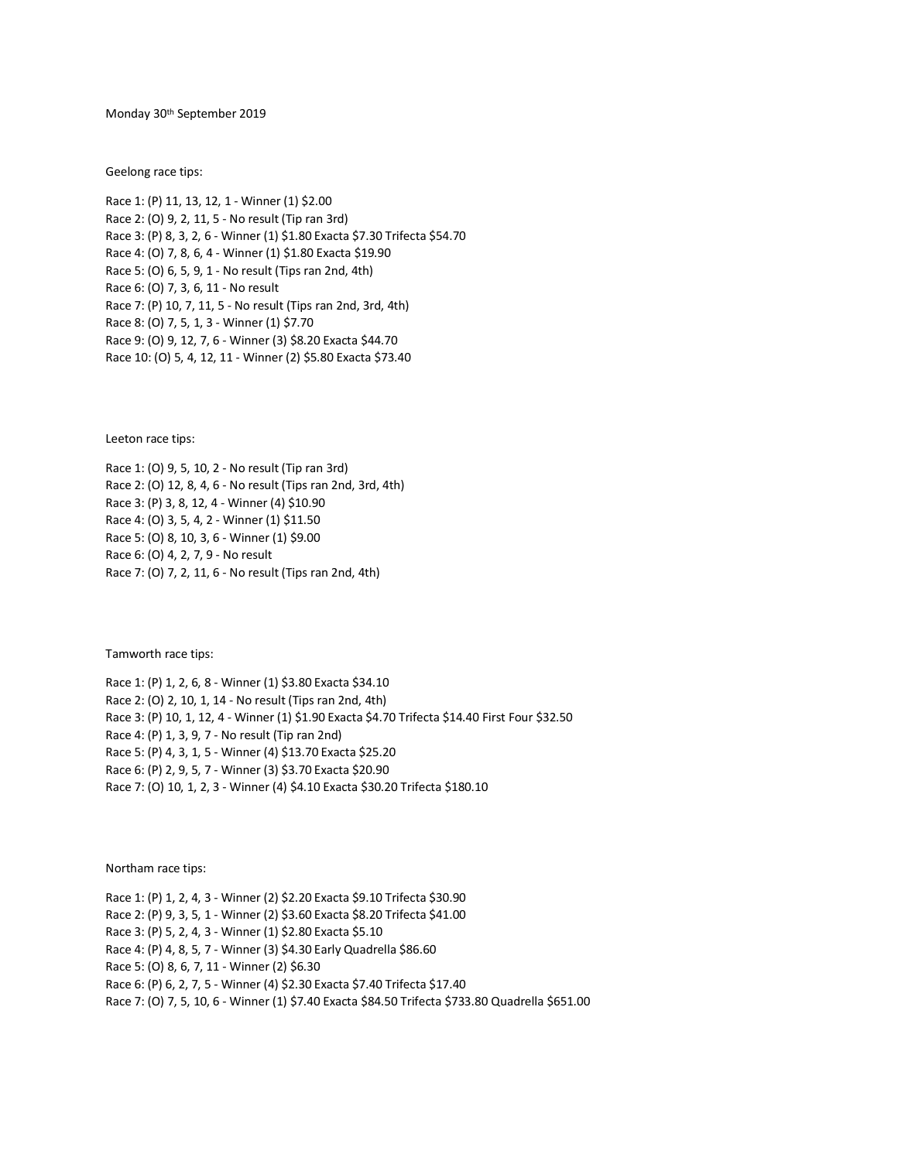Monday 30th September 2019

Geelong race tips:

Race 1: (P) 11, 13, 12, 1 - Winner (1) \$2.00 Race 2: (O) 9, 2, 11, 5 - No result (Tip ran 3rd) Race 3: (P) 8, 3, 2, 6 - Winner (1) \$1.80 Exacta \$7.30 Trifecta \$54.70 Race 4: (O) 7, 8, 6, 4 - Winner (1) \$1.80 Exacta \$19.90 Race 5: (O) 6, 5, 9, 1 - No result (Tips ran 2nd, 4th) Race 6: (O) 7, 3, 6, 11 - No result Race 7: (P) 10, 7, 11, 5 - No result (Tips ran 2nd, 3rd, 4th) Race 8: (O) 7, 5, 1, 3 - Winner (1) \$7.70 Race 9: (O) 9, 12, 7, 6 - Winner (3) \$8.20 Exacta \$44.70 Race 10: (O) 5, 4, 12, 11 - Winner (2) \$5.80 Exacta \$73.40

Leeton race tips:

Race 1: (O) 9, 5, 10, 2 - No result (Tip ran 3rd) Race 2: (O) 12, 8, 4, 6 - No result (Tips ran 2nd, 3rd, 4th) Race 3: (P) 3, 8, 12, 4 - Winner (4) \$10.90 Race 4: (O) 3, 5, 4, 2 - Winner (1) \$11.50 Race 5: (O) 8, 10, 3, 6 - Winner (1) \$9.00 Race 6: (O) 4, 2, 7, 9 - No result Race 7: (O) 7, 2, 11, 6 - No result (Tips ran 2nd, 4th)

Tamworth race tips:

Race 1: (P) 1, 2, 6, 8 - Winner (1) \$3.80 Exacta \$34.10 Race 2: (O) 2, 10, 1, 14 - No result (Tips ran 2nd, 4th) Race 3: (P) 10, 1, 12, 4 - Winner (1) \$1.90 Exacta \$4.70 Trifecta \$14.40 First Four \$32.50 Race 4: (P) 1, 3, 9, 7 - No result (Tip ran 2nd) Race 5: (P) 4, 3, 1, 5 - Winner (4) \$13.70 Exacta \$25.20 Race 6: (P) 2, 9, 5, 7 - Winner (3) \$3.70 Exacta \$20.90 Race 7: (O) 10, 1, 2, 3 - Winner (4) \$4.10 Exacta \$30.20 Trifecta \$180.10

Northam race tips:

Race 1: (P) 1, 2, 4, 3 - Winner (2) \$2.20 Exacta \$9.10 Trifecta \$30.90 Race 2: (P) 9, 3, 5, 1 - Winner (2) \$3.60 Exacta \$8.20 Trifecta \$41.00 Race 3: (P) 5, 2, 4, 3 - Winner (1) \$2.80 Exacta \$5.10 Race 4: (P) 4, 8, 5, 7 - Winner (3) \$4.30 Early Quadrella \$86.60 Race 5: (O) 8, 6, 7, 11 - Winner (2) \$6.30 Race 6: (P) 6, 2, 7, 5 - Winner (4) \$2.30 Exacta \$7.40 Trifecta \$17.40 Race 7: (O) 7, 5, 10, 6 - Winner (1) \$7.40 Exacta \$84.50 Trifecta \$733.80 Quadrella \$651.00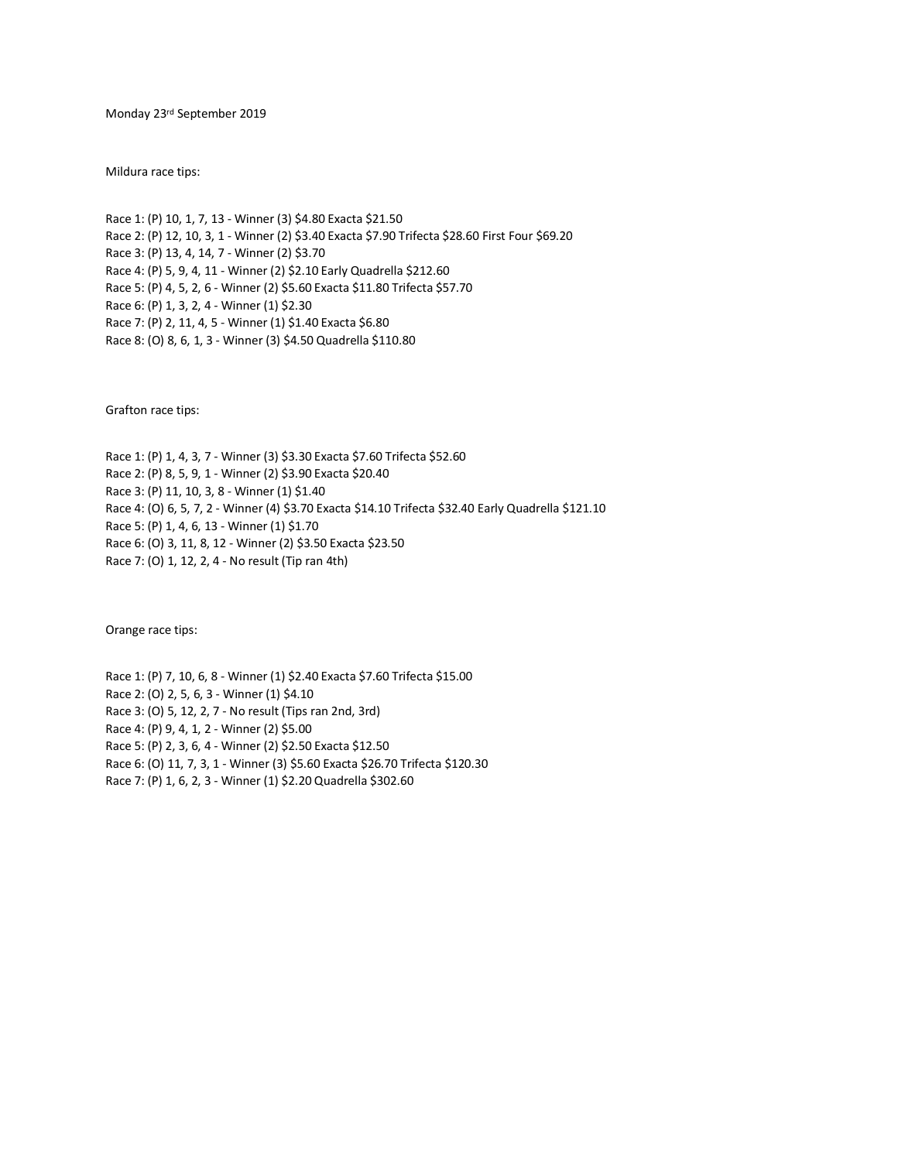Monday 23rd September 2019

Mildura race tips:

Race 1: (P) 10, 1, 7, 13 - Winner (3) \$4.80 Exacta \$21.50 Race 2: (P) 12, 10, 3, 1 - Winner (2) \$3.40 Exacta \$7.90 Trifecta \$28.60 First Four \$69.20 Race 3: (P) 13, 4, 14, 7 - Winner (2) \$3.70 Race 4: (P) 5, 9, 4, 11 - Winner (2) \$2.10 Early Quadrella \$212.60 Race 5: (P) 4, 5, 2, 6 - Winner (2) \$5.60 Exacta \$11.80 Trifecta \$57.70 Race 6: (P) 1, 3, 2, 4 - Winner (1) \$2.30 Race 7: (P) 2, 11, 4, 5 - Winner (1) \$1.40 Exacta \$6.80 Race 8: (O) 8, 6, 1, 3 - Winner (3) \$4.50 Quadrella \$110.80

Grafton race tips:

Race 1: (P) 1, 4, 3, 7 - Winner (3) \$3.30 Exacta \$7.60 Trifecta \$52.60 Race 2: (P) 8, 5, 9, 1 - Winner (2) \$3.90 Exacta \$20.40 Race 3: (P) 11, 10, 3, 8 - Winner (1) \$1.40 Race 4: (O) 6, 5, 7, 2 - Winner (4) \$3.70 Exacta \$14.10 Trifecta \$32.40 Early Quadrella \$121.10 Race 5: (P) 1, 4, 6, 13 - Winner (1) \$1.70 Race 6: (O) 3, 11, 8, 12 - Winner (2) \$3.50 Exacta \$23.50 Race 7: (O) 1, 12, 2, 4 - No result (Tip ran 4th)

Orange race tips:

Race 1: (P) 7, 10, 6, 8 - Winner (1) \$2.40 Exacta \$7.60 Trifecta \$15.00 Race 2: (O) 2, 5, 6, 3 - Winner (1) \$4.10 Race 3: (O) 5, 12, 2, 7 - No result (Tips ran 2nd, 3rd) Race 4: (P) 9, 4, 1, 2 - Winner (2) \$5.00 Race 5: (P) 2, 3, 6, 4 - Winner (2) \$2.50 Exacta \$12.50 Race 6: (O) 11, 7, 3, 1 - Winner (3) \$5.60 Exacta \$26.70 Trifecta \$120.30 Race 7: (P) 1, 6, 2, 3 - Winner (1) \$2.20 Quadrella \$302.60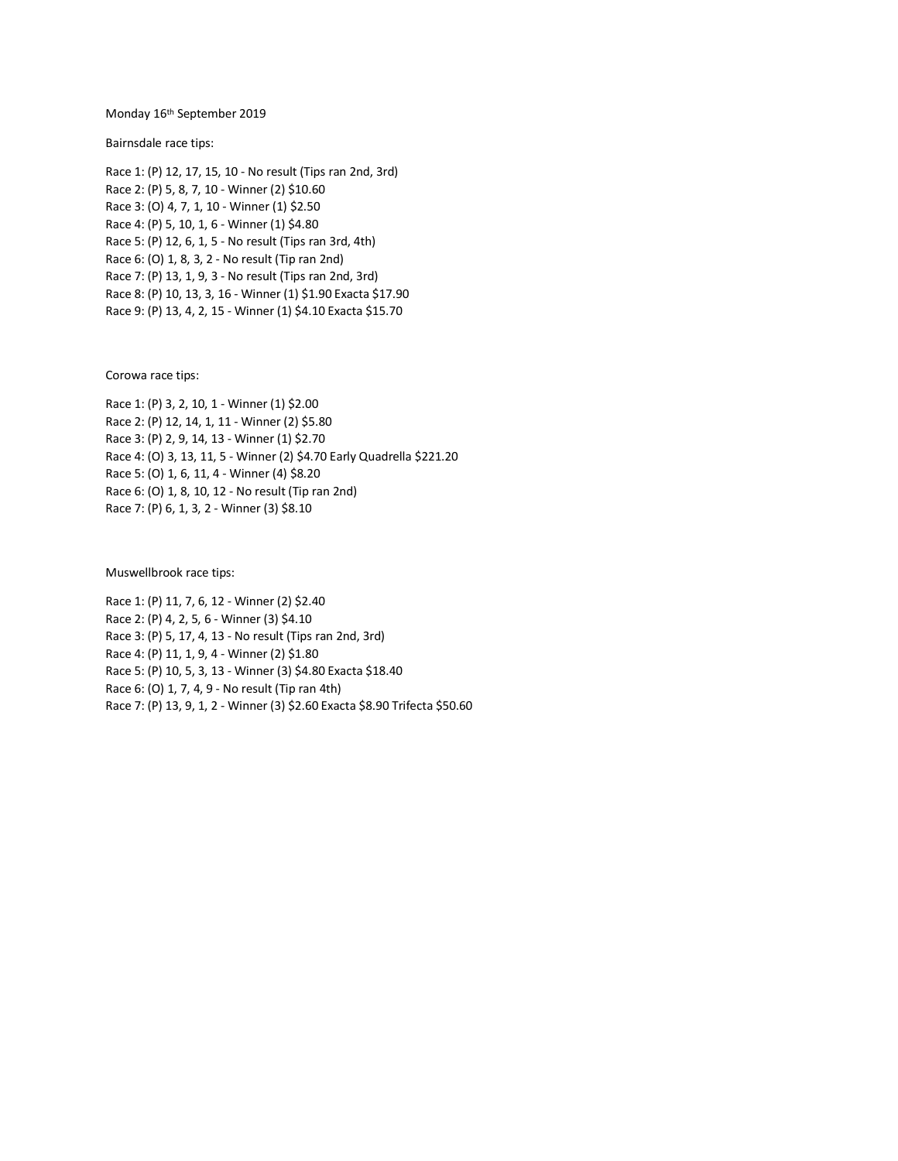## Monday 16th September 2019

Bairnsdale race tips:

Race 1: (P) 12, 17, 15, 10 - No result (Tips ran 2nd, 3rd) Race 2: (P) 5, 8, 7, 10 - Winner (2) \$10.60 Race 3: (O) 4, 7, 1, 10 - Winner (1) \$2.50 Race 4: (P) 5, 10, 1, 6 - Winner (1) \$4.80 Race 5: (P) 12, 6, 1, 5 - No result (Tips ran 3rd, 4th) Race 6: (O) 1, 8, 3, 2 - No result (Tip ran 2nd) Race 7: (P) 13, 1, 9, 3 - No result (Tips ran 2nd, 3rd) Race 8: (P) 10, 13, 3, 16 - Winner (1) \$1.90 Exacta \$17.90 Race 9: (P) 13, 4, 2, 15 - Winner (1) \$4.10 Exacta \$15.70

Corowa race tips:

Race 1: (P) 3, 2, 10, 1 - Winner (1) \$2.00 Race 2: (P) 12, 14, 1, 11 - Winner (2) \$5.80 Race 3: (P) 2, 9, 14, 13 - Winner (1) \$2.70 Race 4: (O) 3, 13, 11, 5 - Winner (2) \$4.70 Early Quadrella \$221.20 Race 5: (O) 1, 6, 11, 4 - Winner (4) \$8.20 Race 6: (O) 1, 8, 10, 12 - No result (Tip ran 2nd) Race 7: (P) 6, 1, 3, 2 - Winner (3) \$8.10

Muswellbrook race tips:

Race 1: (P) 11, 7, 6, 12 - Winner (2) \$2.40 Race 2: (P) 4, 2, 5, 6 - Winner (3) \$4.10 Race 3: (P) 5, 17, 4, 13 - No result (Tips ran 2nd, 3rd) Race 4: (P) 11, 1, 9, 4 - Winner (2) \$1.80 Race 5: (P) 10, 5, 3, 13 - Winner (3) \$4.80 Exacta \$18.40 Race 6: (O) 1, 7, 4, 9 - No result (Tip ran 4th) Race 7: (P) 13, 9, 1, 2 - Winner (3) \$2.60 Exacta \$8.90 Trifecta \$50.60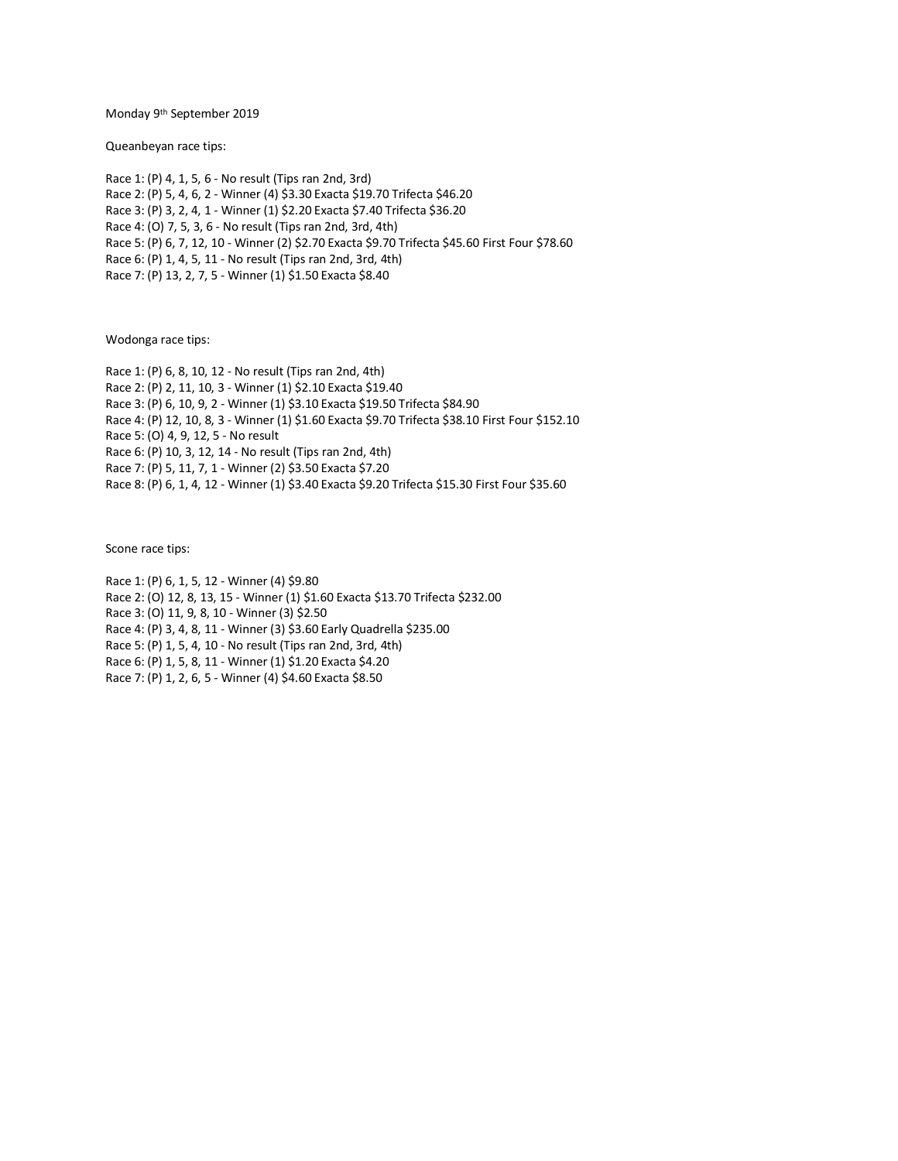Monday 9th September 2019

Queanbeyan race tips:

Race 1: (P) 4, 1, 5, 6 - No result (Tips ran 2nd, 3rd) Race 2: (P) 5, 4, 6, 2 - Winner (4) \$3.30 Exacta \$19.70 Trifecta \$46.20 Race 3: (P) 3, 2, 4, 1 - Winner (1) \$2.20 Exacta \$7.40 Trifecta \$36.20 Race 4: (O) 7, 5, 3, 6 - No result (Tips ran 2nd, 3rd, 4th) Race 5: (P) 6, 7, 12, 10 - Winner (2) \$2.70 Exacta \$9.70 Trifecta \$45.60 First Four \$78.60 Race 6: (P) 1, 4, 5, 11 - No result (Tips ran 2nd, 3rd, 4th) Race 7: (P) 13, 2, 7, 5 - Winner (1) \$1.50 Exacta \$8.40

Wodonga race tips:

Race 1: (P) 6, 8, 10, 12 - No result (Tips ran 2nd, 4th) Race 2: (P) 2, 11, 10, 3 - Winner (1) \$2.10 Exacta \$19.40 Race 3: (P) 6, 10, 9, 2 - Winner (1) \$3.10 Exacta \$19.50 Trifecta \$84.90 Race 4: (P) 12, 10, 8, 3 - Winner (1) \$1.60 Exacta \$9.70 Trifecta \$38.10 First Four \$152.10 Race 5: (O) 4, 9, 12, 5 - No result Race 6: (P) 10, 3, 12, 14 - No result (Tips ran 2nd, 4th) Race 7: (P) 5, 11, 7, 1 - Winner (2) \$3.50 Exacta \$7.20 Race 8: (P) 6, 1, 4, 12 - Winner (1) \$3.40 Exacta \$9.20 Trifecta \$15.30 First Four \$35.60

Scone race tips:

Race 1: (P) 6, 1, 5, 12 - Winner (4) \$9.80 Race 2: (O) 12, 8, 13, 15 - Winner (1) \$1.60 Exacta \$13.70 Trifecta \$232.00 Race 3: (O) 11, 9, 8, 10 - Winner (3) \$2.50 Race 4: (P) 3, 4, 8, 11 - Winner (3) \$3.60 Early Quadrella \$235.00 Race 5: (P) 1, 5, 4, 10 - No result (Tips ran 2nd, 3rd, 4th) Race 6: (P) 1, 5, 8, 11 - Winner (1) \$1.20 Exacta \$4.20 Race 7: (P) 1, 2, 6, 5 - Winner (4) \$4.60 Exacta \$8.50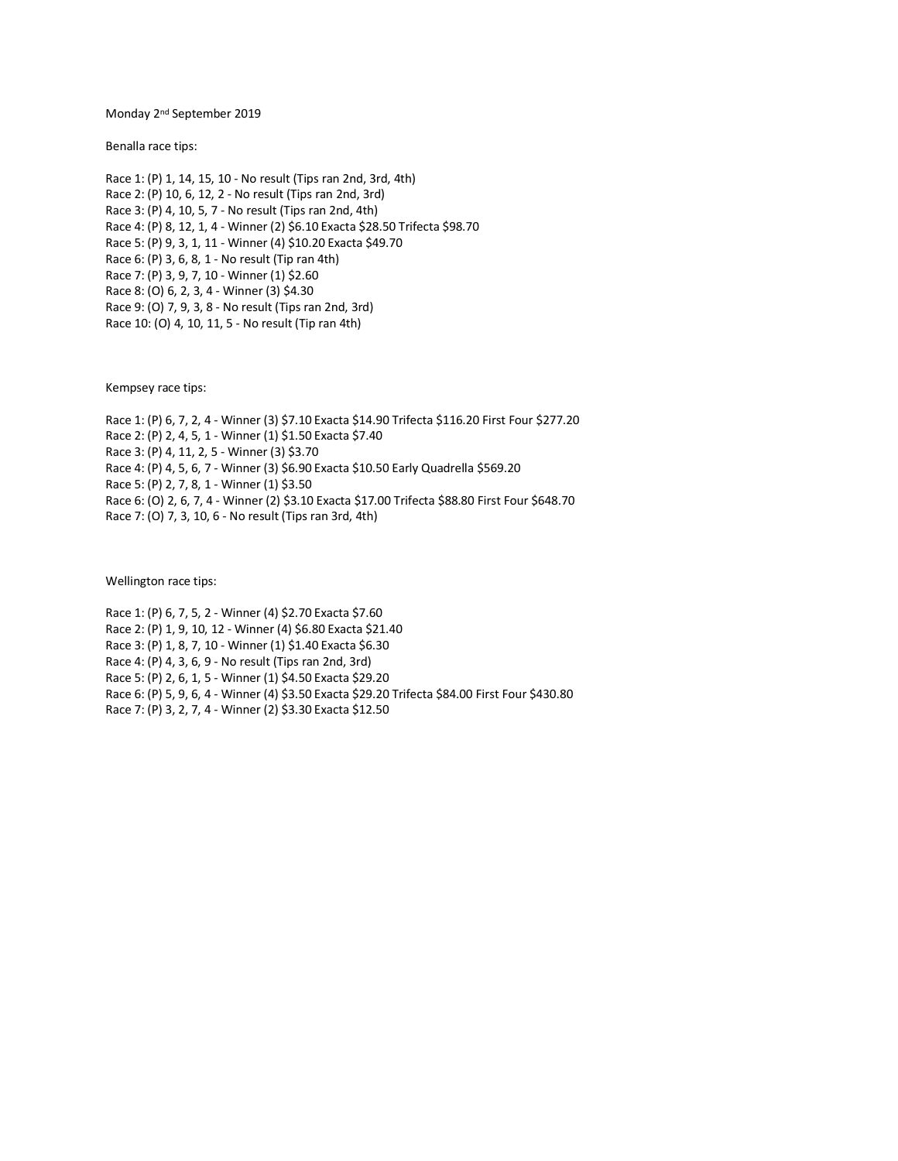Monday 2nd September 2019

Benalla race tips:

Race 1: (P) 1, 14, 15, 10 - No result (Tips ran 2nd, 3rd, 4th) Race 2: (P) 10, 6, 12, 2 - No result (Tips ran 2nd, 3rd) Race 3: (P) 4, 10, 5, 7 - No result (Tips ran 2nd, 4th) Race 4: (P) 8, 12, 1, 4 - Winner (2) \$6.10 Exacta \$28.50 Trifecta \$98.70 Race 5: (P) 9, 3, 1, 11 - Winner (4) \$10.20 Exacta \$49.70 Race 6: (P) 3, 6, 8, 1 - No result (Tip ran 4th) Race 7: (P) 3, 9, 7, 10 - Winner (1) \$2.60 Race 8: (O) 6, 2, 3, 4 - Winner (3) \$4.30 Race 9: (O) 7, 9, 3, 8 - No result (Tips ran 2nd, 3rd) Race 10: (O) 4, 10, 11, 5 - No result (Tip ran 4th)

Kempsey race tips:

Race 1: (P) 6, 7, 2, 4 - Winner (3) \$7.10 Exacta \$14.90 Trifecta \$116.20 First Four \$277.20 Race 2: (P) 2, 4, 5, 1 - Winner (1) \$1.50 Exacta \$7.40 Race 3: (P) 4, 11, 2, 5 - Winner (3) \$3.70 Race 4: (P) 4, 5, 6, 7 - Winner (3) \$6.90 Exacta \$10.50 Early Quadrella \$569.20 Race 5: (P) 2, 7, 8, 1 - Winner (1) \$3.50 Race 6: (O) 2, 6, 7, 4 - Winner (2) \$3.10 Exacta \$17.00 Trifecta \$88.80 First Four \$648.70 Race 7: (O) 7, 3, 10, 6 - No result (Tips ran 3rd, 4th)

Wellington race tips:

Race 1: (P) 6, 7, 5, 2 - Winner (4) \$2.70 Exacta \$7.60 Race 2: (P) 1, 9, 10, 12 - Winner (4) \$6.80 Exacta \$21.40 Race 3: (P) 1, 8, 7, 10 - Winner (1) \$1.40 Exacta \$6.30 Race 4: (P) 4, 3, 6, 9 - No result (Tips ran 2nd, 3rd) Race 5: (P) 2, 6, 1, 5 - Winner (1) \$4.50 Exacta \$29.20 Race 6: (P) 5, 9, 6, 4 - Winner (4) \$3.50 Exacta \$29.20 Trifecta \$84.00 First Four \$430.80 Race 7: (P) 3, 2, 7, 4 - Winner (2) \$3.30 Exacta \$12.50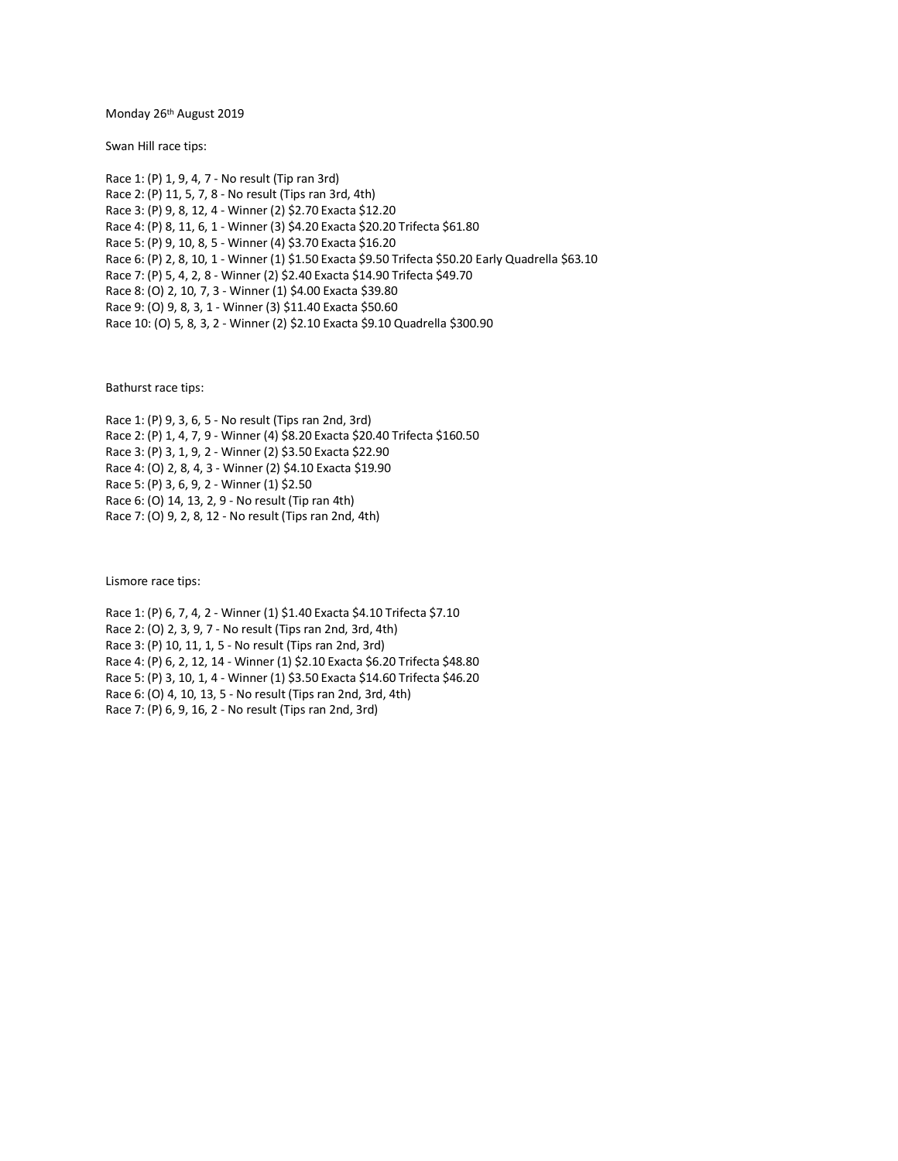Monday 26th August 2019

Swan Hill race tips:

Race 1: (P) 1, 9, 4, 7 - No result (Tip ran 3rd) Race 2: (P) 11, 5, 7, 8 - No result (Tips ran 3rd, 4th) Race 3: (P) 9, 8, 12, 4 - Winner (2) \$2.70 Exacta \$12.20 Race 4: (P) 8, 11, 6, 1 - Winner (3) \$4.20 Exacta \$20.20 Trifecta \$61.80 Race 5: (P) 9, 10, 8, 5 - Winner (4) \$3.70 Exacta \$16.20 Race 6: (P) 2, 8, 10, 1 - Winner (1) \$1.50 Exacta \$9.50 Trifecta \$50.20 Early Quadrella \$63.10 Race 7: (P) 5, 4, 2, 8 - Winner (2) \$2.40 Exacta \$14.90 Trifecta \$49.70 Race 8: (O) 2, 10, 7, 3 - Winner (1) \$4.00 Exacta \$39.80 Race 9: (O) 9, 8, 3, 1 - Winner (3) \$11.40 Exacta \$50.60 Race 10: (O) 5, 8, 3, 2 - Winner (2) \$2.10 Exacta \$9.10 Quadrella \$300.90

Bathurst race tips:

Race 1: (P) 9, 3, 6, 5 - No result (Tips ran 2nd, 3rd) Race 2: (P) 1, 4, 7, 9 - Winner (4) \$8.20 Exacta \$20.40 Trifecta \$160.50 Race 3: (P) 3, 1, 9, 2 - Winner (2) \$3.50 Exacta \$22.90 Race 4: (O) 2, 8, 4, 3 - Winner (2) \$4.10 Exacta \$19.90 Race 5: (P) 3, 6, 9, 2 - Winner (1) \$2.50 Race 6: (O) 14, 13, 2, 9 - No result (Tip ran 4th) Race 7: (O) 9, 2, 8, 12 - No result (Tips ran 2nd, 4th)

Lismore race tips:

Race 1: (P) 6, 7, 4, 2 - Winner (1) \$1.40 Exacta \$4.10 Trifecta \$7.10 Race 2: (O) 2, 3, 9, 7 - No result (Tips ran 2nd, 3rd, 4th) Race 3: (P) 10, 11, 1, 5 - No result (Tips ran 2nd, 3rd) Race 4: (P) 6, 2, 12, 14 - Winner (1) \$2.10 Exacta \$6.20 Trifecta \$48.80 Race 5: (P) 3, 10, 1, 4 - Winner (1) \$3.50 Exacta \$14.60 Trifecta \$46.20 Race 6: (O) 4, 10, 13, 5 - No result (Tips ran 2nd, 3rd, 4th) Race 7: (P) 6, 9, 16, 2 - No result (Tips ran 2nd, 3rd)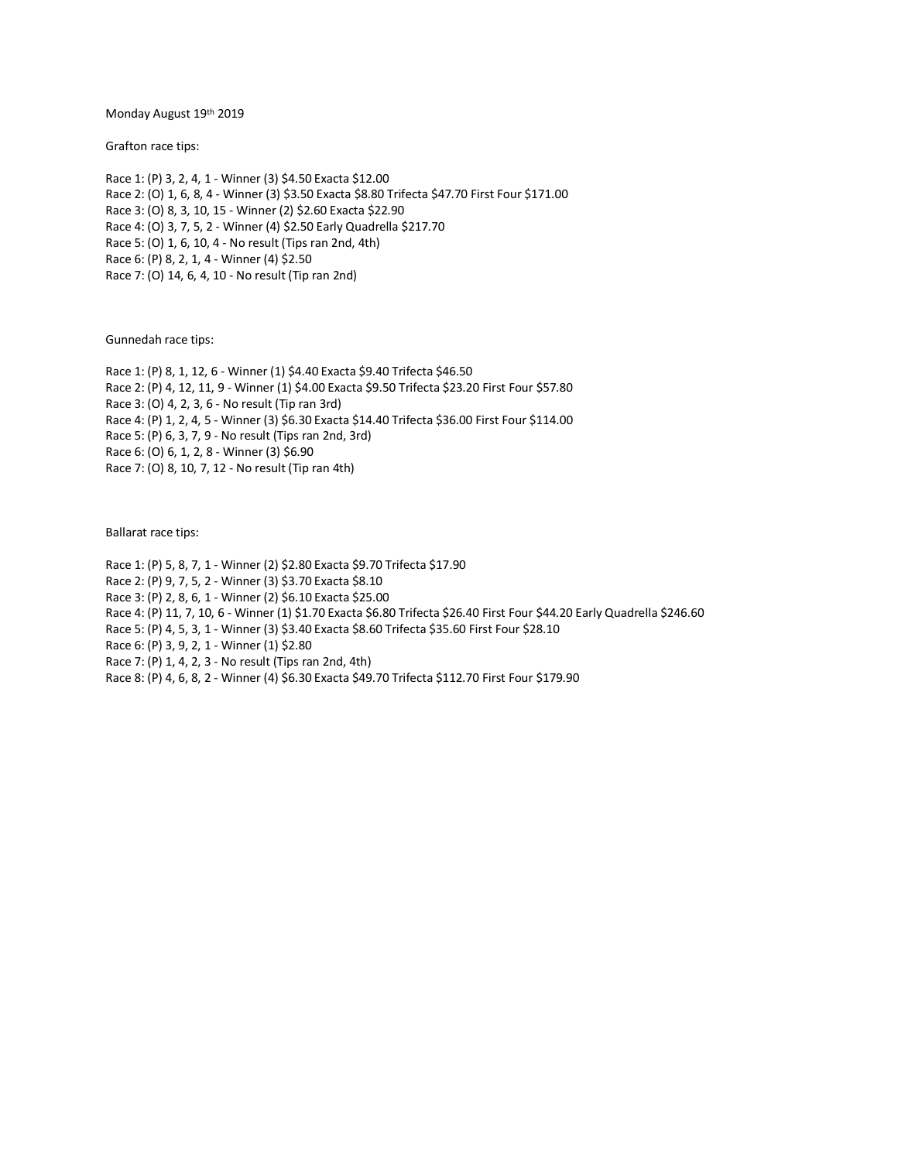Monday August 19th 2019

Grafton race tips:

Race 1: (P) 3, 2, 4, 1 - Winner (3) \$4.50 Exacta \$12.00 Race 2: (O) 1, 6, 8, 4 - Winner (3) \$3.50 Exacta \$8.80 Trifecta \$47.70 First Four \$171.00 Race 3: (O) 8, 3, 10, 15 - Winner (2) \$2.60 Exacta \$22.90 Race 4: (O) 3, 7, 5, 2 - Winner (4) \$2.50 Early Quadrella \$217.70 Race 5: (O) 1, 6, 10, 4 - No result (Tips ran 2nd, 4th) Race 6: (P) 8, 2, 1, 4 - Winner (4) \$2.50 Race 7: (O) 14, 6, 4, 10 - No result (Tip ran 2nd)

Gunnedah race tips:

Race 1: (P) 8, 1, 12, 6 - Winner (1) \$4.40 Exacta \$9.40 Trifecta \$46.50 Race 2: (P) 4, 12, 11, 9 - Winner (1) \$4.00 Exacta \$9.50 Trifecta \$23.20 First Four \$57.80 Race 3: (O) 4, 2, 3, 6 - No result (Tip ran 3rd) Race 4: (P) 1, 2, 4, 5 - Winner (3) \$6.30 Exacta \$14.40 Trifecta \$36.00 First Four \$114.00 Race 5: (P) 6, 3, 7, 9 - No result (Tips ran 2nd, 3rd) Race 6: (O) 6, 1, 2, 8 - Winner (3) \$6.90 Race 7: (O) 8, 10, 7, 12 - No result (Tip ran 4th)

Ballarat race tips:

Race 1: (P) 5, 8, 7, 1 - Winner (2) \$2.80 Exacta \$9.70 Trifecta \$17.90 Race 2: (P) 9, 7, 5, 2 - Winner (3) \$3.70 Exacta \$8.10 Race 3: (P) 2, 8, 6, 1 - Winner (2) \$6.10 Exacta \$25.00 Race 4: (P) 11, 7, 10, 6 - Winner (1) \$1.70 Exacta \$6.80 Trifecta \$26.40 First Four \$44.20 Early Quadrella \$246.60 Race 5: (P) 4, 5, 3, 1 - Winner (3) \$3.40 Exacta \$8.60 Trifecta \$35.60 First Four \$28.10 Race 6: (P) 3, 9, 2, 1 - Winner (1) \$2.80 Race 7: (P) 1, 4, 2, 3 - No result (Tips ran 2nd, 4th) Race 8: (P) 4, 6, 8, 2 - Winner (4) \$6.30 Exacta \$49.70 Trifecta \$112.70 First Four \$179.90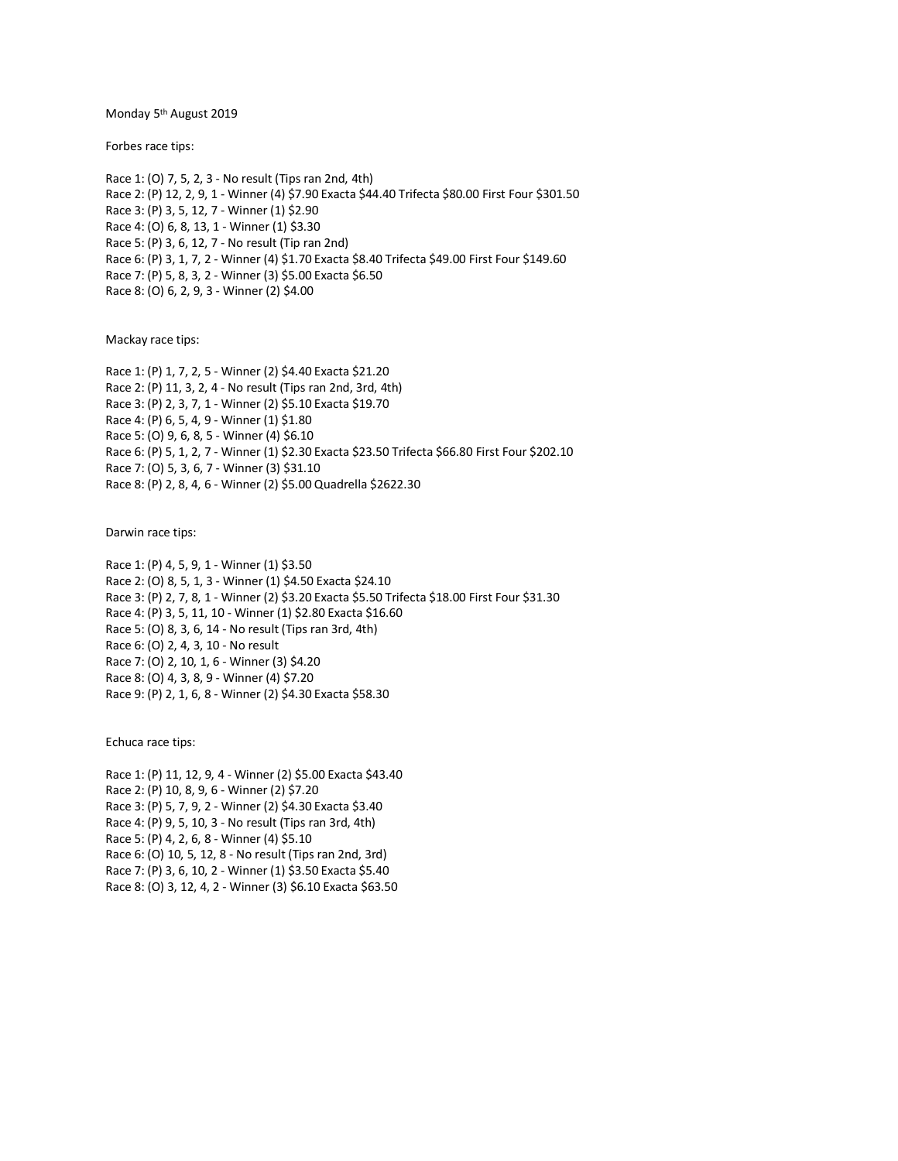Monday 5<sup>th</sup> August 2019

Forbes race tips:

Race 1: (O) 7, 5, 2, 3 - No result (Tips ran 2nd, 4th) Race 2: (P) 12, 2, 9, 1 - Winner (4) \$7.90 Exacta \$44.40 Trifecta \$80.00 First Four \$301.50 Race 3: (P) 3, 5, 12, 7 - Winner (1) \$2.90 Race 4: (O) 6, 8, 13, 1 - Winner (1) \$3.30 Race 5: (P) 3, 6, 12, 7 - No result (Tip ran 2nd) Race 6: (P) 3, 1, 7, 2 - Winner (4) \$1.70 Exacta \$8.40 Trifecta \$49.00 First Four \$149.60 Race 7: (P) 5, 8, 3, 2 - Winner (3) \$5.00 Exacta \$6.50 Race 8: (O) 6, 2, 9, 3 - Winner (2) \$4.00

Mackay race tips:

Race 1: (P) 1, 7, 2, 5 - Winner (2) \$4.40 Exacta \$21.20 Race 2: (P) 11, 3, 2, 4 - No result (Tips ran 2nd, 3rd, 4th) Race 3: (P) 2, 3, 7, 1 - Winner (2) \$5.10 Exacta \$19.70 Race 4: (P) 6, 5, 4, 9 - Winner (1) \$1.80 Race 5: (O) 9, 6, 8, 5 - Winner (4) \$6.10 Race 6: (P) 5, 1, 2, 7 - Winner (1) \$2.30 Exacta \$23.50 Trifecta \$66.80 First Four \$202.10 Race 7: (O) 5, 3, 6, 7 - Winner (3) \$31.10 Race 8: (P) 2, 8, 4, 6 - Winner (2) \$5.00 Quadrella \$2622.30

Darwin race tips:

Race 1: (P) 4, 5, 9, 1 - Winner (1) \$3.50 Race 2: (O) 8, 5, 1, 3 - Winner (1) \$4.50 Exacta \$24.10 Race 3: (P) 2, 7, 8, 1 - Winner (2) \$3.20 Exacta \$5.50 Trifecta \$18.00 First Four \$31.30 Race 4: (P) 3, 5, 11, 10 - Winner (1) \$2.80 Exacta \$16.60 Race 5: (O) 8, 3, 6, 14 - No result (Tips ran 3rd, 4th) Race 6: (O) 2, 4, 3, 10 - No result Race 7: (O) 2, 10, 1, 6 - Winner (3) \$4.20 Race 8: (O) 4, 3, 8, 9 - Winner (4) \$7.20 Race 9: (P) 2, 1, 6, 8 - Winner (2) \$4.30 Exacta \$58.30

Echuca race tips:

Race 1: (P) 11, 12, 9, 4 - Winner (2) \$5.00 Exacta \$43.40 Race 2: (P) 10, 8, 9, 6 - Winner (2) \$7.20 Race 3: (P) 5, 7, 9, 2 - Winner (2) \$4.30 Exacta \$3.40 Race 4: (P) 9, 5, 10, 3 - No result (Tips ran 3rd, 4th) Race 5: (P) 4, 2, 6, 8 - Winner (4) \$5.10 Race 6: (O) 10, 5, 12, 8 - No result (Tips ran 2nd, 3rd) Race 7: (P) 3, 6, 10, 2 - Winner (1) \$3.50 Exacta \$5.40 Race 8: (O) 3, 12, 4, 2 - Winner (3) \$6.10 Exacta \$63.50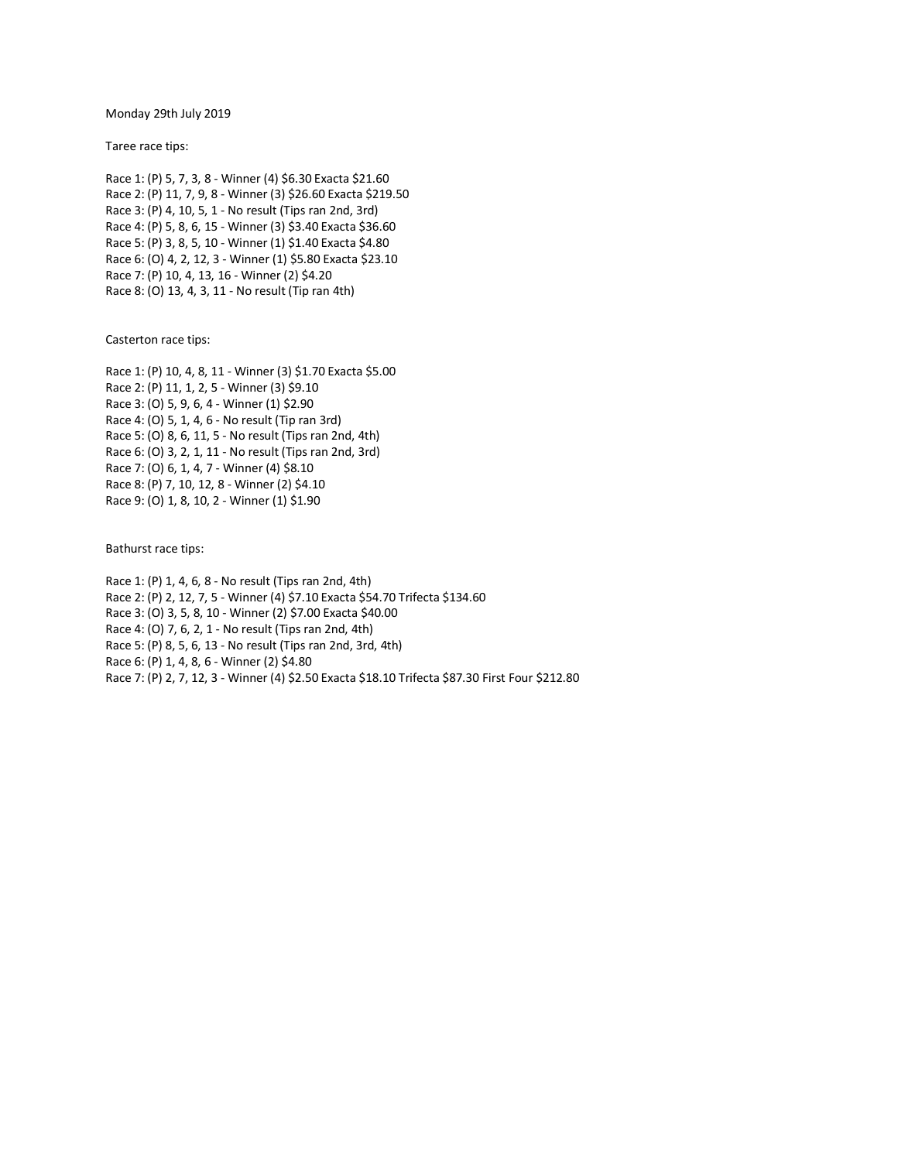Monday 29th July 2019

Taree race tips:

Race 1: (P) 5, 7, 3, 8 - Winner (4) \$6.30 Exacta \$21.60 Race 2: (P) 11, 7, 9, 8 - Winner (3) \$26.60 Exacta \$219.50 Race 3: (P) 4, 10, 5, 1 - No result (Tips ran 2nd, 3rd) Race 4: (P) 5, 8, 6, 15 - Winner (3) \$3.40 Exacta \$36.60 Race 5: (P) 3, 8, 5, 10 - Winner (1) \$1.40 Exacta \$4.80 Race 6: (O) 4, 2, 12, 3 - Winner (1) \$5.80 Exacta \$23.10 Race 7: (P) 10, 4, 13, 16 - Winner (2) \$4.20 Race 8: (O) 13, 4, 3, 11 - No result (Tip ran 4th)

Casterton race tips:

Race 1: (P) 10, 4, 8, 11 - Winner (3) \$1.70 Exacta \$5.00 Race 2: (P) 11, 1, 2, 5 - Winner (3) \$9.10 Race 3: (O) 5, 9, 6, 4 - Winner (1) \$2.90 Race 4: (O) 5, 1, 4, 6 - No result (Tip ran 3rd) Race 5: (O) 8, 6, 11, 5 - No result (Tips ran 2nd, 4th) Race 6: (O) 3, 2, 1, 11 - No result (Tips ran 2nd, 3rd) Race 7: (O) 6, 1, 4, 7 - Winner (4) \$8.10 Race 8: (P) 7, 10, 12, 8 - Winner (2) \$4.10 Race 9: (O) 1, 8, 10, 2 - Winner (1) \$1.90

Bathurst race tips:

Race 1: (P) 1, 4, 6, 8 - No result (Tips ran 2nd, 4th) Race 2: (P) 2, 12, 7, 5 - Winner (4) \$7.10 Exacta \$54.70 Trifecta \$134.60 Race 3: (O) 3, 5, 8, 10 - Winner (2) \$7.00 Exacta \$40.00 Race 4: (O) 7, 6, 2, 1 - No result (Tips ran 2nd, 4th) Race 5: (P) 8, 5, 6, 13 - No result (Tips ran 2nd, 3rd, 4th) Race 6: (P) 1, 4, 8, 6 - Winner (2) \$4.80 Race 7: (P) 2, 7, 12, 3 - Winner (4) \$2.50 Exacta \$18.10 Trifecta \$87.30 First Four \$212.80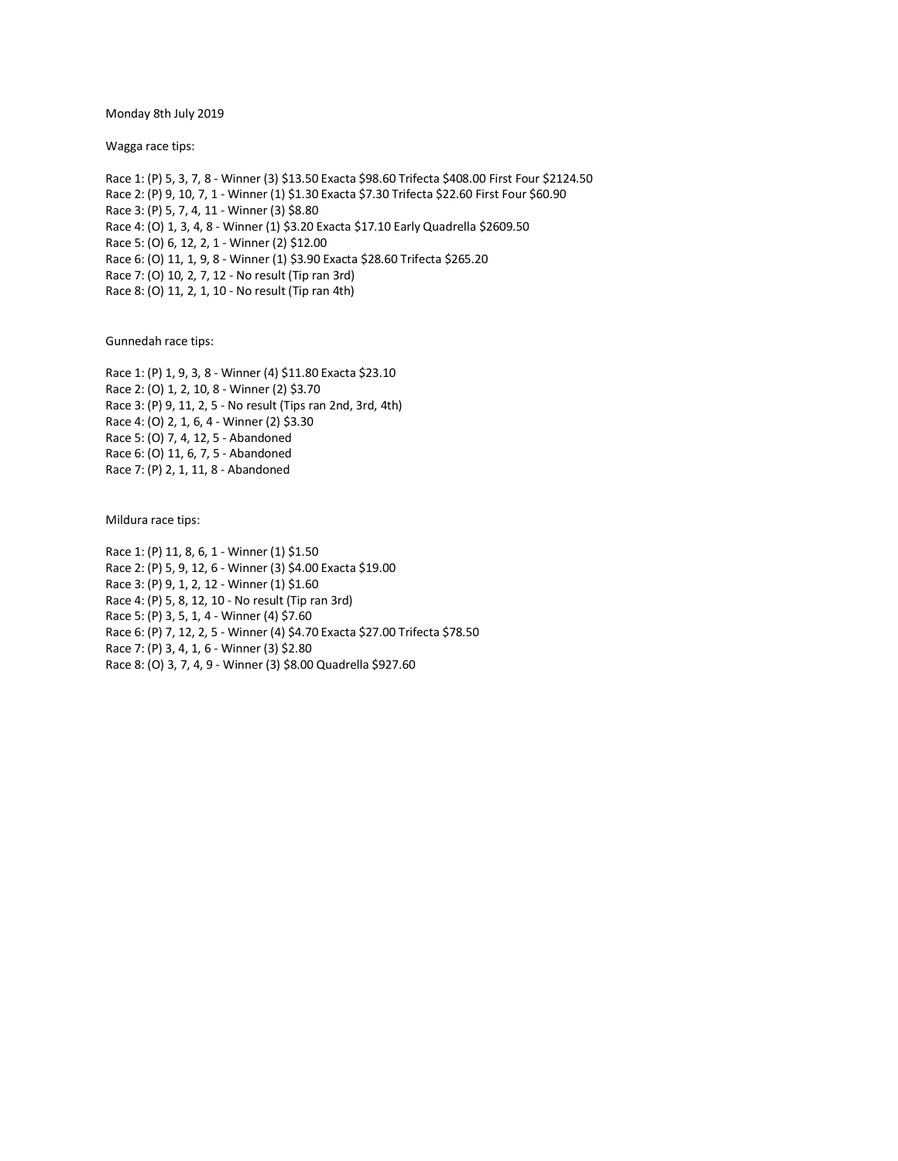Monday 8th July 2019

Wagga race tips:

Race 1: (P) 5, 3, 7, 8 - Winner (3) \$13.50 Exacta \$98.60 Trifecta \$408.00 First Four \$2124.50 Race 2: (P) 9, 10, 7, 1 - Winner (1) \$1.30 Exacta \$7.30 Trifecta \$22.60 First Four \$60.90 Race 3: (P) 5, 7, 4, 11 - Winner (3) \$8.80 Race 4: (O) 1, 3, 4, 8 - Winner (1) \$3.20 Exacta \$17.10 Early Quadrella \$2609.50 Race 5: (O) 6, 12, 2, 1 - Winner (2) \$12.00 Race 6: (O) 11, 1, 9, 8 - Winner (1) \$3.90 Exacta \$28.60 Trifecta \$265.20 Race 7: (O) 10, 2, 7, 12 - No result (Tip ran 3rd) Race 8: (O) 11, 2, 1, 10 - No result (Tip ran 4th)

Gunnedah race tips:

Race 1: (P) 1, 9, 3, 8 - Winner (4) \$11.80 Exacta \$23.10 Race 2: (O) 1, 2, 10, 8 - Winner (2) \$3.70 Race 3: (P) 9, 11, 2, 5 - No result (Tips ran 2nd, 3rd, 4th) Race 4: (O) 2, 1, 6, 4 - Winner (2) \$3.30 Race 5: (O) 7, 4, 12, 5 - Abandoned Race 6: (O) 11, 6, 7, 5 - Abandoned Race 7: (P) 2, 1, 11, 8 - Abandoned

Mildura race tips:

Race 1: (P) 11, 8, 6, 1 - Winner (1) \$1.50 Race 2: (P) 5, 9, 12, 6 - Winner (3) \$4.00 Exacta \$19.00 Race 3: (P) 9, 1, 2, 12 - Winner (1) \$1.60 Race 4: (P) 5, 8, 12, 10 - No result (Tip ran 3rd) Race 5: (P) 3, 5, 1, 4 - Winner (4) \$7.60 Race 6: (P) 7, 12, 2, 5 - Winner (4) \$4.70 Exacta \$27.00 Trifecta \$78.50 Race 7: (P) 3, 4, 1, 6 - Winner (3) \$2.80 Race 8: (O) 3, 7, 4, 9 - Winner (3) \$8.00 Quadrella \$927.60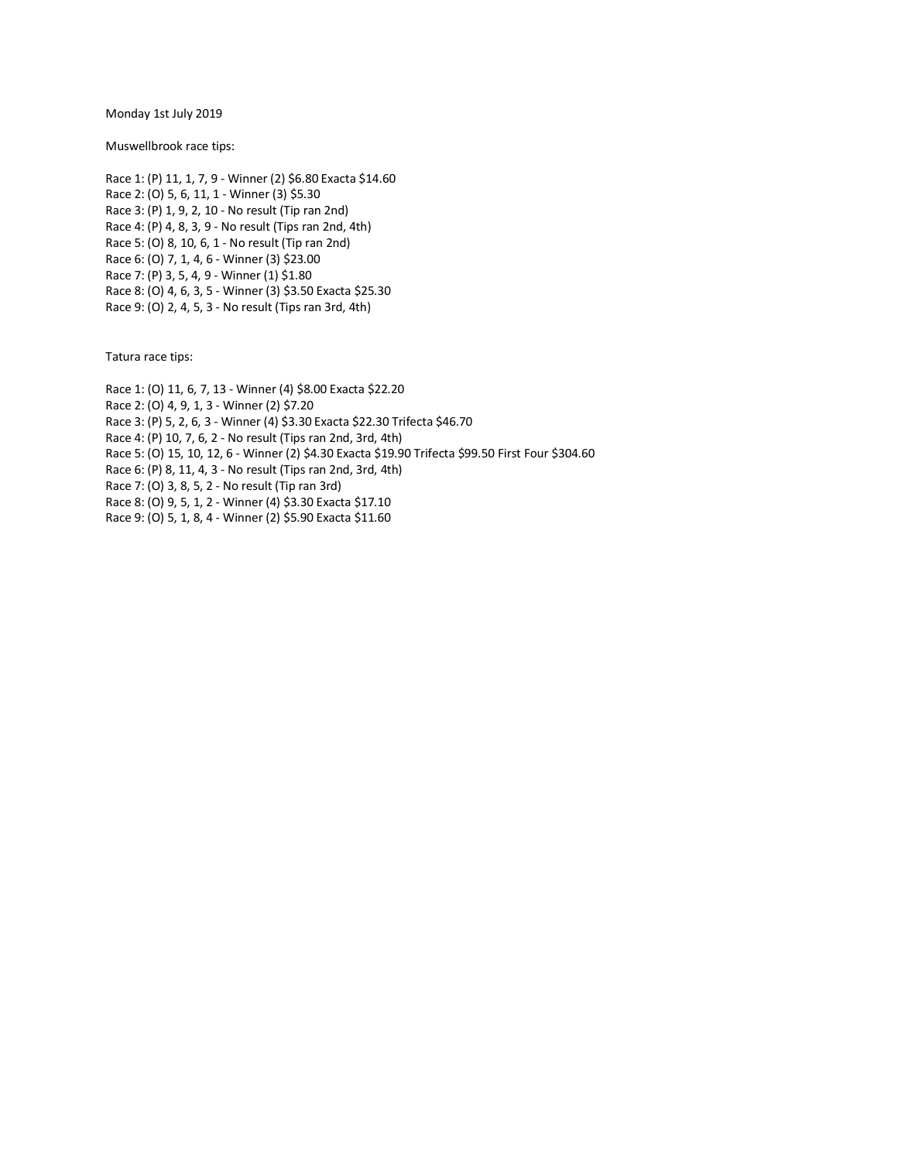Monday 1st July 2019

Muswellbrook race tips:

Race 1: (P) 11, 1, 7, 9 - Winner (2) \$6.80 Exacta \$14.60 Race 2: (O) 5, 6, 11, 1 - Winner (3) \$5.30 Race 3: (P) 1, 9, 2, 10 - No result (Tip ran 2nd) Race 4: (P) 4, 8, 3, 9 - No result (Tips ran 2nd, 4th) Race 5: (O) 8, 10, 6, 1 - No result (Tip ran 2nd) Race 6: (O) 7, 1, 4, 6 - Winner (3) \$23.00 Race 7: (P) 3, 5, 4, 9 - Winner (1) \$1.80 Race 8: (O) 4, 6, 3, 5 - Winner (3) \$3.50 Exacta \$25.30 Race 9: (O) 2, 4, 5, 3 - No result (Tips ran 3rd, 4th)

Tatura race tips:

Race 1: (O) 11, 6, 7, 13 - Winner (4) \$8.00 Exacta \$22.20

Race 2: (O) 4, 9, 1, 3 - Winner (2) \$7.20

Race 3: (P) 5, 2, 6, 3 - Winner (4) \$3.30 Exacta \$22.30 Trifecta \$46.70

Race 4: (P) 10, 7, 6, 2 - No result (Tips ran 2nd, 3rd, 4th)

Race 5: (O) 15, 10, 12, 6 - Winner (2) \$4.30 Exacta \$19.90 Trifecta \$99.50 First Four \$304.60

Race 6: (P) 8, 11, 4, 3 - No result (Tips ran 2nd, 3rd, 4th)

Race 7: (O) 3, 8, 5, 2 - No result (Tip ran 3rd)

Race 8: (O) 9, 5, 1, 2 - Winner (4) \$3.30 Exacta \$17.10

Race 9: (O) 5, 1, 8, 4 - Winner (2) \$5.90 Exacta \$11.60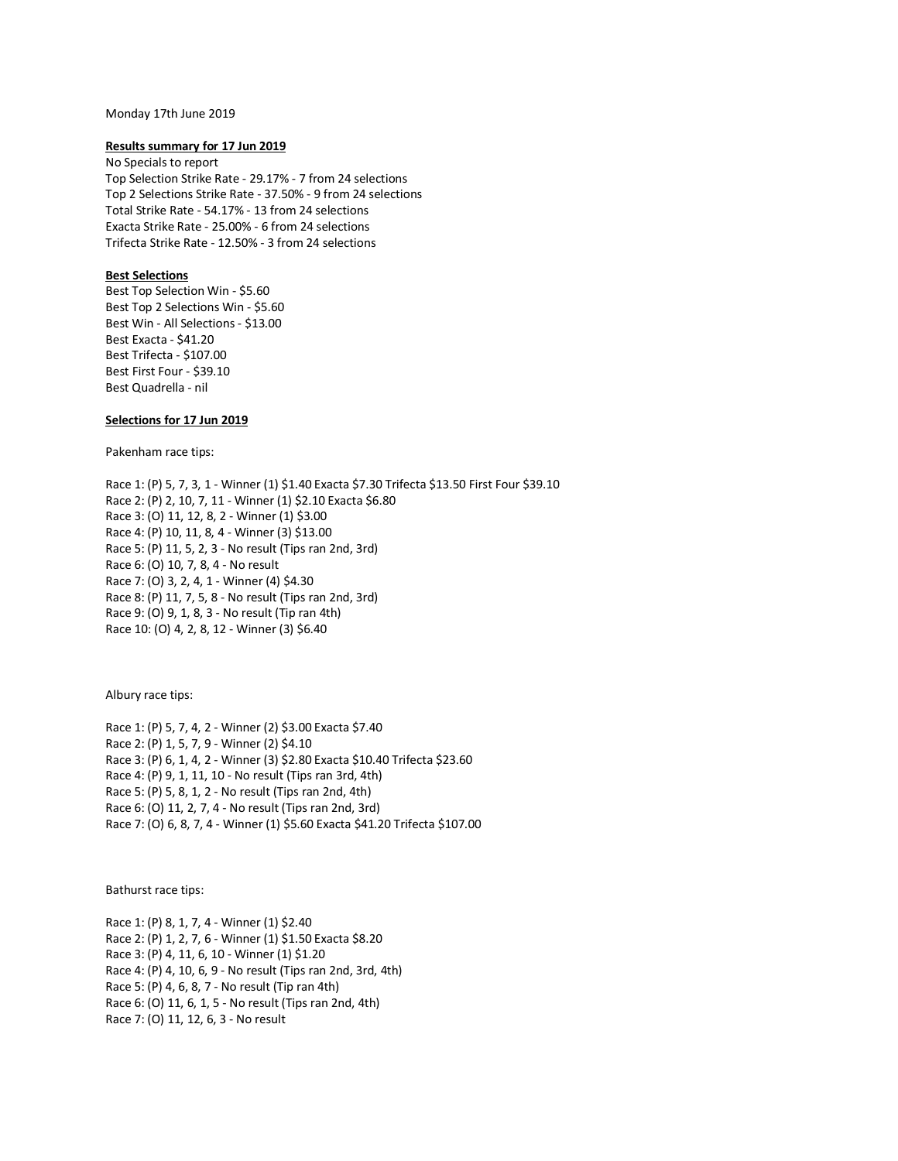### Monday 17th June 2019

### **Results summary for 17 Jun 2019**

No Specials to report Top Selection Strike Rate - 29.17% - 7 from 24 selections Top 2 Selections Strike Rate - 37.50% - 9 from 24 selections Total Strike Rate - 54.17% - 13 from 24 selections Exacta Strike Rate - 25.00% - 6 from 24 selections Trifecta Strike Rate - 12.50% - 3 from 24 selections

## **Best Selections**

Best Top Selection Win - \$5.60 Best Top 2 Selections Win - \$5.60 Best Win - All Selections - \$13.00 Best Exacta - \$41.20 Best Trifecta - \$107.00 Best First Four - \$39.10 Best Quadrella - nil

## **Selections for 17 Jun 2019**

Pakenham race tips:

Race 1: (P) 5, 7, 3, 1 - Winner (1) \$1.40 Exacta \$7.30 Trifecta \$13.50 First Four \$39.10 Race 2: (P) 2, 10, 7, 11 - Winner (1) \$2.10 Exacta \$6.80 Race 3: (O) 11, 12, 8, 2 - Winner (1) \$3.00 Race 4: (P) 10, 11, 8, 4 - Winner (3) \$13.00 Race 5: (P) 11, 5, 2, 3 - No result (Tips ran 2nd, 3rd) Race 6: (O) 10, 7, 8, 4 - No result Race 7: (O) 3, 2, 4, 1 - Winner (4) \$4.30 Race 8: (P) 11, 7, 5, 8 - No result (Tips ran 2nd, 3rd) Race 9: (O) 9, 1, 8, 3 - No result (Tip ran 4th) Race 10: (O) 4, 2, 8, 12 - Winner (3) \$6.40

Albury race tips:

Race 1: (P) 5, 7, 4, 2 - Winner (2) \$3.00 Exacta \$7.40 Race 2: (P) 1, 5, 7, 9 - Winner (2) \$4.10 Race 3: (P) 6, 1, 4, 2 - Winner (3) \$2.80 Exacta \$10.40 Trifecta \$23.60 Race 4: (P) 9, 1, 11, 10 - No result (Tips ran 3rd, 4th) Race 5: (P) 5, 8, 1, 2 - No result (Tips ran 2nd, 4th) Race 6: (O) 11, 2, 7, 4 - No result (Tips ran 2nd, 3rd) Race 7: (O) 6, 8, 7, 4 - Winner (1) \$5.60 Exacta \$41.20 Trifecta \$107.00

Bathurst race tips:

Race 1: (P) 8, 1, 7, 4 - Winner (1) \$2.40 Race 2: (P) 1, 2, 7, 6 - Winner (1) \$1.50 Exacta \$8.20 Race 3: (P) 4, 11, 6, 10 - Winner (1) \$1.20 Race 4: (P) 4, 10, 6, 9 - No result (Tips ran 2nd, 3rd, 4th) Race 5: (P) 4, 6, 8, 7 - No result (Tip ran 4th) Race 6: (O) 11, 6, 1, 5 - No result (Tips ran 2nd, 4th) Race 7: (O) 11, 12, 6, 3 - No result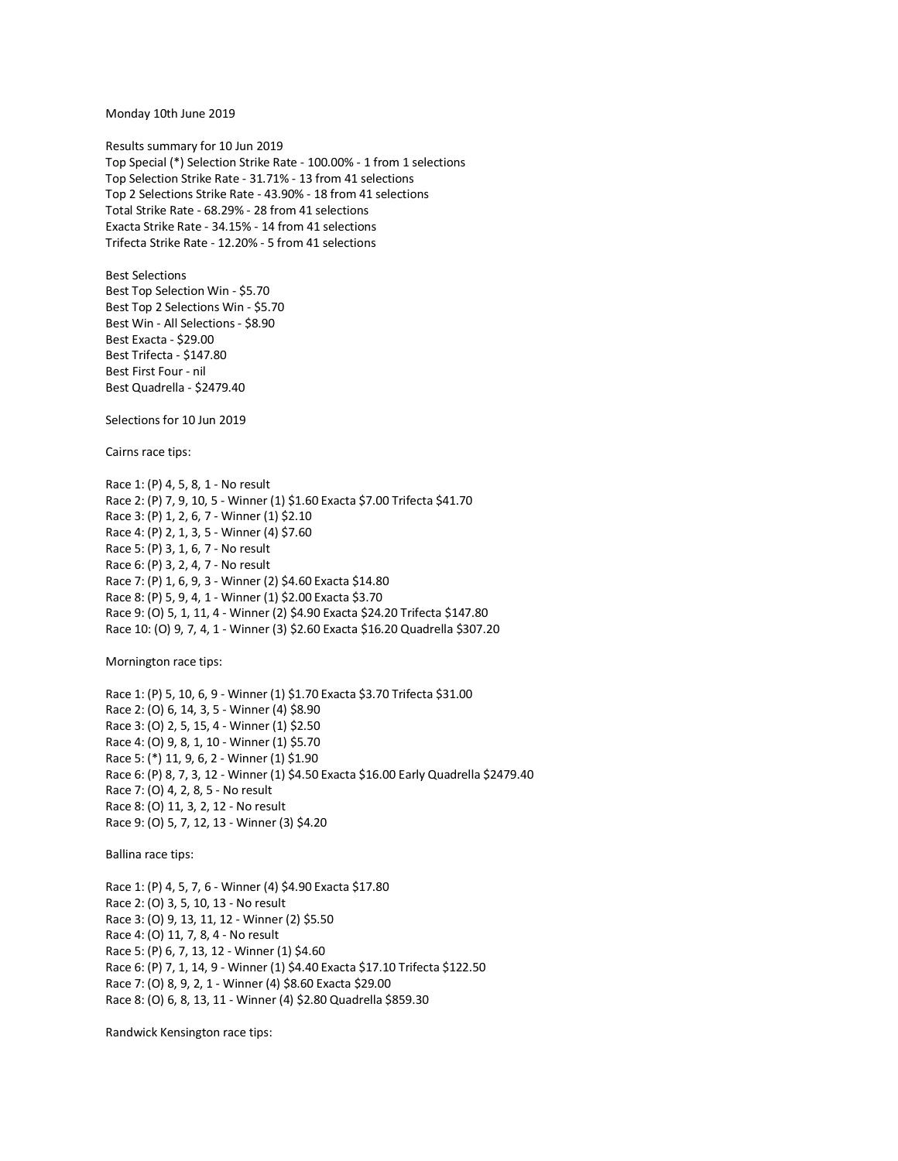Monday 10th June 2019

Results summary for 10 Jun 2019 Top Special (\*) Selection Strike Rate - 100.00% - 1 from 1 selections Top Selection Strike Rate - 31.71% - 13 from 41 selections Top 2 Selections Strike Rate - 43.90% - 18 from 41 selections Total Strike Rate - 68.29% - 28 from 41 selections Exacta Strike Rate - 34.15% - 14 from 41 selections Trifecta Strike Rate - 12.20% - 5 from 41 selections

Best Selections Best Top Selection Win - \$5.70 Best Top 2 Selections Win - \$5.70 Best Win - All Selections - \$8.90 Best Exacta - \$29.00 Best Trifecta - \$147.80 Best First Four - nil Best Quadrella - \$2479.40

Selections for 10 Jun 2019

Cairns race tips:

Race 1: (P) 4, 5, 8, 1 - No result Race 2: (P) 7, 9, 10, 5 - Winner (1) \$1.60 Exacta \$7.00 Trifecta \$41.70 Race 3: (P) 1, 2, 6, 7 - Winner (1) \$2.10 Race 4: (P) 2, 1, 3, 5 - Winner (4) \$7.60 Race 5: (P) 3, 1, 6, 7 - No result Race 6: (P) 3, 2, 4, 7 - No result Race 7: (P) 1, 6, 9, 3 - Winner (2) \$4.60 Exacta \$14.80 Race 8: (P) 5, 9, 4, 1 - Winner (1) \$2.00 Exacta \$3.70 Race 9: (O) 5, 1, 11, 4 - Winner (2) \$4.90 Exacta \$24.20 Trifecta \$147.80 Race 10: (O) 9, 7, 4, 1 - Winner (3) \$2.60 Exacta \$16.20 Quadrella \$307.20

Mornington race tips:

Race 1: (P) 5, 10, 6, 9 - Winner (1) \$1.70 Exacta \$3.70 Trifecta \$31.00 Race 2: (O) 6, 14, 3, 5 - Winner (4) \$8.90 Race 3: (O) 2, 5, 15, 4 - Winner (1) \$2.50 Race 4: (O) 9, 8, 1, 10 - Winner (1) \$5.70 Race 5: (\*) 11, 9, 6, 2 - Winner (1) \$1.90 Race 6: (P) 8, 7, 3, 12 - Winner (1) \$4.50 Exacta \$16.00 Early Quadrella \$2479.40 Race 7: (O) 4, 2, 8, 5 - No result Race 8: (O) 11, 3, 2, 12 - No result Race 9: (O) 5, 7, 12, 13 - Winner (3) \$4.20

Ballina race tips:

Race 1: (P) 4, 5, 7, 6 - Winner (4) \$4.90 Exacta \$17.80 Race 2: (O) 3, 5, 10, 13 - No result Race 3: (O) 9, 13, 11, 12 - Winner (2) \$5.50 Race 4: (O) 11, 7, 8, 4 - No result Race 5: (P) 6, 7, 13, 12 - Winner (1) \$4.60 Race 6: (P) 7, 1, 14, 9 - Winner (1) \$4.40 Exacta \$17.10 Trifecta \$122.50 Race 7: (O) 8, 9, 2, 1 - Winner (4) \$8.60 Exacta \$29.00 Race 8: (O) 6, 8, 13, 11 - Winner (4) \$2.80 Quadrella \$859.30

Randwick Kensington race tips: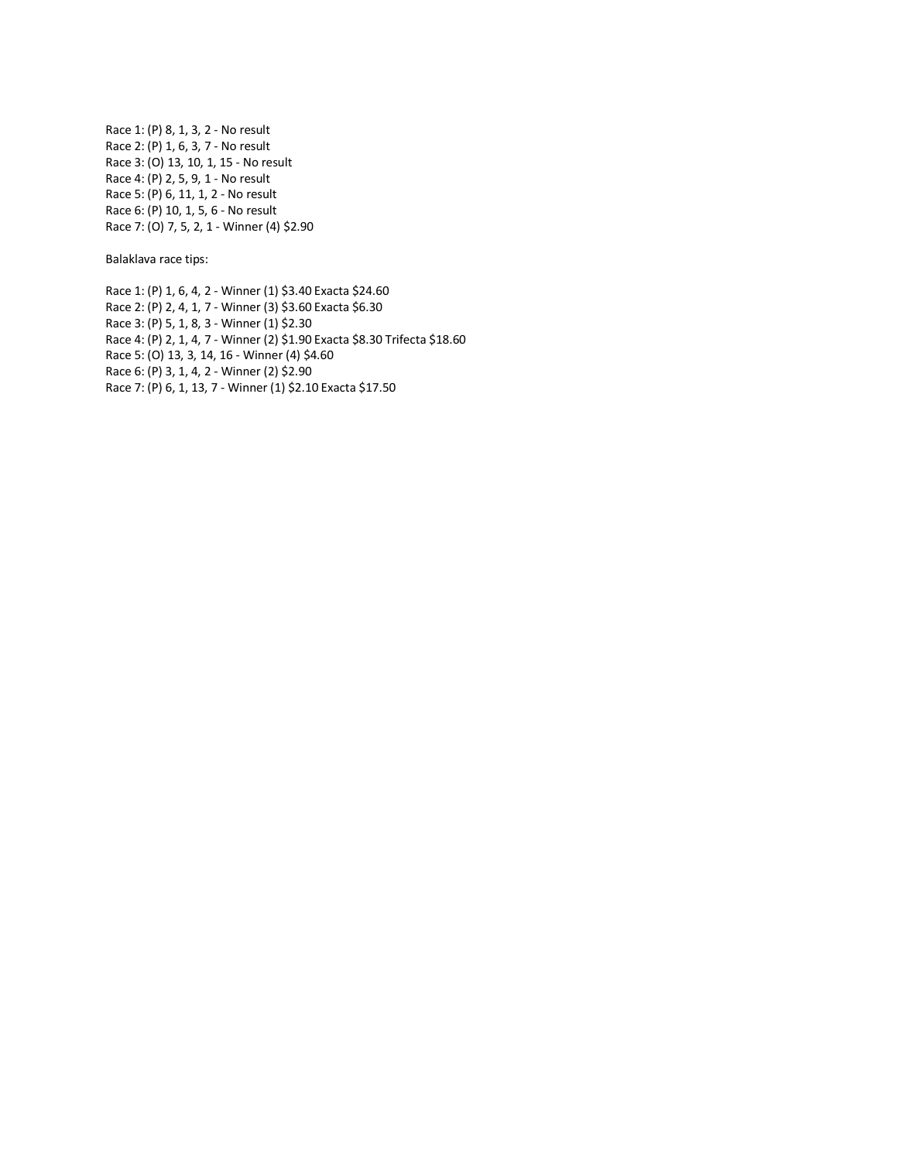Race 1: (P) 8, 1, 3, 2 - No result Race 2: (P) 1, 6, 3, 7 - No result Race 3: (O) 13, 10, 1, 15 - No result Race 4: (P) 2, 5, 9, 1 - No result Race 5: (P) 6, 11, 1, 2 - No result Race 6: (P) 10, 1, 5, 6 - No result Race 7: (O) 7, 5, 2, 1 - Winner (4) \$2.90

Balaklava race tips:

Race 1: (P) 1, 6, 4, 2 - Winner (1) \$3.40 Exacta \$24.60 Race 2: (P) 2, 4, 1, 7 - Winner (3) \$3.60 Exacta \$6.30 Race 3: (P) 5, 1, 8, 3 - Winner (1) \$2.30 Race 4: (P) 2, 1, 4, 7 - Winner (2) \$1.90 Exacta \$8.30 Trifecta \$18.60 Race 5: (O) 13, 3, 14, 16 - Winner (4) \$4.60 Race 6: (P) 3, 1, 4, 2 - Winner (2) \$2.90 Race 7: (P) 6, 1, 13, 7 - Winner (1) \$2.10 Exacta \$17.50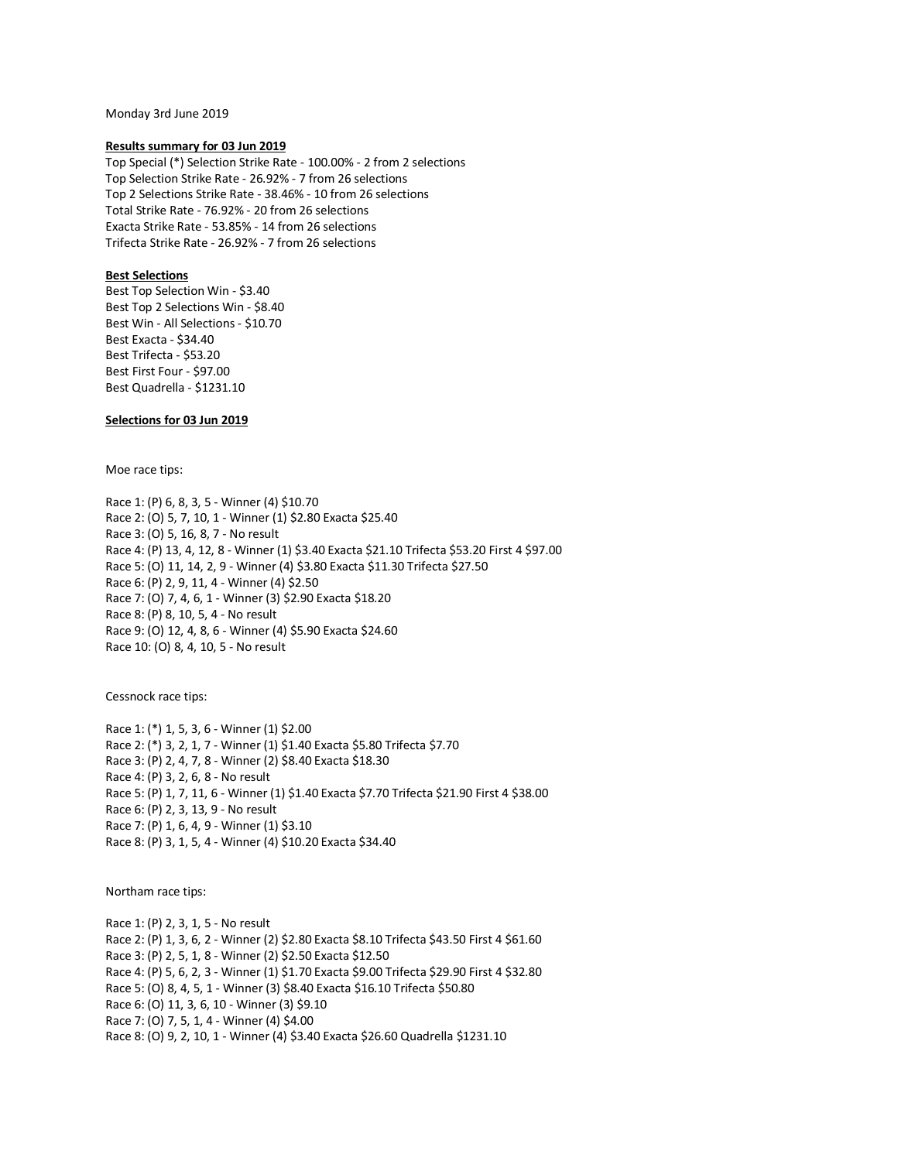Monday 3rd June 2019

### **Results summary for 03 Jun 2019**

Top Special (\*) Selection Strike Rate - 100.00% - 2 from 2 selections Top Selection Strike Rate - 26.92% - 7 from 26 selections Top 2 Selections Strike Rate - 38.46% - 10 from 26 selections Total Strike Rate - 76.92% - 20 from 26 selections Exacta Strike Rate - 53.85% - 14 from 26 selections Trifecta Strike Rate - 26.92% - 7 from 26 selections

## **Best Selections**

Best Top Selection Win - \$3.40 Best Top 2 Selections Win - \$8.40 Best Win - All Selections - \$10.70 Best Exacta - \$34.40 Best Trifecta - \$53.20 Best First Four - \$97.00 Best Quadrella - \$1231.10

## **Selections for 03 Jun 2019**

Moe race tips:

Race 1: (P) 6, 8, 3, 5 - Winner (4) \$10.70 Race 2: (O) 5, 7, 10, 1 - Winner (1) \$2.80 Exacta \$25.40 Race 3: (O) 5, 16, 8, 7 - No result Race 4: (P) 13, 4, 12, 8 - Winner (1) \$3.40 Exacta \$21.10 Trifecta \$53.20 First 4 \$97.00 Race 5: (O) 11, 14, 2, 9 - Winner (4) \$3.80 Exacta \$11.30 Trifecta \$27.50 Race 6: (P) 2, 9, 11, 4 - Winner (4) \$2.50 Race 7: (O) 7, 4, 6, 1 - Winner (3) \$2.90 Exacta \$18.20 Race 8: (P) 8, 10, 5, 4 - No result Race 9: (O) 12, 4, 8, 6 - Winner (4) \$5.90 Exacta \$24.60 Race 10: (O) 8, 4, 10, 5 - No result

Cessnock race tips:

Race 1: (\*) 1, 5, 3, 6 - Winner (1) \$2.00 Race 2: (\*) 3, 2, 1, 7 - Winner (1) \$1.40 Exacta \$5.80 Trifecta \$7.70 Race 3: (P) 2, 4, 7, 8 - Winner (2) \$8.40 Exacta \$18.30 Race 4: (P) 3, 2, 6, 8 - No result Race 5: (P) 1, 7, 11, 6 - Winner (1) \$1.40 Exacta \$7.70 Trifecta \$21.90 First 4 \$38.00 Race 6: (P) 2, 3, 13, 9 - No result Race 7: (P) 1, 6, 4, 9 - Winner (1) \$3.10 Race 8: (P) 3, 1, 5, 4 - Winner (4) \$10.20 Exacta \$34.40

Northam race tips:

Race 1: (P) 2, 3, 1, 5 - No result Race 2: (P) 1, 3, 6, 2 - Winner (2) \$2.80 Exacta \$8.10 Trifecta \$43.50 First 4 \$61.60 Race 3: (P) 2, 5, 1, 8 - Winner (2) \$2.50 Exacta \$12.50 Race 4: (P) 5, 6, 2, 3 - Winner (1) \$1.70 Exacta \$9.00 Trifecta \$29.90 First 4 \$32.80 Race 5: (O) 8, 4, 5, 1 - Winner (3) \$8.40 Exacta \$16.10 Trifecta \$50.80 Race 6: (O) 11, 3, 6, 10 - Winner (3) \$9.10 Race 7: (O) 7, 5, 1, 4 - Winner (4) \$4.00 Race 8: (O) 9, 2, 10, 1 - Winner (4) \$3.40 Exacta \$26.60 Quadrella \$1231.10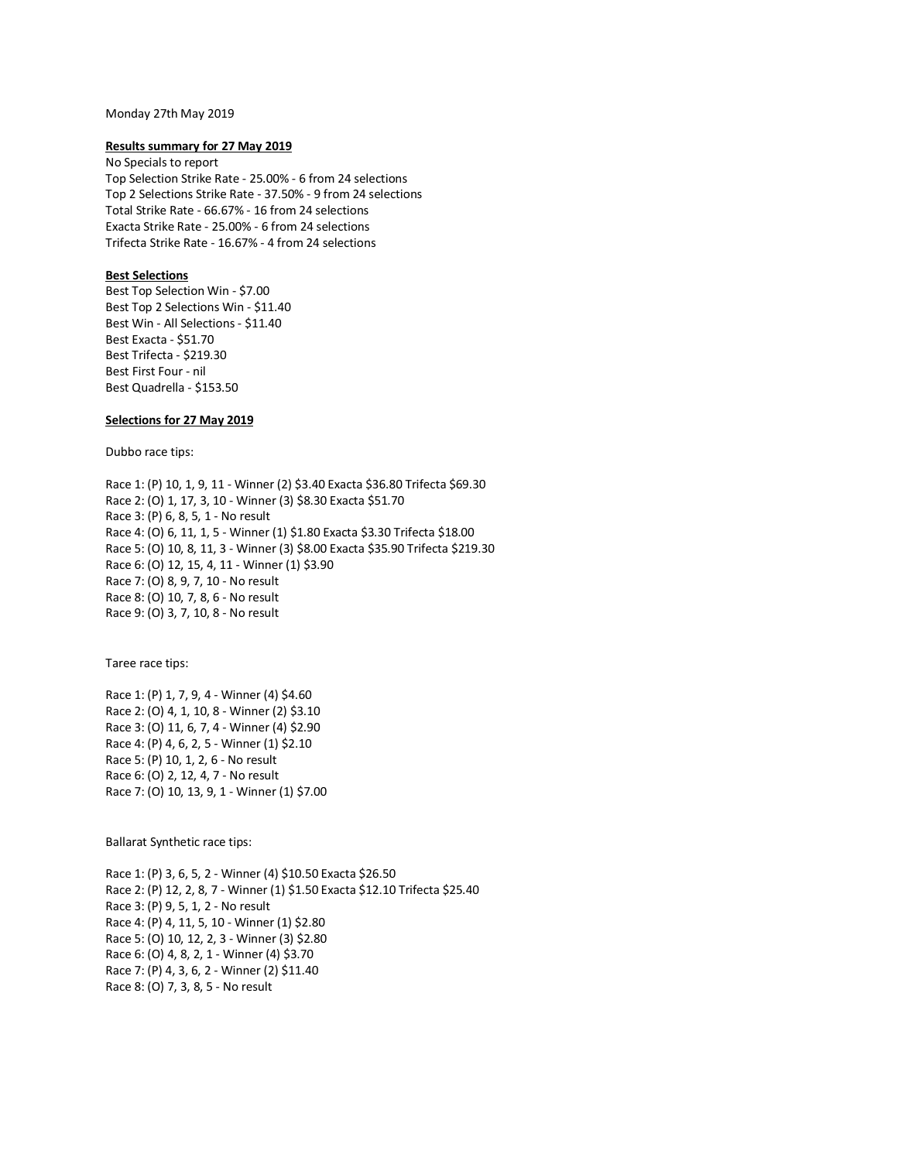### Monday 27th May 2019

### **Results summary for 27 May 2019**

No Specials to report Top Selection Strike Rate - 25.00% - 6 from 24 selections Top 2 Selections Strike Rate - 37.50% - 9 from 24 selections Total Strike Rate - 66.67% - 16 from 24 selections Exacta Strike Rate - 25.00% - 6 from 24 selections Trifecta Strike Rate - 16.67% - 4 from 24 selections

## **Best Selections**

Best Top Selection Win - \$7.00 Best Top 2 Selections Win - \$11.40 Best Win - All Selections - \$11.40 Best Exacta - \$51.70 Best Trifecta - \$219.30 Best First Four - nil Best Quadrella - \$153.50

## **Selections for 27 May 2019**

Dubbo race tips:

Race 1: (P) 10, 1, 9, 11 - Winner (2) \$3.40 Exacta \$36.80 Trifecta \$69.30 Race 2: (O) 1, 17, 3, 10 - Winner (3) \$8.30 Exacta \$51.70 Race 3: (P) 6, 8, 5, 1 - No result Race 4: (O) 6, 11, 1, 5 - Winner (1) \$1.80 Exacta \$3.30 Trifecta \$18.00 Race 5: (O) 10, 8, 11, 3 - Winner (3) \$8.00 Exacta \$35.90 Trifecta \$219.30 Race 6: (O) 12, 15, 4, 11 - Winner (1) \$3.90 Race 7: (O) 8, 9, 7, 10 - No result Race 8: (O) 10, 7, 8, 6 - No result Race 9: (O) 3, 7, 10, 8 - No result

Taree race tips:

Race 1: (P) 1, 7, 9, 4 - Winner (4) \$4.60 Race 2: (O) 4, 1, 10, 8 - Winner (2) \$3.10 Race 3: (O) 11, 6, 7, 4 - Winner (4) \$2.90 Race 4: (P) 4, 6, 2, 5 - Winner (1) \$2.10 Race 5: (P) 10, 1, 2, 6 - No result Race 6: (O) 2, 12, 4, 7 - No result Race 7: (O) 10, 13, 9, 1 - Winner (1) \$7.00

Ballarat Synthetic race tips:

Race 1: (P) 3, 6, 5, 2 - Winner (4) \$10.50 Exacta \$26.50 Race 2: (P) 12, 2, 8, 7 - Winner (1) \$1.50 Exacta \$12.10 Trifecta \$25.40 Race 3: (P) 9, 5, 1, 2 - No result Race 4: (P) 4, 11, 5, 10 - Winner (1) \$2.80 Race 5: (O) 10, 12, 2, 3 - Winner (3) \$2.80 Race 6: (O) 4, 8, 2, 1 - Winner (4) \$3.70 Race 7: (P) 4, 3, 6, 2 - Winner (2) \$11.40 Race 8: (O) 7, 3, 8, 5 - No result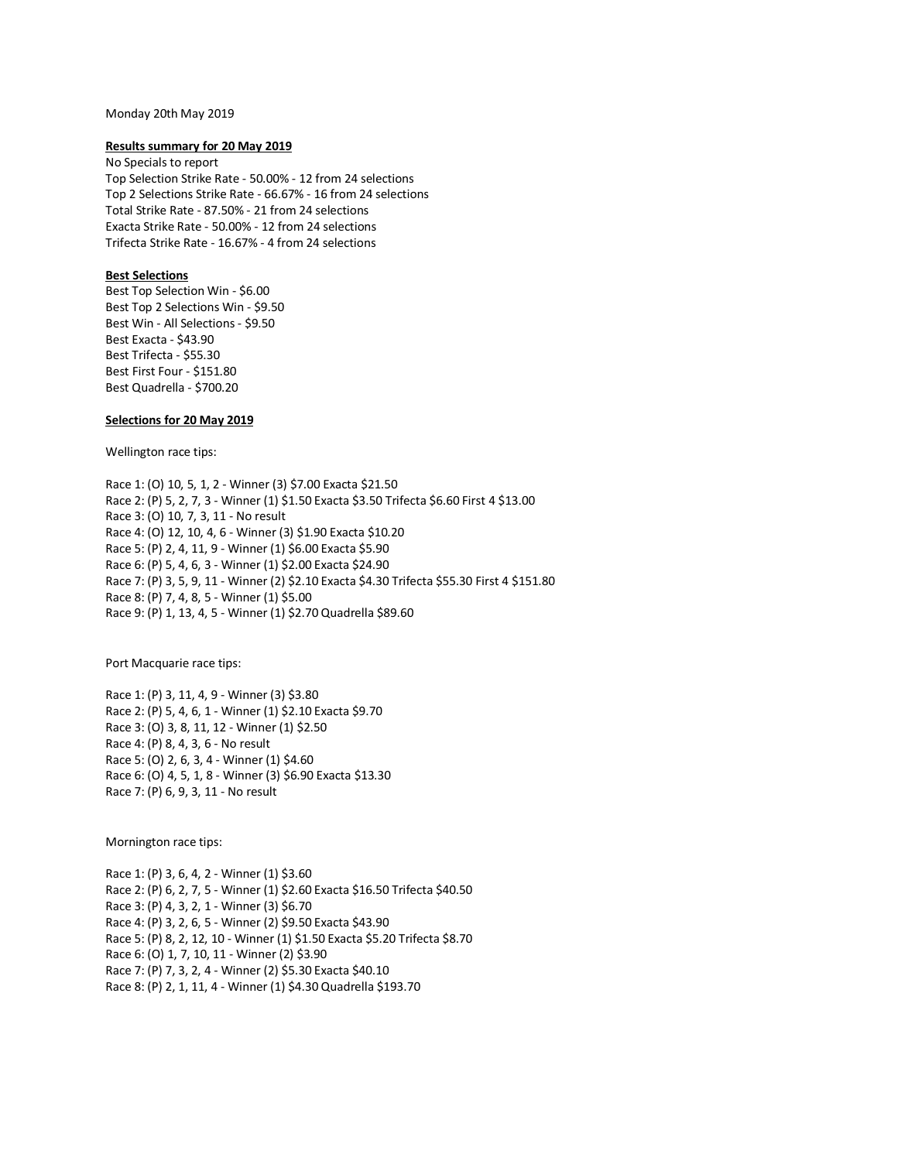### Monday 20th May 2019

### **Results summary for 20 May 2019**

No Specials to report Top Selection Strike Rate - 50.00% - 12 from 24 selections Top 2 Selections Strike Rate - 66.67% - 16 from 24 selections Total Strike Rate - 87.50% - 21 from 24 selections Exacta Strike Rate - 50.00% - 12 from 24 selections Trifecta Strike Rate - 16.67% - 4 from 24 selections

## **Best Selections**

Best Top Selection Win - \$6.00 Best Top 2 Selections Win - \$9.50 Best Win - All Selections - \$9.50 Best Exacta - \$43.90 Best Trifecta - \$55.30 Best First Four - \$151.80 Best Quadrella - \$700.20

## **Selections for 20 May 2019**

Wellington race tips:

Race 1: (O) 10, 5, 1, 2 - Winner (3) \$7.00 Exacta \$21.50 Race 2: (P) 5, 2, 7, 3 - Winner (1) \$1.50 Exacta \$3.50 Trifecta \$6.60 First 4 \$13.00 Race 3: (O) 10, 7, 3, 11 - No result Race 4: (O) 12, 10, 4, 6 - Winner (3) \$1.90 Exacta \$10.20 Race 5: (P) 2, 4, 11, 9 - Winner (1) \$6.00 Exacta \$5.90 Race 6: (P) 5, 4, 6, 3 - Winner (1) \$2.00 Exacta \$24.90 Race 7: (P) 3, 5, 9, 11 - Winner (2) \$2.10 Exacta \$4.30 Trifecta \$55.30 First 4 \$151.80 Race 8: (P) 7, 4, 8, 5 - Winner (1) \$5.00 Race 9: (P) 1, 13, 4, 5 - Winner (1) \$2.70 Quadrella \$89.60

Port Macquarie race tips:

Race 1: (P) 3, 11, 4, 9 - Winner (3) \$3.80 Race 2: (P) 5, 4, 6, 1 - Winner (1) \$2.10 Exacta \$9.70 Race 3: (O) 3, 8, 11, 12 - Winner (1) \$2.50 Race 4: (P) 8, 4, 3, 6 - No result Race 5: (O) 2, 6, 3, 4 - Winner (1) \$4.60 Race 6: (O) 4, 5, 1, 8 - Winner (3) \$6.90 Exacta \$13.30 Race 7: (P) 6, 9, 3, 11 - No result

Mornington race tips:

Race 1: (P) 3, 6, 4, 2 - Winner (1) \$3.60 Race 2: (P) 6, 2, 7, 5 - Winner (1) \$2.60 Exacta \$16.50 Trifecta \$40.50 Race 3: (P) 4, 3, 2, 1 - Winner (3) \$6.70 Race 4: (P) 3, 2, 6, 5 - Winner (2) \$9.50 Exacta \$43.90 Race 5: (P) 8, 2, 12, 10 - Winner (1) \$1.50 Exacta \$5.20 Trifecta \$8.70 Race 6: (O) 1, 7, 10, 11 - Winner (2) \$3.90 Race 7: (P) 7, 3, 2, 4 - Winner (2) \$5.30 Exacta \$40.10 Race 8: (P) 2, 1, 11, 4 - Winner (1) \$4.30 Quadrella \$193.70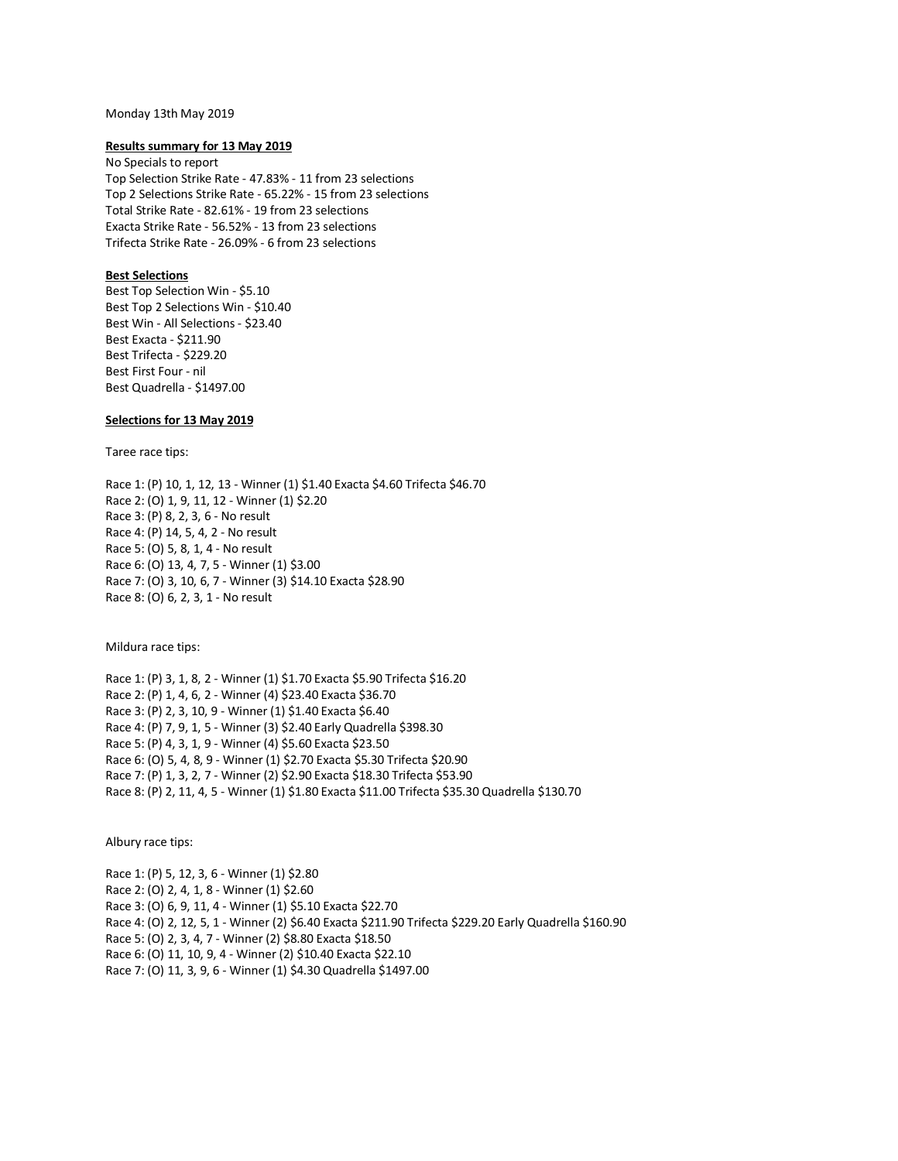### Monday 13th May 2019

### **Results summary for 13 May 2019**

No Specials to report Top Selection Strike Rate - 47.83% - 11 from 23 selections Top 2 Selections Strike Rate - 65.22% - 15 from 23 selections Total Strike Rate - 82.61% - 19 from 23 selections Exacta Strike Rate - 56.52% - 13 from 23 selections Trifecta Strike Rate - 26.09% - 6 from 23 selections

## **Best Selections**

Best Top Selection Win - \$5.10 Best Top 2 Selections Win - \$10.40 Best Win - All Selections - \$23.40 Best Exacta - \$211.90 Best Trifecta - \$229.20 Best First Four - nil Best Quadrella - \$1497.00

## **Selections for 13 May 2019**

Taree race tips:

Race 1: (P) 10, 1, 12, 13 - Winner (1) \$1.40 Exacta \$4.60 Trifecta \$46.70 Race 2: (O) 1, 9, 11, 12 - Winner (1) \$2.20 Race 3: (P) 8, 2, 3, 6 - No result Race 4: (P) 14, 5, 4, 2 - No result Race 5: (O) 5, 8, 1, 4 - No result Race 6: (O) 13, 4, 7, 5 - Winner (1) \$3.00 Race 7: (O) 3, 10, 6, 7 - Winner (3) \$14.10 Exacta \$28.90 Race 8: (O) 6, 2, 3, 1 - No result

Mildura race tips:

Race 1: (P) 3, 1, 8, 2 - Winner (1) \$1.70 Exacta \$5.90 Trifecta \$16.20 Race 2: (P) 1, 4, 6, 2 - Winner (4) \$23.40 Exacta \$36.70 Race 3: (P) 2, 3, 10, 9 - Winner (1) \$1.40 Exacta \$6.40 Race 4: (P) 7, 9, 1, 5 - Winner (3) \$2.40 Early Quadrella \$398.30 Race 5: (P) 4, 3, 1, 9 - Winner (4) \$5.60 Exacta \$23.50 Race 6: (O) 5, 4, 8, 9 - Winner (1) \$2.70 Exacta \$5.30 Trifecta \$20.90 Race 7: (P) 1, 3, 2, 7 - Winner (2) \$2.90 Exacta \$18.30 Trifecta \$53.90 Race 8: (P) 2, 11, 4, 5 - Winner (1) \$1.80 Exacta \$11.00 Trifecta \$35.30 Quadrella \$130.70

Albury race tips:

Race 1: (P) 5, 12, 3, 6 - Winner (1) \$2.80 Race 2: (O) 2, 4, 1, 8 - Winner (1) \$2.60 Race 3: (O) 6, 9, 11, 4 - Winner (1) \$5.10 Exacta \$22.70 Race 4: (O) 2, 12, 5, 1 - Winner (2) \$6.40 Exacta \$211.90 Trifecta \$229.20 Early Quadrella \$160.90 Race 5: (O) 2, 3, 4, 7 - Winner (2) \$8.80 Exacta \$18.50 Race 6: (O) 11, 10, 9, 4 - Winner (2) \$10.40 Exacta \$22.10 Race 7: (O) 11, 3, 9, 6 - Winner (1) \$4.30 Quadrella \$1497.00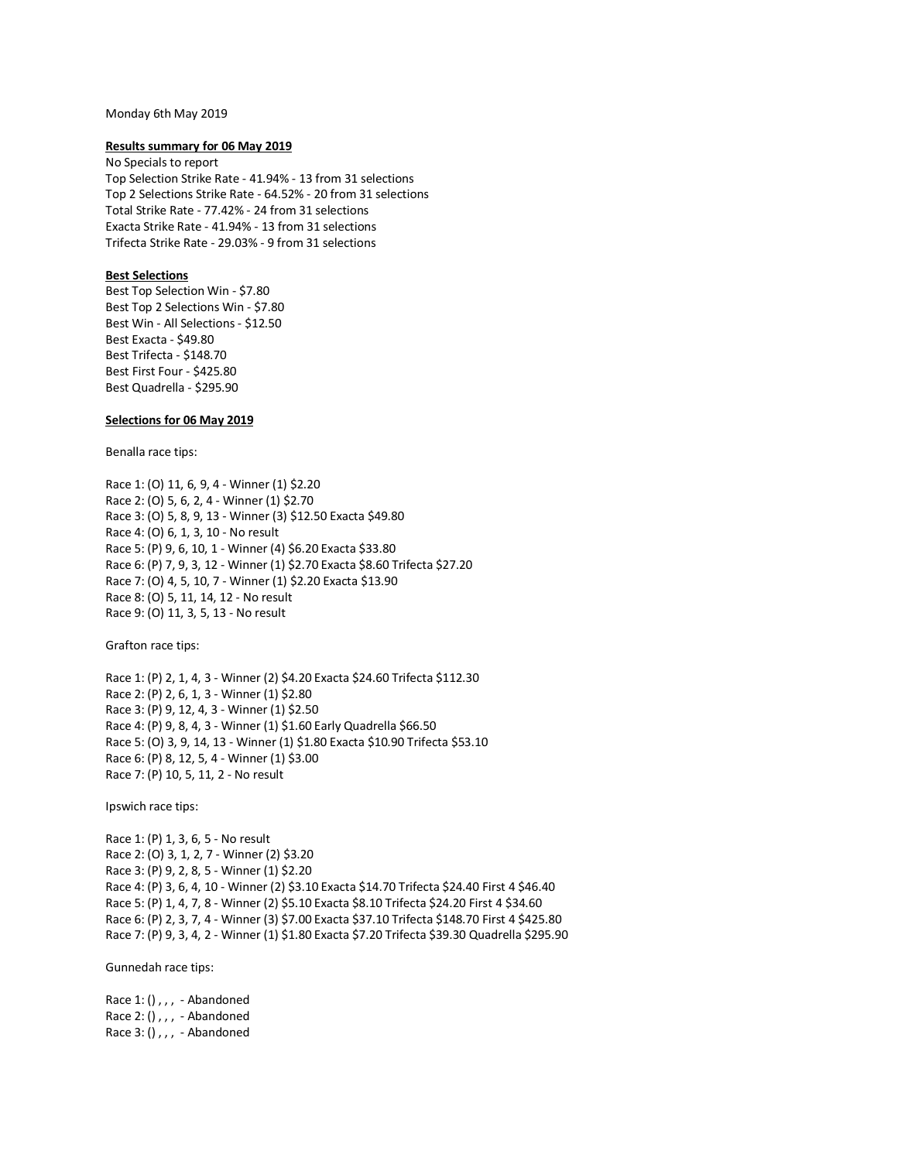### Monday 6th May 2019

### **Results summary for 06 May 2019**

No Specials to report Top Selection Strike Rate - 41.94% - 13 from 31 selections Top 2 Selections Strike Rate - 64.52% - 20 from 31 selections Total Strike Rate - 77.42% - 24 from 31 selections Exacta Strike Rate - 41.94% - 13 from 31 selections Trifecta Strike Rate - 29.03% - 9 from 31 selections

### **Best Selections**

Best Top Selection Win - \$7.80 Best Top 2 Selections Win - \$7.80 Best Win - All Selections - \$12.50 Best Exacta - \$49.80 Best Trifecta - \$148.70 Best First Four - \$425.80 Best Quadrella - \$295.90

## **Selections for 06 May 2019**

Benalla race tips:

Race 1: (O) 11, 6, 9, 4 - Winner (1) \$2.20 Race 2: (O) 5, 6, 2, 4 - Winner (1) \$2.70 Race 3: (O) 5, 8, 9, 13 - Winner (3) \$12.50 Exacta \$49.80 Race 4: (O) 6, 1, 3, 10 - No result Race 5: (P) 9, 6, 10, 1 - Winner (4) \$6.20 Exacta \$33.80 Race 6: (P) 7, 9, 3, 12 - Winner (1) \$2.70 Exacta \$8.60 Trifecta \$27.20 Race 7: (O) 4, 5, 10, 7 - Winner (1) \$2.20 Exacta \$13.90 Race 8: (O) 5, 11, 14, 12 - No result Race 9: (O) 11, 3, 5, 13 - No result

Grafton race tips:

Race 1: (P) 2, 1, 4, 3 - Winner (2) \$4.20 Exacta \$24.60 Trifecta \$112.30 Race 2: (P) 2, 6, 1, 3 - Winner (1) \$2.80 Race 3: (P) 9, 12, 4, 3 - Winner (1) \$2.50 Race 4: (P) 9, 8, 4, 3 - Winner (1) \$1.60 Early Quadrella \$66.50 Race 5: (O) 3, 9, 14, 13 - Winner (1) \$1.80 Exacta \$10.90 Trifecta \$53.10 Race 6: (P) 8, 12, 5, 4 - Winner (1) \$3.00 Race 7: (P) 10, 5, 11, 2 - No result

Ipswich race tips:

Race 1: (P) 1, 3, 6, 5 - No result Race 2: (O) 3, 1, 2, 7 - Winner (2) \$3.20 Race 3: (P) 9, 2, 8, 5 - Winner (1) \$2.20 Race 4: (P) 3, 6, 4, 10 - Winner (2) \$3.10 Exacta \$14.70 Trifecta \$24.40 First 4 \$46.40 Race 5: (P) 1, 4, 7, 8 - Winner (2) \$5.10 Exacta \$8.10 Trifecta \$24.20 First 4 \$34.60 Race 6: (P) 2, 3, 7, 4 - Winner (3) \$7.00 Exacta \$37.10 Trifecta \$148.70 First 4 \$425.80 Race 7: (P) 9, 3, 4, 2 - Winner (1) \$1.80 Exacta \$7.20 Trifecta \$39.30 Quadrella \$295.90

Gunnedah race tips:

Race 1: (),,, - Abandoned Race 2: (),,, - Abandoned Race 3: (),,, - Abandoned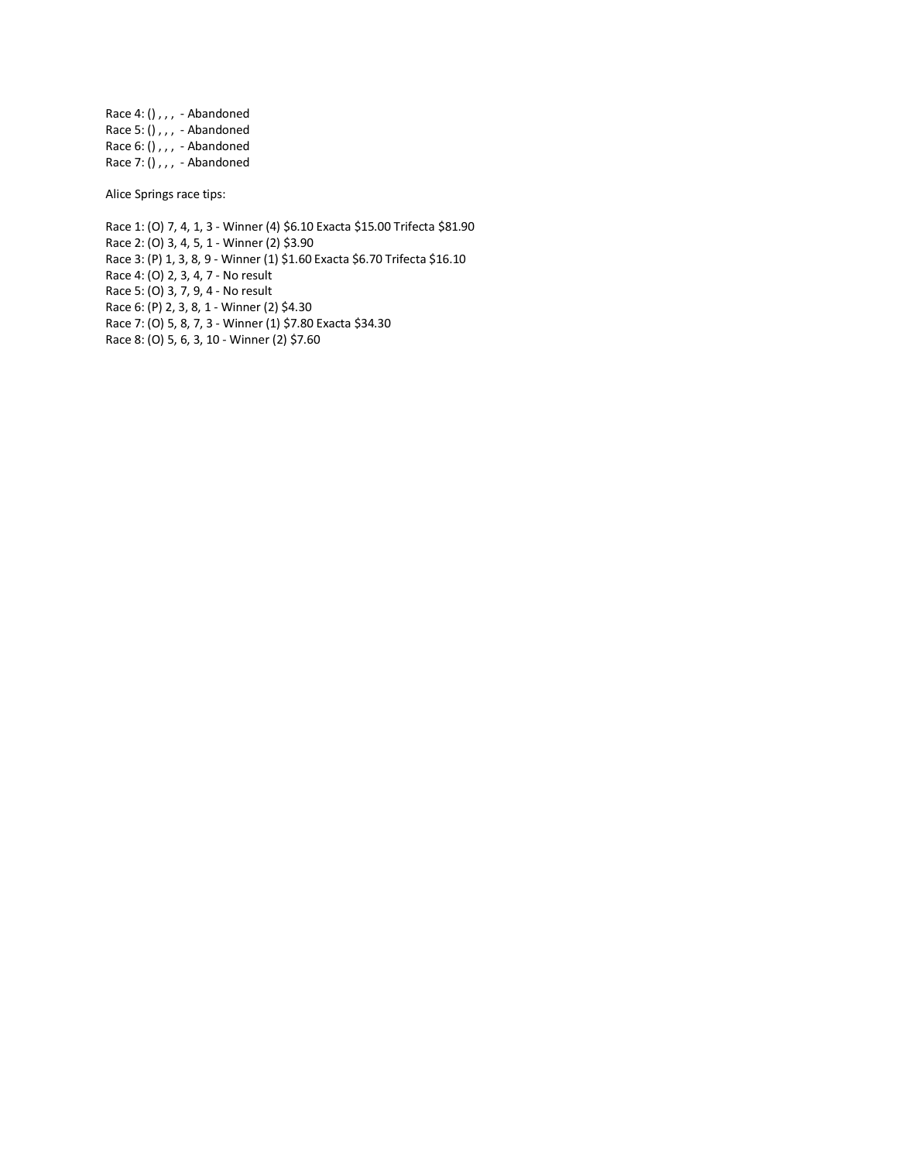Race 4: (),,, - Abandoned Race  $5:$  (),,, - Abandoned Race 6: () , , , - Abandoned Race 7: () , , , - Abandoned

Alice Springs race tips:

Race 1: (O) 7, 4, 1, 3 - Winner (4) \$6.10 Exacta \$15.00 Trifecta \$81.90 Race 2: (O) 3, 4, 5, 1 - Winner (2) \$3.90 Race 3: (P) 1, 3, 8, 9 - Winner (1) \$1.60 Exacta \$6.70 Trifecta \$16.10 Race 4: (O) 2, 3, 4, 7 - No result Race 5: (O) 3, 7, 9, 4 - No result Race 6: (P) 2, 3, 8, 1 - Winner (2) \$4.30 Race 7: (O) 5, 8, 7, 3 - Winner (1) \$7.80 Exacta \$34.30 Race 8: (O) 5, 6, 3, 10 - Winner (2) \$7.60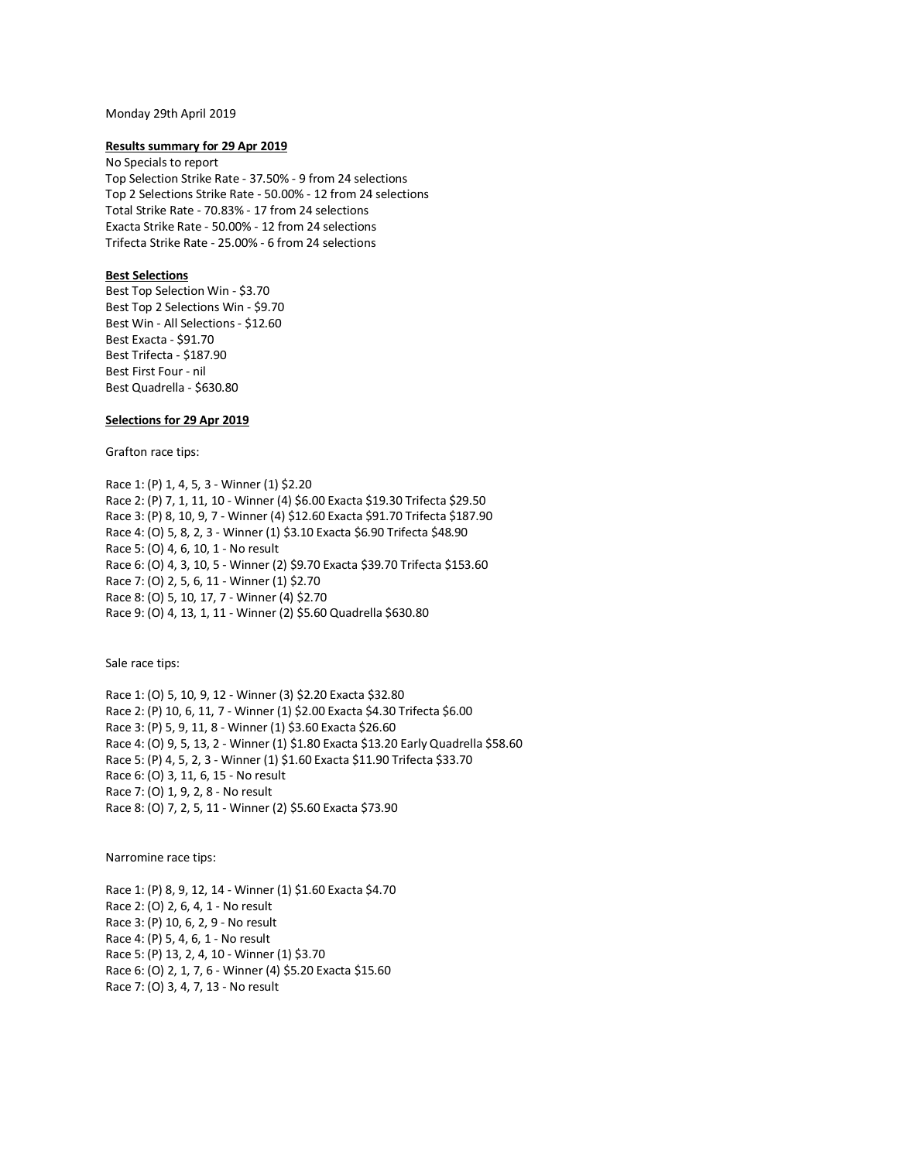#### Monday 29th April 2019

### **Results summary for 29 Apr 2019**

No Specials to report Top Selection Strike Rate - 37.50% - 9 from 24 selections Top 2 Selections Strike Rate - 50.00% - 12 from 24 selections Total Strike Rate - 70.83% - 17 from 24 selections Exacta Strike Rate - 50.00% - 12 from 24 selections Trifecta Strike Rate - 25.00% - 6 from 24 selections

## **Best Selections**

Best Top Selection Win - \$3.70 Best Top 2 Selections Win - \$9.70 Best Win - All Selections - \$12.60 Best Exacta - \$91.70 Best Trifecta - \$187.90 Best First Four - nil Best Quadrella - \$630.80

## **Selections for 29 Apr 2019**

Grafton race tips:

Race 1: (P) 1, 4, 5, 3 - Winner (1) \$2.20 Race 2: (P) 7, 1, 11, 10 - Winner (4) \$6.00 Exacta \$19.30 Trifecta \$29.50 Race 3: (P) 8, 10, 9, 7 - Winner (4) \$12.60 Exacta \$91.70 Trifecta \$187.90 Race 4: (O) 5, 8, 2, 3 - Winner (1) \$3.10 Exacta \$6.90 Trifecta \$48.90 Race 5: (O) 4, 6, 10, 1 - No result Race 6: (O) 4, 3, 10, 5 - Winner (2) \$9.70 Exacta \$39.70 Trifecta \$153.60 Race 7: (O) 2, 5, 6, 11 - Winner (1) \$2.70 Race 8: (O) 5, 10, 17, 7 - Winner (4) \$2.70 Race 9: (O) 4, 13, 1, 11 - Winner (2) \$5.60 Quadrella \$630.80

Sale race tips:

Race 1: (O) 5, 10, 9, 12 - Winner (3) \$2.20 Exacta \$32.80 Race 2: (P) 10, 6, 11, 7 - Winner (1) \$2.00 Exacta \$4.30 Trifecta \$6.00 Race 3: (P) 5, 9, 11, 8 - Winner (1) \$3.60 Exacta \$26.60 Race 4: (O) 9, 5, 13, 2 - Winner (1) \$1.80 Exacta \$13.20 Early Quadrella \$58.60 Race 5: (P) 4, 5, 2, 3 - Winner (1) \$1.60 Exacta \$11.90 Trifecta \$33.70 Race 6: (O) 3, 11, 6, 15 - No result Race 7: (O) 1, 9, 2, 8 - No result Race 8: (O) 7, 2, 5, 11 - Winner (2) \$5.60 Exacta \$73.90

Narromine race tips:

Race 1: (P) 8, 9, 12, 14 - Winner (1) \$1.60 Exacta \$4.70 Race 2: (O) 2, 6, 4, 1 - No result Race 3: (P) 10, 6, 2, 9 - No result Race 4: (P) 5, 4, 6, 1 - No result Race 5: (P) 13, 2, 4, 10 - Winner (1) \$3.70 Race 6: (O) 2, 1, 7, 6 - Winner (4) \$5.20 Exacta \$15.60 Race 7: (O) 3, 4, 7, 13 - No result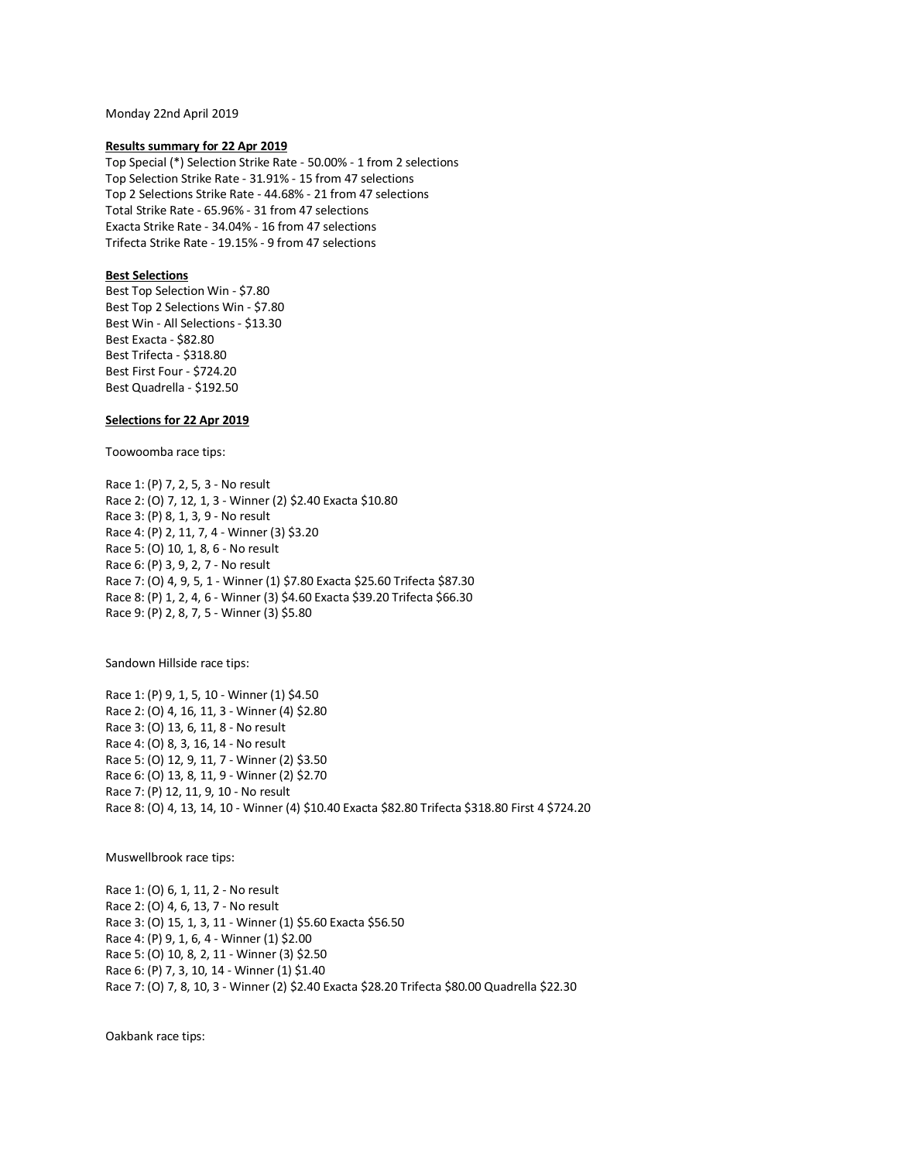Monday 22nd April 2019

### **Results summary for 22 Apr 2019**

Top Special (\*) Selection Strike Rate - 50.00% - 1 from 2 selections Top Selection Strike Rate - 31.91% - 15 from 47 selections Top 2 Selections Strike Rate - 44.68% - 21 from 47 selections Total Strike Rate - 65.96% - 31 from 47 selections Exacta Strike Rate - 34.04% - 16 from 47 selections Trifecta Strike Rate - 19.15% - 9 from 47 selections

## **Best Selections**

Best Top Selection Win - \$7.80 Best Top 2 Selections Win - \$7.80 Best Win - All Selections - \$13.30 Best Exacta - \$82.80 Best Trifecta - \$318.80 Best First Four - \$724.20 Best Quadrella - \$192.50

## **Selections for 22 Apr 2019**

Toowoomba race tips:

Race 1: (P) 7, 2, 5, 3 - No result Race 2: (O) 7, 12, 1, 3 - Winner (2) \$2.40 Exacta \$10.80 Race 3: (P) 8, 1, 3, 9 - No result Race 4: (P) 2, 11, 7, 4 - Winner (3) \$3.20 Race 5: (O) 10, 1, 8, 6 - No result Race 6: (P) 3, 9, 2, 7 - No result Race 7: (O) 4, 9, 5, 1 - Winner (1) \$7.80 Exacta \$25.60 Trifecta \$87.30 Race 8: (P) 1, 2, 4, 6 - Winner (3) \$4.60 Exacta \$39.20 Trifecta \$66.30 Race 9: (P) 2, 8, 7, 5 - Winner (3) \$5.80

Sandown Hillside race tips:

Race 1: (P) 9, 1, 5, 10 - Winner (1) \$4.50 Race 2: (O) 4, 16, 11, 3 - Winner (4) \$2.80 Race 3: (O) 13, 6, 11, 8 - No result Race 4: (O) 8, 3, 16, 14 - No result Race 5: (O) 12, 9, 11, 7 - Winner (2) \$3.50 Race 6: (O) 13, 8, 11, 9 - Winner (2) \$2.70 Race 7: (P) 12, 11, 9, 10 - No result Race 8: (O) 4, 13, 14, 10 - Winner (4) \$10.40 Exacta \$82.80 Trifecta \$318.80 First 4 \$724.20

Muswellbrook race tips:

Race 1: (O) 6, 1, 11, 2 - No result Race 2: (O) 4, 6, 13, 7 - No result Race 3: (O) 15, 1, 3, 11 - Winner (1) \$5.60 Exacta \$56.50 Race 4: (P) 9, 1, 6, 4 - Winner (1) \$2.00 Race 5: (O) 10, 8, 2, 11 - Winner (3) \$2.50 Race 6: (P) 7, 3, 10, 14 - Winner (1) \$1.40 Race 7: (O) 7, 8, 10, 3 - Winner (2) \$2.40 Exacta \$28.20 Trifecta \$80.00 Quadrella \$22.30

Oakbank race tips: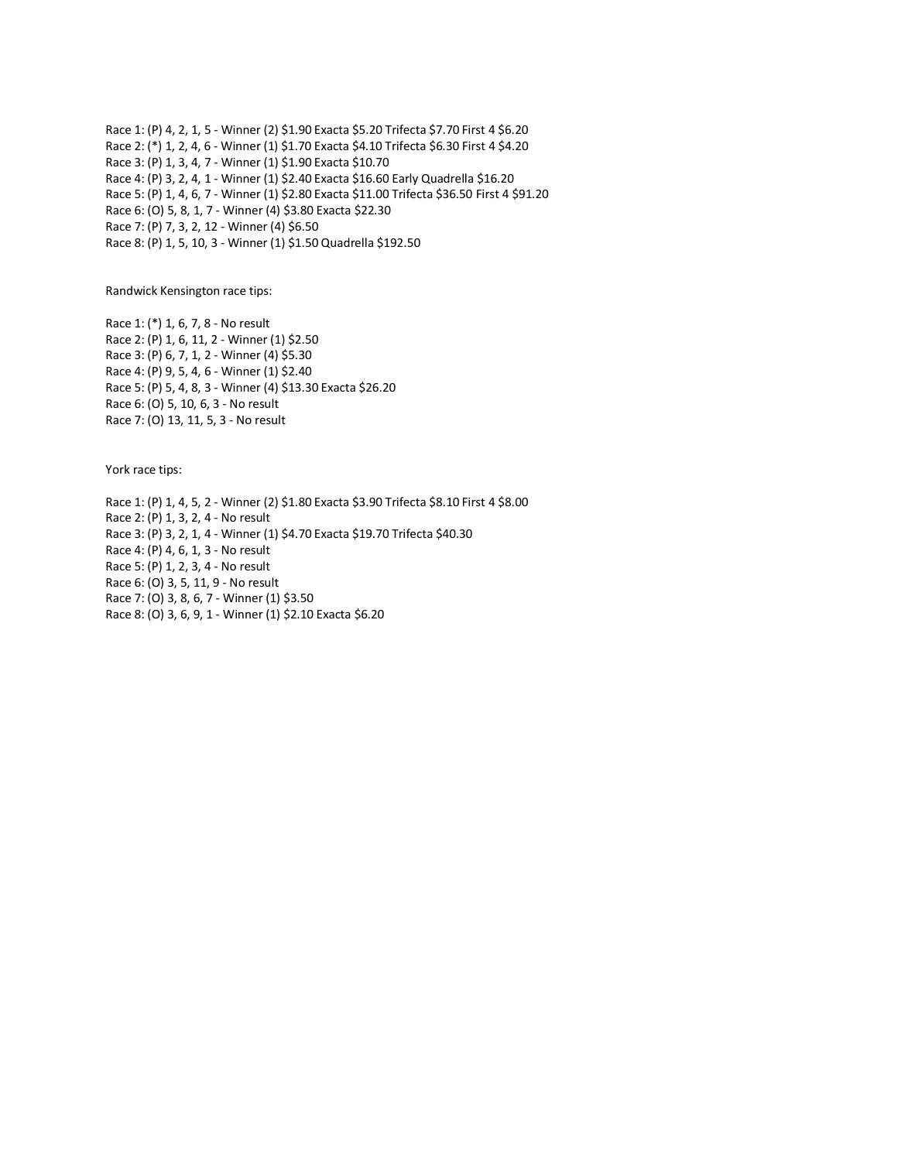Race 1: (P) 4, 2, 1, 5 - Winner (2) \$1.90 Exacta \$5.20 Trifecta \$7.70 First 4 \$6.20 Race 2: (\*) 1, 2, 4, 6 - Winner (1) \$1.70 Exacta \$4.10 Trifecta \$6.30 First 4 \$4.20 Race 3: (P) 1, 3, 4, 7 - Winner (1) \$1.90 Exacta \$10.70 Race 4: (P) 3, 2, 4, 1 - Winner (1) \$2.40 Exacta \$16.60 Early Quadrella \$16.20 Race 5: (P) 1, 4, 6, 7 - Winner (1) \$2.80 Exacta \$11.00 Trifecta \$36.50 First 4 \$91.20 Race 6: (O) 5, 8, 1, 7 - Winner (4) \$3.80 Exacta \$22.30 Race 7: (P) 7, 3, 2, 12 - Winner (4) \$6.50 Race 8: (P) 1, 5, 10, 3 - Winner (1) \$1.50 Quadrella \$192.50

Randwick Kensington race tips:

Race 1: (\*) 1, 6, 7, 8 - No result Race 2: (P) 1, 6, 11, 2 - Winner (1) \$2.50 Race 3: (P) 6, 7, 1, 2 - Winner (4) \$5.30 Race 4: (P) 9, 5, 4, 6 - Winner (1) \$2.40 Race 5: (P) 5, 4, 8, 3 - Winner (4) \$13.30 Exacta \$26.20 Race 6: (O) 5, 10, 6, 3 - No result Race 7: (O) 13, 11, 5, 3 - No result

York race tips:

Race 1: (P) 1, 4, 5, 2 - Winner (2) \$1.80 Exacta \$3.90 Trifecta \$8.10 First 4 \$8.00 Race 2: (P) 1, 3, 2, 4 - No result Race 3: (P) 3, 2, 1, 4 - Winner (1) \$4.70 Exacta \$19.70 Trifecta \$40.30 Race 4: (P) 4, 6, 1, 3 - No result Race 5: (P) 1, 2, 3, 4 - No result Race 6: (O) 3, 5, 11, 9 - No result Race 7: (O) 3, 8, 6, 7 - Winner (1) \$3.50 Race 8: (O) 3, 6, 9, 1 - Winner (1) \$2.10 Exacta \$6.20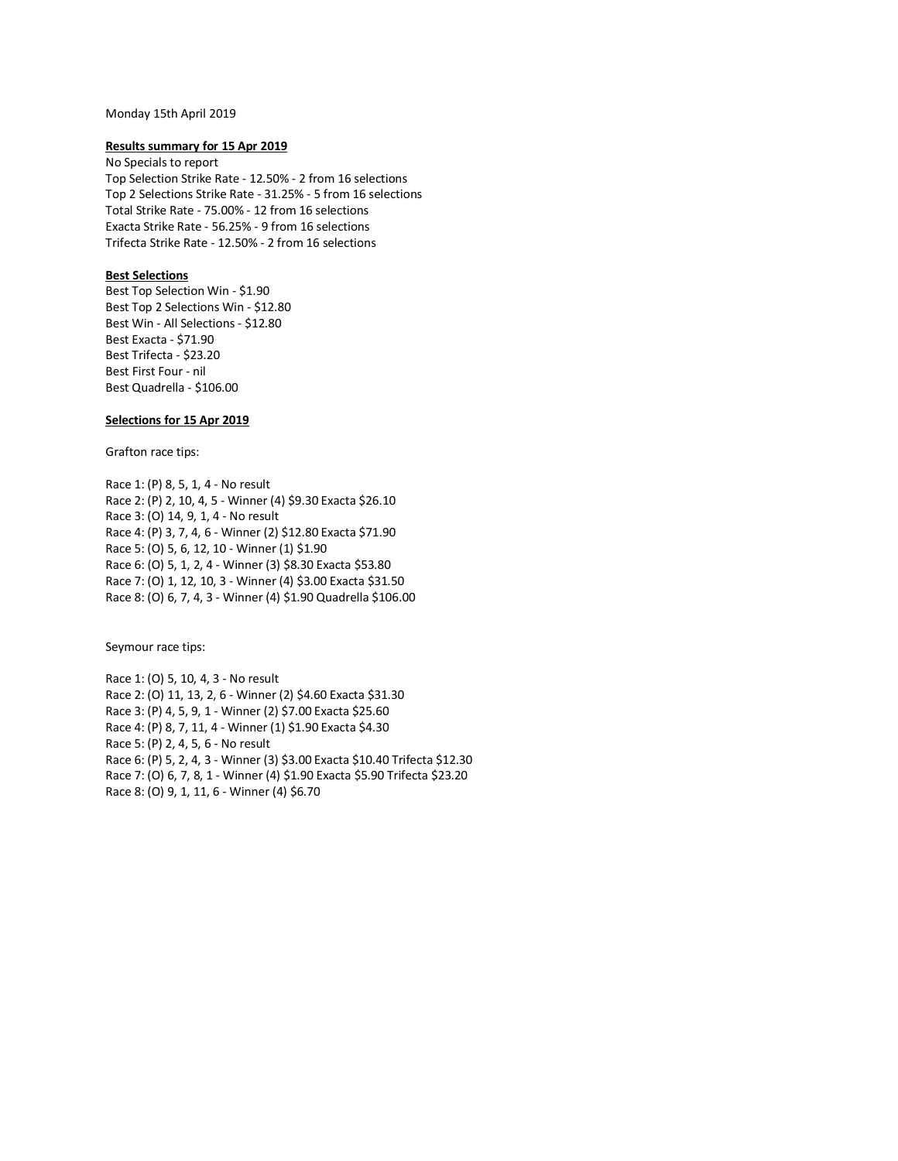## Monday 15th April 2019

### **Results summary for 15 Apr 2019**

No Specials to report Top Selection Strike Rate - 12.50% - 2 from 16 selections Top 2 Selections Strike Rate - 31.25% - 5 from 16 selections Total Strike Rate - 75.00% - 12 from 16 selections Exacta Strike Rate - 56.25% - 9 from 16 selections Trifecta Strike Rate - 12.50% - 2 from 16 selections

## **Best Selections**

Best Top Selection Win - \$1.90 Best Top 2 Selections Win - \$12.80 Best Win - All Selections - \$12.80 Best Exacta - \$71.90 Best Trifecta - \$23.20 Best First Four - nil Best Quadrella - \$106.00

## **Selections for 15 Apr 2019**

Grafton race tips:

Race 1: (P) 8, 5, 1, 4 - No result Race 2: (P) 2, 10, 4, 5 - Winner (4) \$9.30 Exacta \$26.10 Race 3: (O) 14, 9, 1, 4 - No result Race 4: (P) 3, 7, 4, 6 - Winner (2) \$12.80 Exacta \$71.90 Race 5: (O) 5, 6, 12, 10 - Winner (1) \$1.90 Race 6: (O) 5, 1, 2, 4 - Winner (3) \$8.30 Exacta \$53.80 Race 7: (O) 1, 12, 10, 3 - Winner (4) \$3.00 Exacta \$31.50 Race 8: (O) 6, 7, 4, 3 - Winner (4) \$1.90 Quadrella \$106.00

Seymour race tips:

Race 1: (O) 5, 10, 4, 3 - No result Race 2: (O) 11, 13, 2, 6 - Winner (2) \$4.60 Exacta \$31.30 Race 3: (P) 4, 5, 9, 1 - Winner (2) \$7.00 Exacta \$25.60 Race 4: (P) 8, 7, 11, 4 - Winner (1) \$1.90 Exacta \$4.30 Race 5: (P) 2, 4, 5, 6 - No result Race 6: (P) 5, 2, 4, 3 - Winner (3) \$3.00 Exacta \$10.40 Trifecta \$12.30 Race 7: (O) 6, 7, 8, 1 - Winner (4) \$1.90 Exacta \$5.90 Trifecta \$23.20 Race 8: (O) 9, 1, 11, 6 - Winner (4) \$6.70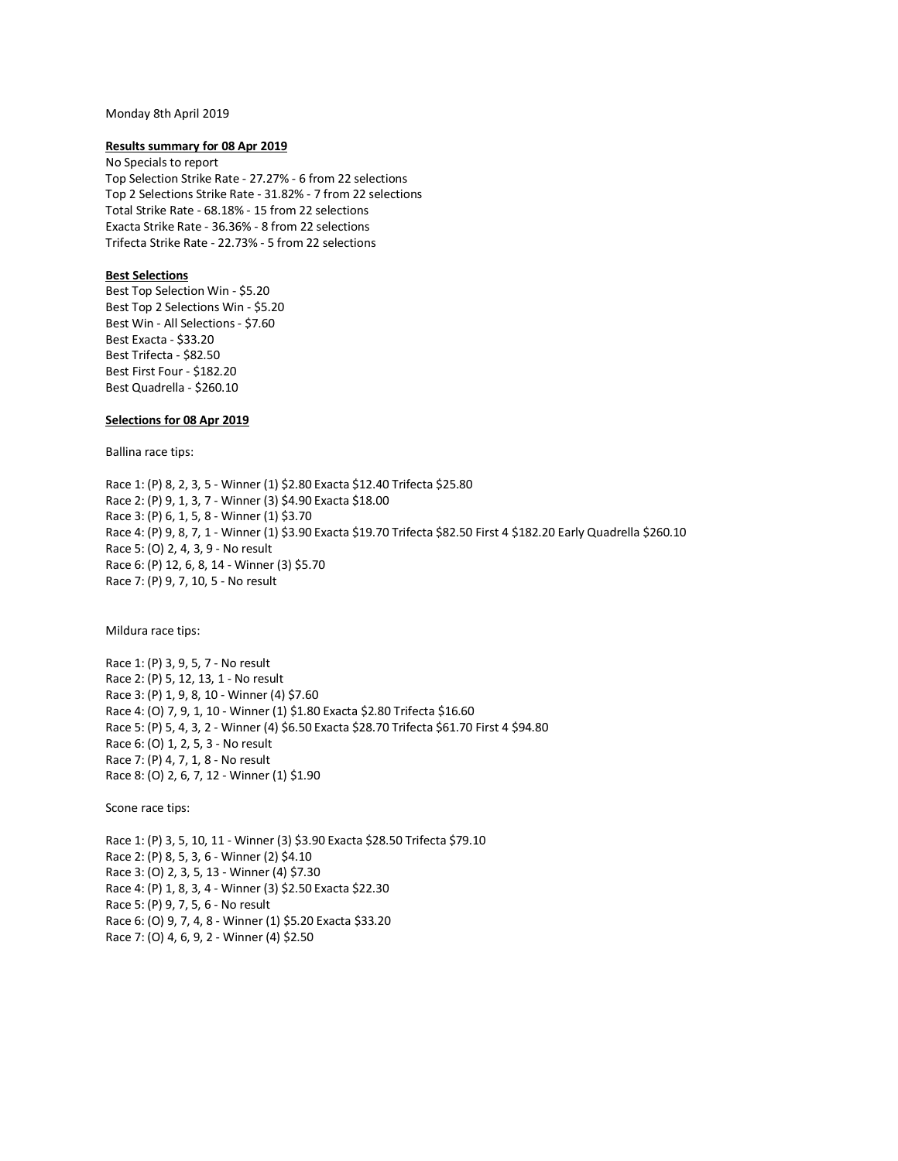#### Monday 8th April 2019

### **Results summary for 08 Apr 2019**

No Specials to report Top Selection Strike Rate - 27.27% - 6 from 22 selections Top 2 Selections Strike Rate - 31.82% - 7 from 22 selections Total Strike Rate - 68.18% - 15 from 22 selections Exacta Strike Rate - 36.36% - 8 from 22 selections Trifecta Strike Rate - 22.73% - 5 from 22 selections

## **Best Selections**

Best Top Selection Win - \$5.20 Best Top 2 Selections Win - \$5.20 Best Win - All Selections - \$7.60 Best Exacta - \$33.20 Best Trifecta - \$82.50 Best First Four - \$182.20 Best Quadrella - \$260.10

## **Selections for 08 Apr 2019**

Ballina race tips:

Race 1: (P) 8, 2, 3, 5 - Winner (1) \$2.80 Exacta \$12.40 Trifecta \$25.80 Race 2: (P) 9, 1, 3, 7 - Winner (3) \$4.90 Exacta \$18.00 Race 3: (P) 6, 1, 5, 8 - Winner (1) \$3.70 Race 4: (P) 9, 8, 7, 1 - Winner (1) \$3.90 Exacta \$19.70 Trifecta \$82.50 First 4 \$182.20 Early Quadrella \$260.10 Race 5: (O) 2, 4, 3, 9 - No result Race 6: (P) 12, 6, 8, 14 - Winner (3) \$5.70 Race 7: (P) 9, 7, 10, 5 - No result

Mildura race tips:

Race 1: (P) 3, 9, 5, 7 - No result Race 2: (P) 5, 12, 13, 1 - No result Race 3: (P) 1, 9, 8, 10 - Winner (4) \$7.60 Race 4: (O) 7, 9, 1, 10 - Winner (1) \$1.80 Exacta \$2.80 Trifecta \$16.60 Race 5: (P) 5, 4, 3, 2 - Winner (4) \$6.50 Exacta \$28.70 Trifecta \$61.70 First 4 \$94.80 Race 6: (O) 1, 2, 5, 3 - No result Race 7: (P) 4, 7, 1, 8 - No result Race 8: (O) 2, 6, 7, 12 - Winner (1) \$1.90

Scone race tips:

Race 1: (P) 3, 5, 10, 11 - Winner (3) \$3.90 Exacta \$28.50 Trifecta \$79.10 Race 2: (P) 8, 5, 3, 6 - Winner (2) \$4.10 Race 3: (O) 2, 3, 5, 13 - Winner (4) \$7.30 Race 4: (P) 1, 8, 3, 4 - Winner (3) \$2.50 Exacta \$22.30 Race 5: (P) 9, 7, 5, 6 - No result Race 6: (O) 9, 7, 4, 8 - Winner (1) \$5.20 Exacta \$33.20 Race 7: (O) 4, 6, 9, 2 - Winner (4) \$2.50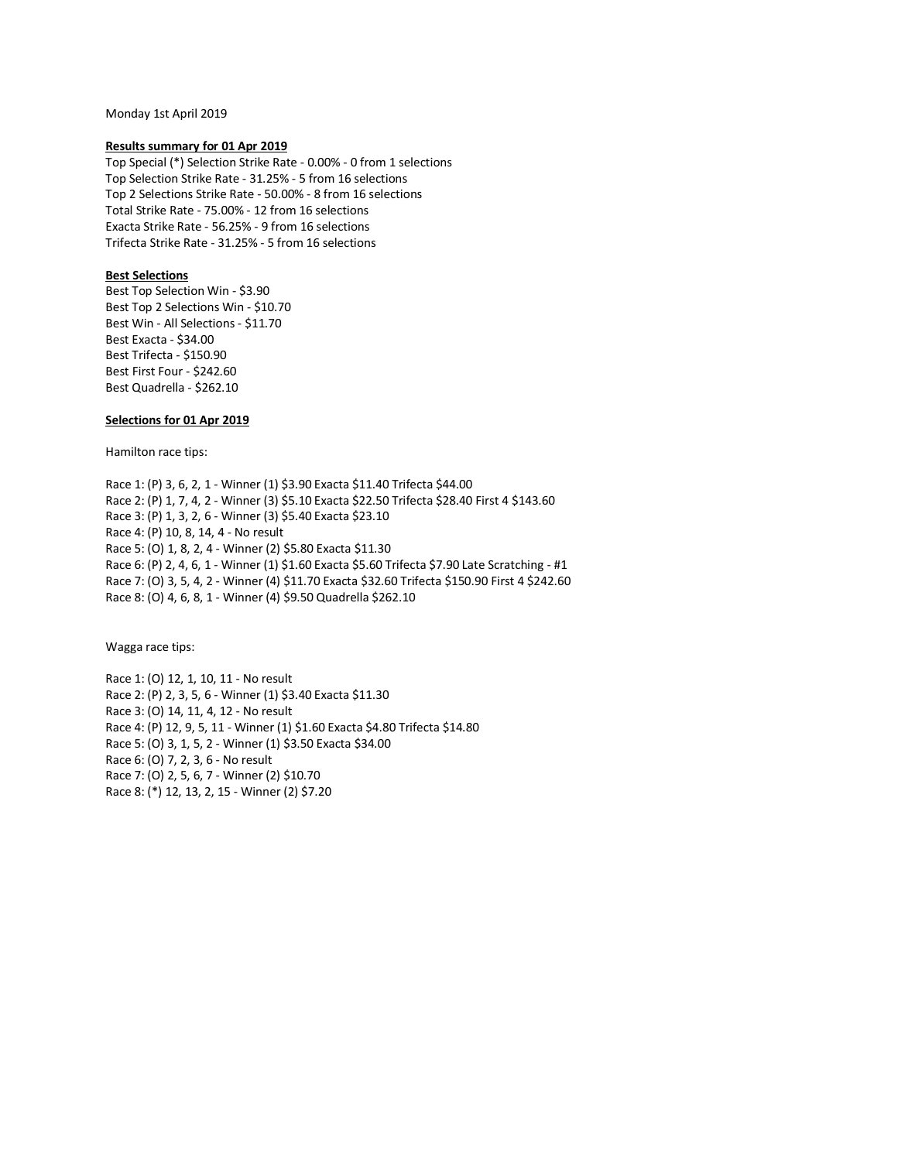Monday 1st April 2019

### **Results summary for 01 Apr 2019**

Top Special (\*) Selection Strike Rate - 0.00% - 0 from 1 selections Top Selection Strike Rate - 31.25% - 5 from 16 selections Top 2 Selections Strike Rate - 50.00% - 8 from 16 selections Total Strike Rate - 75.00% - 12 from 16 selections Exacta Strike Rate - 56.25% - 9 from 16 selections Trifecta Strike Rate - 31.25% - 5 from 16 selections

## **Best Selections**

Best Top Selection Win - \$3.90 Best Top 2 Selections Win - \$10.70 Best Win - All Selections - \$11.70 Best Exacta - \$34.00 Best Trifecta - \$150.90 Best First Four - \$242.60 Best Quadrella - \$262.10

### **Selections for 01 Apr 2019**

Hamilton race tips:

Race 1: (P) 3, 6, 2, 1 - Winner (1) \$3.90 Exacta \$11.40 Trifecta \$44.00 Race 2: (P) 1, 7, 4, 2 - Winner (3) \$5.10 Exacta \$22.50 Trifecta \$28.40 First 4 \$143.60 Race 3: (P) 1, 3, 2, 6 - Winner (3) \$5.40 Exacta \$23.10 Race 4: (P) 10, 8, 14, 4 - No result Race 5: (O) 1, 8, 2, 4 - Winner (2) \$5.80 Exacta \$11.30 Race 6: (P) 2, 4, 6, 1 - Winner (1) \$1.60 Exacta \$5.60 Trifecta \$7.90 Late Scratching - #1 Race 7: (O) 3, 5, 4, 2 - Winner (4) \$11.70 Exacta \$32.60 Trifecta \$150.90 First 4 \$242.60 Race 8: (O) 4, 6, 8, 1 - Winner (4) \$9.50 Quadrella \$262.10

Wagga race tips:

Race 1: (O) 12, 1, 10, 11 - No result Race 2: (P) 2, 3, 5, 6 - Winner (1) \$3.40 Exacta \$11.30 Race 3: (O) 14, 11, 4, 12 - No result Race 4: (P) 12, 9, 5, 11 - Winner (1) \$1.60 Exacta \$4.80 Trifecta \$14.80 Race 5: (O) 3, 1, 5, 2 - Winner (1) \$3.50 Exacta \$34.00 Race 6: (O) 7, 2, 3, 6 - No result Race 7: (O) 2, 5, 6, 7 - Winner (2) \$10.70 Race 8: (\*) 12, 13, 2, 15 - Winner (2) \$7.20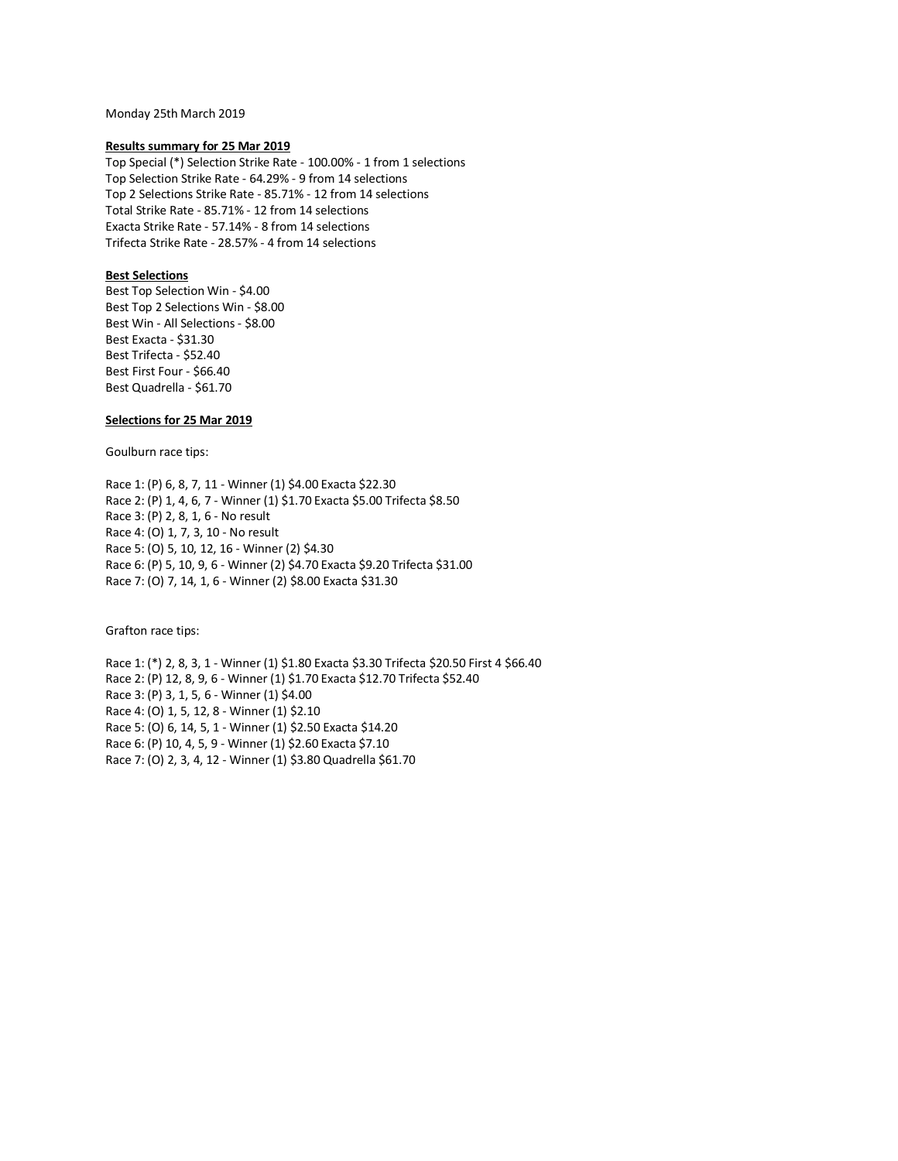Monday 25th March 2019

### **Results summary for 25 Mar 2019**

Top Special (\*) Selection Strike Rate - 100.00% - 1 from 1 selections Top Selection Strike Rate - 64.29% - 9 from 14 selections Top 2 Selections Strike Rate - 85.71% - 12 from 14 selections Total Strike Rate - 85.71% - 12 from 14 selections Exacta Strike Rate - 57.14% - 8 from 14 selections Trifecta Strike Rate - 28.57% - 4 from 14 selections

## **Best Selections**

Best Top Selection Win - \$4.00 Best Top 2 Selections Win - \$8.00 Best Win - All Selections - \$8.00 Best Exacta - \$31.30 Best Trifecta - \$52.40 Best First Four - \$66.40 Best Quadrella - \$61.70

## **Selections for 25 Mar 2019**

Goulburn race tips:

Race 1: (P) 6, 8, 7, 11 - Winner (1) \$4.00 Exacta \$22.30 Race 2: (P) 1, 4, 6, 7 - Winner (1) \$1.70 Exacta \$5.00 Trifecta \$8.50 Race 3: (P) 2, 8, 1, 6 - No result Race 4: (O) 1, 7, 3, 10 - No result Race 5: (O) 5, 10, 12, 16 - Winner (2) \$4.30 Race 6: (P) 5, 10, 9, 6 - Winner (2) \$4.70 Exacta \$9.20 Trifecta \$31.00 Race 7: (O) 7, 14, 1, 6 - Winner (2) \$8.00 Exacta \$31.30

Grafton race tips:

Race 1: (\*) 2, 8, 3, 1 - Winner (1) \$1.80 Exacta \$3.30 Trifecta \$20.50 First 4 \$66.40 Race 2: (P) 12, 8, 9, 6 - Winner (1) \$1.70 Exacta \$12.70 Trifecta \$52.40 Race 3: (P) 3, 1, 5, 6 - Winner (1) \$4.00 Race 4: (O) 1, 5, 12, 8 - Winner (1) \$2.10 Race 5: (O) 6, 14, 5, 1 - Winner (1) \$2.50 Exacta \$14.20 Race 6: (P) 10, 4, 5, 9 - Winner (1) \$2.60 Exacta \$7.10 Race 7: (O) 2, 3, 4, 12 - Winner (1) \$3.80 Quadrella \$61.70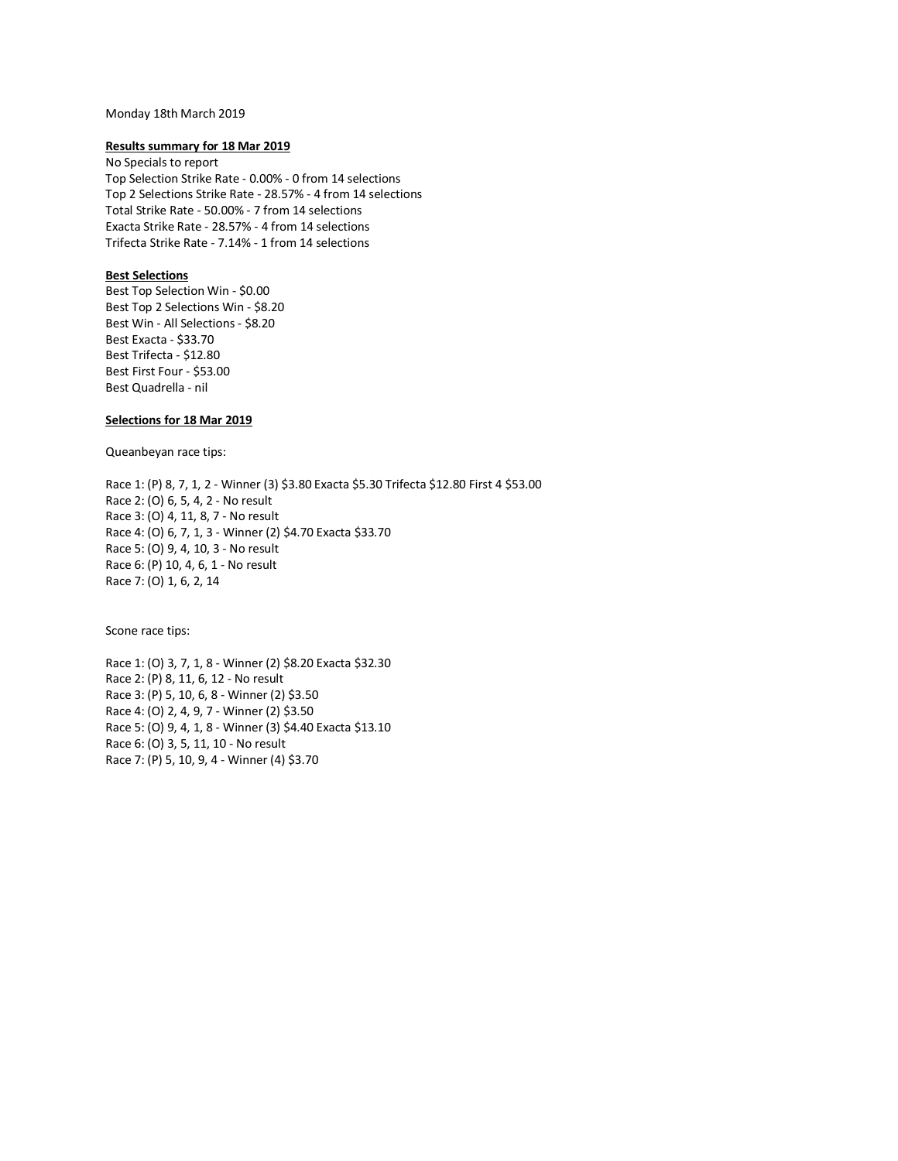## Monday 18th March 2019

### **Results summary for 18 Mar 2019**

No Specials to report Top Selection Strike Rate - 0.00% - 0 from 14 selections Top 2 Selections Strike Rate - 28.57% - 4 from 14 selections Total Strike Rate - 50.00% - 7 from 14 selections Exacta Strike Rate - 28.57% - 4 from 14 selections Trifecta Strike Rate - 7.14% - 1 from 14 selections

## **Best Selections**

Best Top Selection Win - \$0.00 Best Top 2 Selections Win - \$8.20 Best Win - All Selections - \$8.20 Best Exacta - \$33.70 Best Trifecta - \$12.80 Best First Four - \$53.00 Best Quadrella - nil

## **Selections for 18 Mar 2019**

Queanbeyan race tips:

Race 1: (P) 8, 7, 1, 2 - Winner (3) \$3.80 Exacta \$5.30 Trifecta \$12.80 First 4 \$53.00 Race 2: (O) 6, 5, 4, 2 - No result Race 3: (O) 4, 11, 8, 7 - No result Race 4: (O) 6, 7, 1, 3 - Winner (2) \$4.70 Exacta \$33.70 Race 5: (O) 9, 4, 10, 3 - No result Race 6: (P) 10, 4, 6, 1 - No result Race 7: (O) 1, 6, 2, 14

Scone race tips:

Race 1: (O) 3, 7, 1, 8 - Winner (2) \$8.20 Exacta \$32.30 Race 2: (P) 8, 11, 6, 12 - No result Race 3: (P) 5, 10, 6, 8 - Winner (2) \$3.50 Race 4: (O) 2, 4, 9, 7 - Winner (2) \$3.50 Race 5: (O) 9, 4, 1, 8 - Winner (3) \$4.40 Exacta \$13.10 Race 6: (O) 3, 5, 11, 10 - No result Race 7: (P) 5, 10, 9, 4 - Winner (4) \$3.70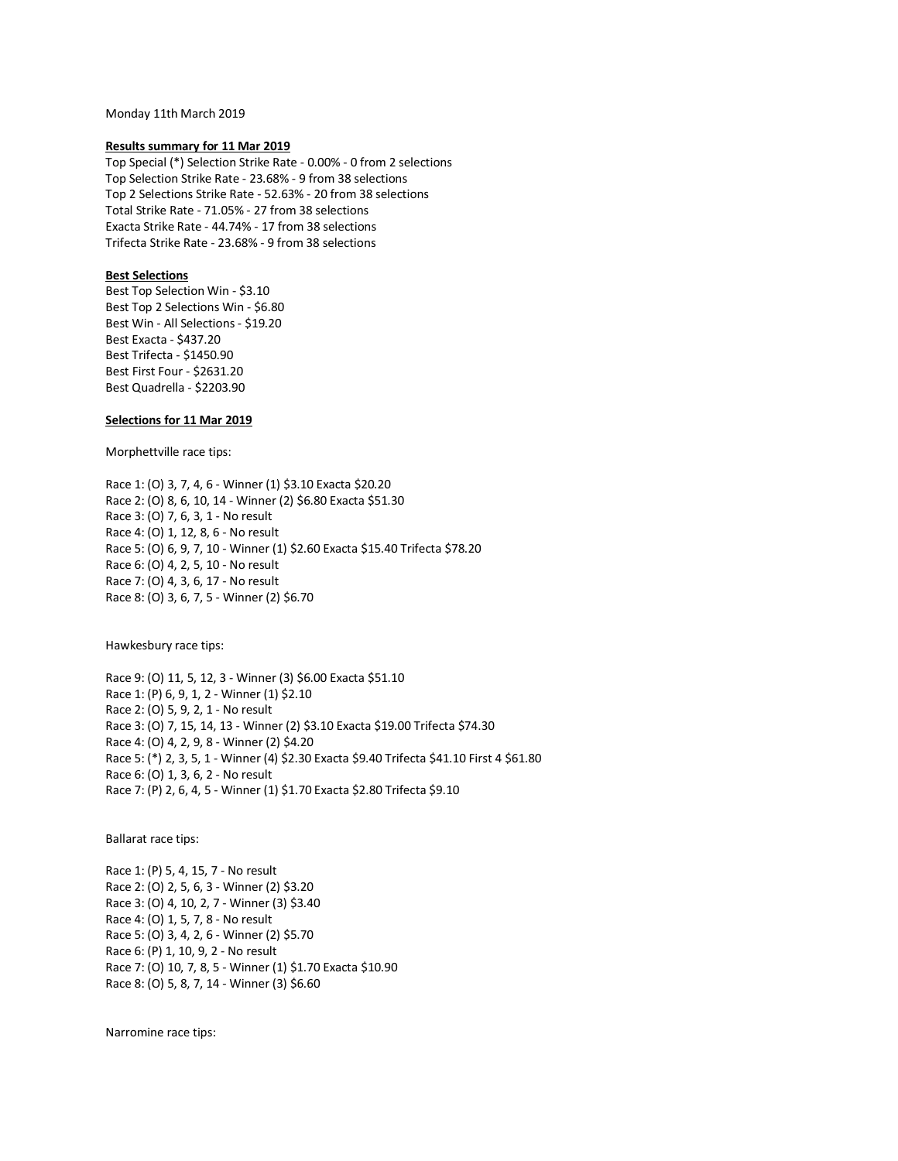Monday 11th March 2019

### **Results summary for 11 Mar 2019**

Top Special (\*) Selection Strike Rate - 0.00% - 0 from 2 selections Top Selection Strike Rate - 23.68% - 9 from 38 selections Top 2 Selections Strike Rate - 52.63% - 20 from 38 selections Total Strike Rate - 71.05% - 27 from 38 selections Exacta Strike Rate - 44.74% - 17 from 38 selections Trifecta Strike Rate - 23.68% - 9 from 38 selections

## **Best Selections**

Best Top Selection Win - \$3.10 Best Top 2 Selections Win - \$6.80 Best Win - All Selections - \$19.20 Best Exacta - \$437.20 Best Trifecta - \$1450.90 Best First Four - \$2631.20 Best Quadrella - \$2203.90

## **Selections for 11 Mar 2019**

Morphettville race tips:

Race 1: (O) 3, 7, 4, 6 - Winner (1) \$3.10 Exacta \$20.20 Race 2: (O) 8, 6, 10, 14 - Winner (2) \$6.80 Exacta \$51.30 Race 3: (O) 7, 6, 3, 1 - No result Race 4: (O) 1, 12, 8, 6 - No result Race 5: (O) 6, 9, 7, 10 - Winner (1) \$2.60 Exacta \$15.40 Trifecta \$78.20 Race 6: (O) 4, 2, 5, 10 - No result Race 7: (O) 4, 3, 6, 17 - No result Race 8: (O) 3, 6, 7, 5 - Winner (2) \$6.70

Hawkesbury race tips:

Race 9: (O) 11, 5, 12, 3 - Winner (3) \$6.00 Exacta \$51.10 Race 1: (P) 6, 9, 1, 2 - Winner (1) \$2.10 Race 2: (O) 5, 9, 2, 1 - No result Race 3: (O) 7, 15, 14, 13 - Winner (2) \$3.10 Exacta \$19.00 Trifecta \$74.30 Race 4: (O) 4, 2, 9, 8 - Winner (2) \$4.20 Race 5: (\*) 2, 3, 5, 1 - Winner (4) \$2.30 Exacta \$9.40 Trifecta \$41.10 First 4 \$61.80 Race 6: (O) 1, 3, 6, 2 - No result Race 7: (P) 2, 6, 4, 5 - Winner (1) \$1.70 Exacta \$2.80 Trifecta \$9.10

Ballarat race tips:

Race 1: (P) 5, 4, 15, 7 - No result Race 2: (O) 2, 5, 6, 3 - Winner (2) \$3.20 Race 3: (O) 4, 10, 2, 7 - Winner (3) \$3.40 Race 4: (O) 1, 5, 7, 8 - No result Race 5: (O) 3, 4, 2, 6 - Winner (2) \$5.70 Race 6: (P) 1, 10, 9, 2 - No result Race 7: (O) 10, 7, 8, 5 - Winner (1) \$1.70 Exacta \$10.90 Race 8: (O) 5, 8, 7, 14 - Winner (3) \$6.60

Narromine race tips: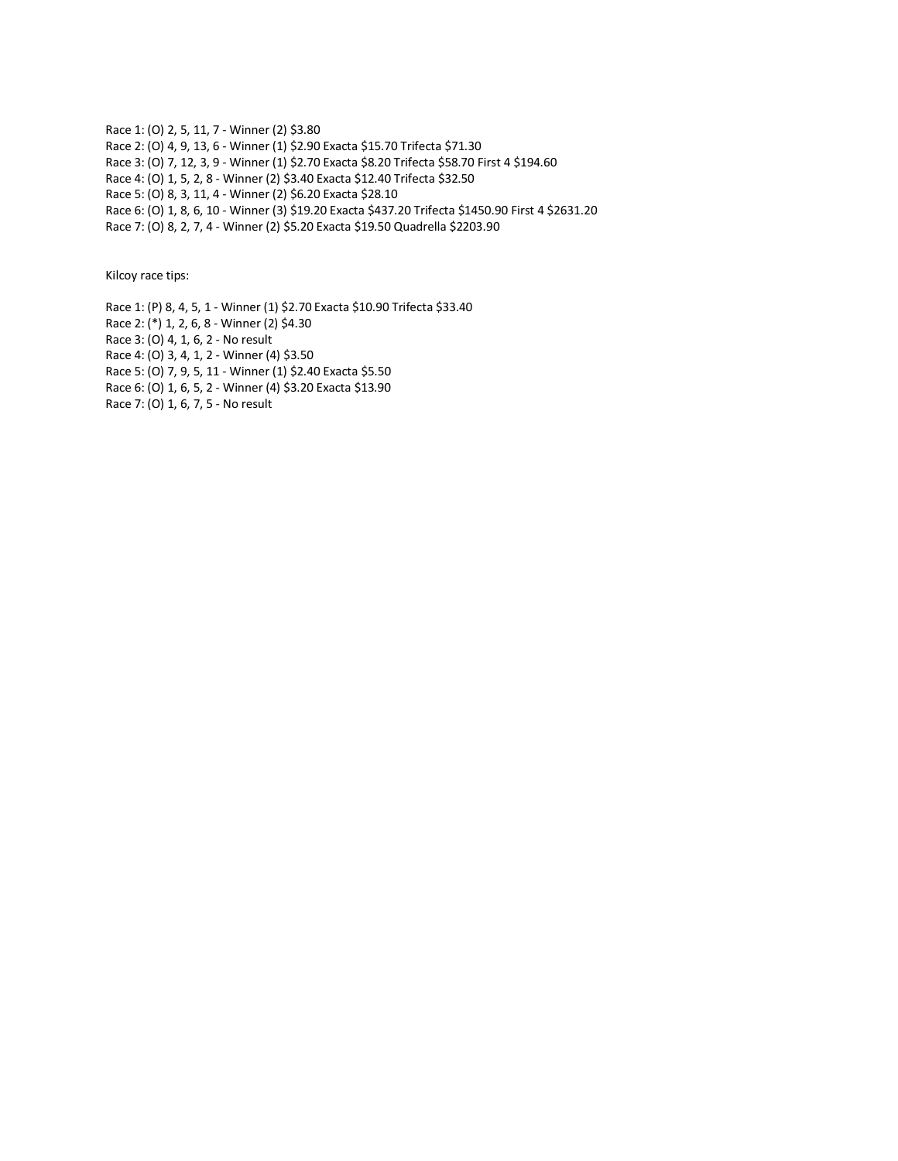Race 1: (O) 2, 5, 11, 7 - Winner (2) \$3.80 Race 2: (O) 4, 9, 13, 6 - Winner (1) \$2.90 Exacta \$15.70 Trifecta \$71.30 Race 3: (O) 7, 12, 3, 9 - Winner (1) \$2.70 Exacta \$8.20 Trifecta \$58.70 First 4 \$194.60 Race 4: (O) 1, 5, 2, 8 - Winner (2) \$3.40 Exacta \$12.40 Trifecta \$32.50 Race 5: (O) 8, 3, 11, 4 - Winner (2) \$6.20 Exacta \$28.10 Race 6: (O) 1, 8, 6, 10 - Winner (3) \$19.20 Exacta \$437.20 Trifecta \$1450.90 First 4 \$2631.20 Race 7: (O) 8, 2, 7, 4 - Winner (2) \$5.20 Exacta \$19.50 Quadrella \$2203.90

Kilcoy race tips:

Race 1: (P) 8, 4, 5, 1 - Winner (1) \$2.70 Exacta \$10.90 Trifecta \$33.40 Race 2: (\*) 1, 2, 6, 8 - Winner (2) \$4.30 Race 3: (O) 4, 1, 6, 2 - No result Race 4: (O) 3, 4, 1, 2 - Winner (4) \$3.50 Race 5: (O) 7, 9, 5, 11 - Winner (1) \$2.40 Exacta \$5.50 Race 6: (O) 1, 6, 5, 2 - Winner (4) \$3.20 Exacta \$13.90 Race 7: (O) 1, 6, 7, 5 - No result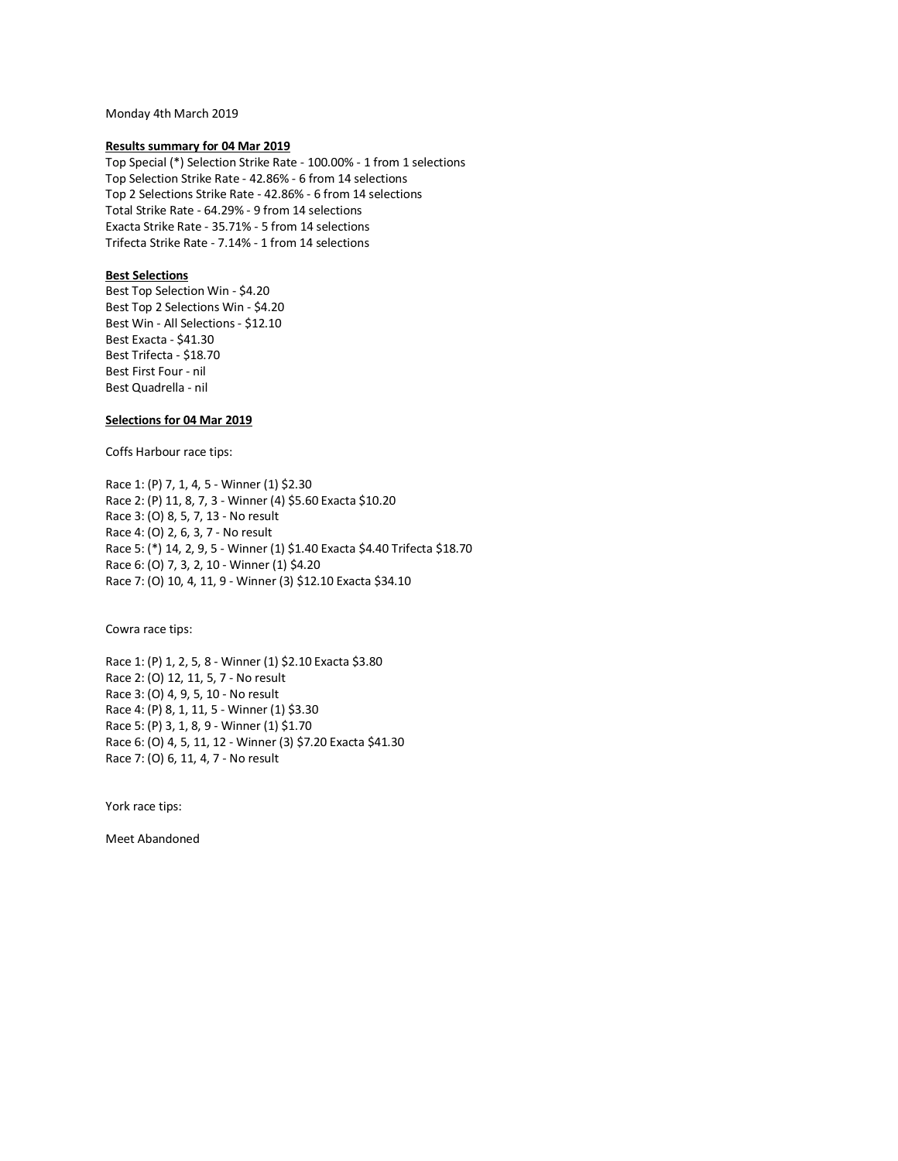Monday 4th March 2019

### **Results summary for 04 Mar 2019**

Top Special (\*) Selection Strike Rate - 100.00% - 1 from 1 selections Top Selection Strike Rate - 42.86% - 6 from 14 selections Top 2 Selections Strike Rate - 42.86% - 6 from 14 selections Total Strike Rate - 64.29% - 9 from 14 selections Exacta Strike Rate - 35.71% - 5 from 14 selections Trifecta Strike Rate - 7.14% - 1 from 14 selections

## **Best Selections**

Best Top Selection Win - \$4.20 Best Top 2 Selections Win - \$4.20 Best Win - All Selections - \$12.10 Best Exacta - \$41.30 Best Trifecta - \$18.70 Best First Four - nil Best Quadrella - nil

## **Selections for 04 Mar 2019**

Coffs Harbour race tips:

Race 1: (P) 7, 1, 4, 5 - Winner (1) \$2.30 Race 2: (P) 11, 8, 7, 3 - Winner (4) \$5.60 Exacta \$10.20 Race 3: (O) 8, 5, 7, 13 - No result Race 4: (O) 2, 6, 3, 7 - No result Race 5: (\*) 14, 2, 9, 5 - Winner (1) \$1.40 Exacta \$4.40 Trifecta \$18.70 Race 6: (O) 7, 3, 2, 10 - Winner (1) \$4.20 Race 7: (O) 10, 4, 11, 9 - Winner (3) \$12.10 Exacta \$34.10

Cowra race tips:

Race 1: (P) 1, 2, 5, 8 - Winner (1) \$2.10 Exacta \$3.80 Race 2: (O) 12, 11, 5, 7 - No result Race 3: (O) 4, 9, 5, 10 - No result Race 4: (P) 8, 1, 11, 5 - Winner (1) \$3.30 Race 5: (P) 3, 1, 8, 9 - Winner (1) \$1.70 Race 6: (O) 4, 5, 11, 12 - Winner (3) \$7.20 Exacta \$41.30 Race 7: (O) 6, 11, 4, 7 - No result

York race tips:

Meet Abandoned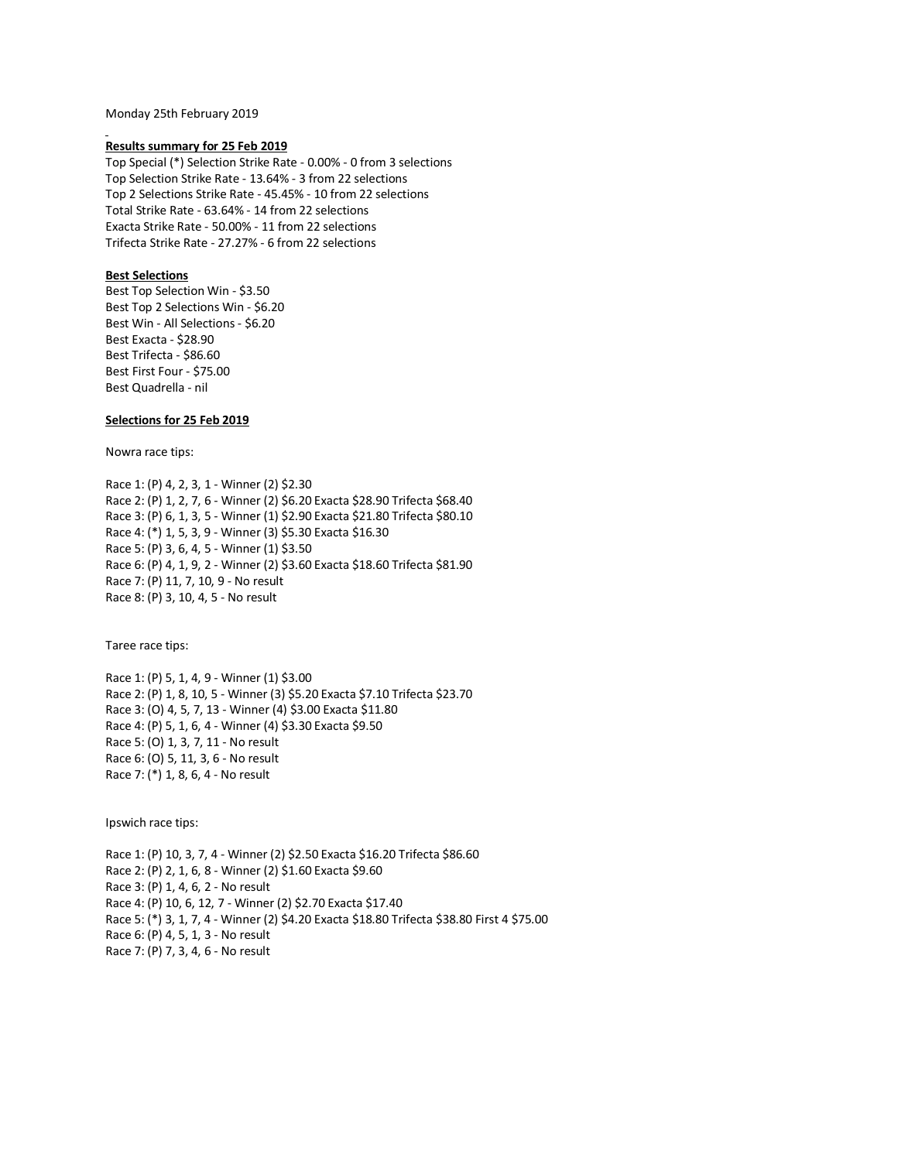Monday 25th February 2019

#### **Results summary for 25 Feb 2019**

Top Special (\*) Selection Strike Rate - 0.00% - 0 from 3 selections Top Selection Strike Rate - 13.64% - 3 from 22 selections Top 2 Selections Strike Rate - 45.45% - 10 from 22 selections Total Strike Rate - 63.64% - 14 from 22 selections Exacta Strike Rate - 50.00% - 11 from 22 selections Trifecta Strike Rate - 27.27% - 6 from 22 selections

## **Best Selections**

Best Top Selection Win - \$3.50 Best Top 2 Selections Win - \$6.20 Best Win - All Selections - \$6.20 Best Exacta - \$28.90 Best Trifecta - \$86.60 Best First Four - \$75.00 Best Quadrella - nil

## **Selections for 25 Feb 2019**

Nowra race tips:

Race 1: (P) 4, 2, 3, 1 - Winner (2) \$2.30 Race 2: (P) 1, 2, 7, 6 - Winner (2) \$6.20 Exacta \$28.90 Trifecta \$68.40 Race 3: (P) 6, 1, 3, 5 - Winner (1) \$2.90 Exacta \$21.80 Trifecta \$80.10 Race 4: (\*) 1, 5, 3, 9 - Winner (3) \$5.30 Exacta \$16.30 Race 5: (P) 3, 6, 4, 5 - Winner (1) \$3.50 Race 6: (P) 4, 1, 9, 2 - Winner (2) \$3.60 Exacta \$18.60 Trifecta \$81.90 Race 7: (P) 11, 7, 10, 9 - No result Race 8: (P) 3, 10, 4, 5 - No result

Taree race tips:

Race 1: (P) 5, 1, 4, 9 - Winner (1) \$3.00 Race 2: (P) 1, 8, 10, 5 - Winner (3) \$5.20 Exacta \$7.10 Trifecta \$23.70 Race 3: (O) 4, 5, 7, 13 - Winner (4) \$3.00 Exacta \$11.80 Race 4: (P) 5, 1, 6, 4 - Winner (4) \$3.30 Exacta \$9.50 Race 5: (O) 1, 3, 7, 11 - No result Race 6: (O) 5, 11, 3, 6 - No result Race 7: (\*) 1, 8, 6, 4 - No result

Ipswich race tips:

Race 1: (P) 10, 3, 7, 4 - Winner (2) \$2.50 Exacta \$16.20 Trifecta \$86.60 Race 2: (P) 2, 1, 6, 8 - Winner (2) \$1.60 Exacta \$9.60 Race 3: (P) 1, 4, 6, 2 - No result Race 4: (P) 10, 6, 12, 7 - Winner (2) \$2.70 Exacta \$17.40 Race 5: (\*) 3, 1, 7, 4 - Winner (2) \$4.20 Exacta \$18.80 Trifecta \$38.80 First 4 \$75.00 Race 6: (P) 4, 5, 1, 3 - No result Race 7: (P) 7, 3, 4, 6 - No result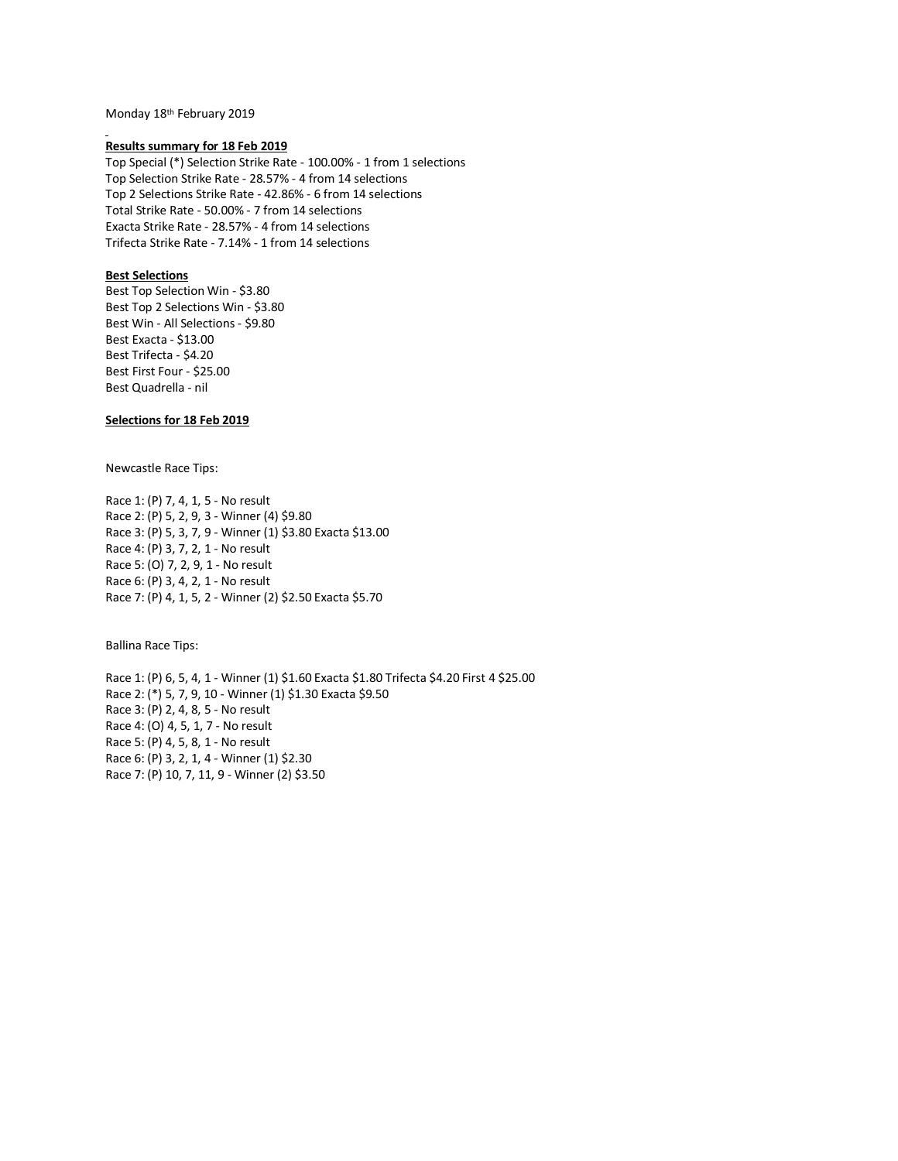Monday 18th February 2019

## **Results summary for 18 Feb 2019**

Top Special (\*) Selection Strike Rate - 100.00% - 1 from 1 selections Top Selection Strike Rate - 28.57% - 4 from 14 selections Top 2 Selections Strike Rate - 42.86% - 6 from 14 selections Total Strike Rate - 50.00% - 7 from 14 selections Exacta Strike Rate - 28.57% - 4 from 14 selections Trifecta Strike Rate - 7.14% - 1 from 14 selections

## **Best Selections**

Best Top Selection Win - \$3.80 Best Top 2 Selections Win - \$3.80 Best Win - All Selections - \$9.80 Best Exacta - \$13.00 Best Trifecta - \$4.20 Best First Four - \$25.00 Best Quadrella - nil

## **Selections for 18 Feb 2019**

Newcastle Race Tips:

Race 1: (P) 7, 4, 1, 5 - No result Race 2: (P) 5, 2, 9, 3 - Winner (4) \$9.80 Race 3: (P) 5, 3, 7, 9 - Winner (1) \$3.80 Exacta \$13.00 Race 4: (P) 3, 7, 2, 1 - No result Race 5: (O) 7, 2, 9, 1 - No result Race 6: (P) 3, 4, 2, 1 - No result Race 7: (P) 4, 1, 5, 2 - Winner (2) \$2.50 Exacta \$5.70

Ballina Race Tips:

Race 1: (P) 6, 5, 4, 1 - Winner (1) \$1.60 Exacta \$1.80 Trifecta \$4.20 First 4 \$25.00 Race 2: (\*) 5, 7, 9, 10 - Winner (1) \$1.30 Exacta \$9.50 Race 3: (P) 2, 4, 8, 5 - No result Race 4: (O) 4, 5, 1, 7 - No result Race 5: (P) 4, 5, 8, 1 - No result Race 6: (P) 3, 2, 1, 4 - Winner (1) \$2.30 Race 7: (P) 10, 7, 11, 9 - Winner (2) \$3.50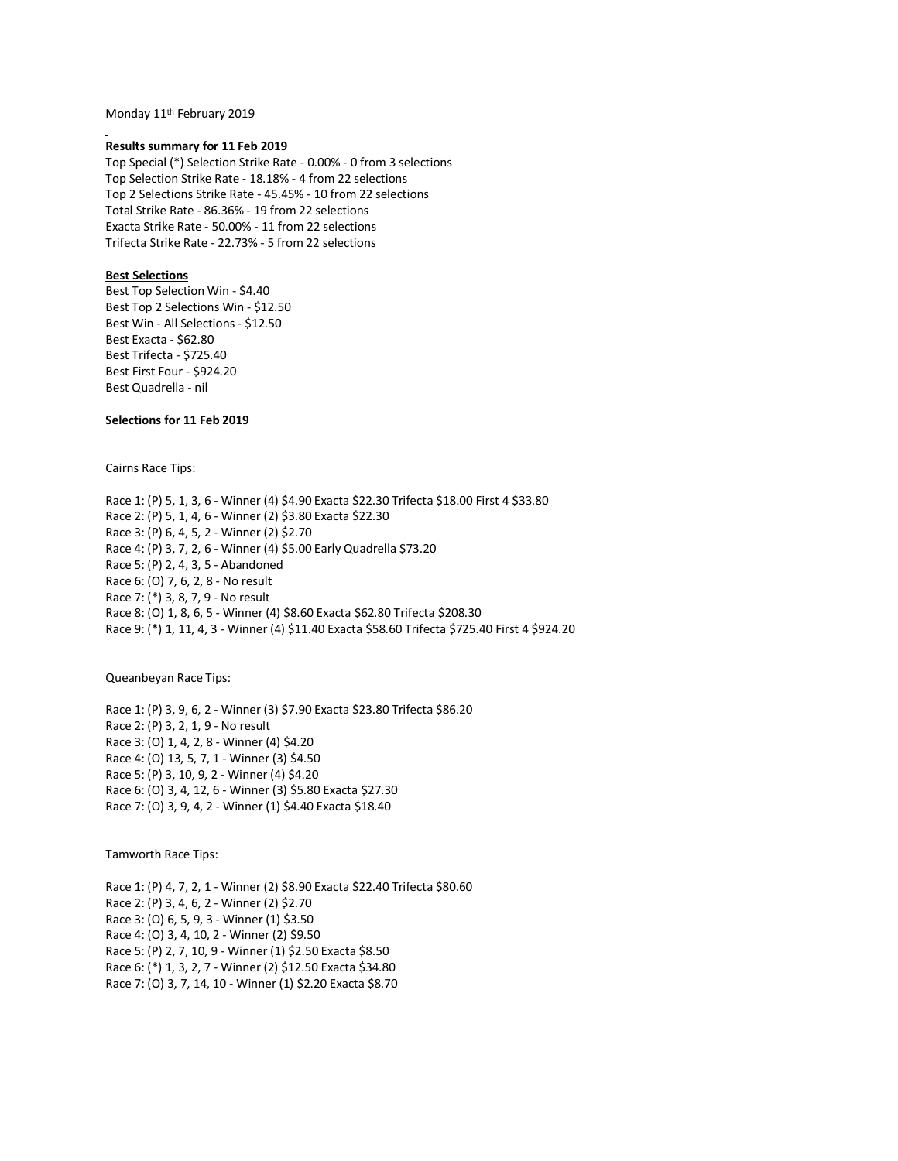Monday 11th February 2019

#### **Results summary for 11 Feb 2019**

Top Special (\*) Selection Strike Rate - 0.00% - 0 from 3 selections Top Selection Strike Rate - 18.18% - 4 from 22 selections Top 2 Selections Strike Rate - 45.45% - 10 from 22 selections Total Strike Rate - 86.36% - 19 from 22 selections Exacta Strike Rate - 50.00% - 11 from 22 selections Trifecta Strike Rate - 22.73% - 5 from 22 selections

### **Best Selections**

Best Top Selection Win - \$4.40 Best Top 2 Selections Win - \$12.50 Best Win - All Selections - \$12.50 Best Exacta - \$62.80 Best Trifecta - \$725.40 Best First Four - \$924.20 Best Quadrella - nil

## **Selections for 11 Feb 2019**

Cairns Race Tips:

Race 1: (P) 5, 1, 3, 6 - Winner (4) \$4.90 Exacta \$22.30 Trifecta \$18.00 First 4 \$33.80 Race 2: (P) 5, 1, 4, 6 - Winner (2) \$3.80 Exacta \$22.30 Race 3: (P) 6, 4, 5, 2 - Winner (2) \$2.70 Race 4: (P) 3, 7, 2, 6 - Winner (4) \$5.00 Early Quadrella \$73.20 Race 5: (P) 2, 4, 3, 5 - Abandoned Race 6: (O) 7, 6, 2, 8 - No result Race 7: (\*) 3, 8, 7, 9 - No result Race 8: (O) 1, 8, 6, 5 - Winner (4) \$8.60 Exacta \$62.80 Trifecta \$208.30 Race 9: (\*) 1, 11, 4, 3 - Winner (4) \$11.40 Exacta \$58.60 Trifecta \$725.40 First 4 \$924.20

Queanbeyan Race Tips:

Race 1: (P) 3, 9, 6, 2 - Winner (3) \$7.90 Exacta \$23.80 Trifecta \$86.20 Race 2: (P) 3, 2, 1, 9 - No result Race 3: (O) 1, 4, 2, 8 - Winner (4) \$4.20 Race 4: (O) 13, 5, 7, 1 - Winner (3) \$4.50 Race 5: (P) 3, 10, 9, 2 - Winner (4) \$4.20 Race 6: (O) 3, 4, 12, 6 - Winner (3) \$5.80 Exacta \$27.30 Race 7: (O) 3, 9, 4, 2 - Winner (1) \$4.40 Exacta \$18.40

Tamworth Race Tips:

Race 1: (P) 4, 7, 2, 1 - Winner (2) \$8.90 Exacta \$22.40 Trifecta \$80.60 Race 2: (P) 3, 4, 6, 2 - Winner (2) \$2.70 Race 3: (O) 6, 5, 9, 3 - Winner (1) \$3.50 Race 4: (O) 3, 4, 10, 2 - Winner (2) \$9.50 Race 5: (P) 2, 7, 10, 9 - Winner (1) \$2.50 Exacta \$8.50 Race 6: (\*) 1, 3, 2, 7 - Winner (2) \$12.50 Exacta \$34.80 Race 7: (O) 3, 7, 14, 10 - Winner (1) \$2.20 Exacta \$8.70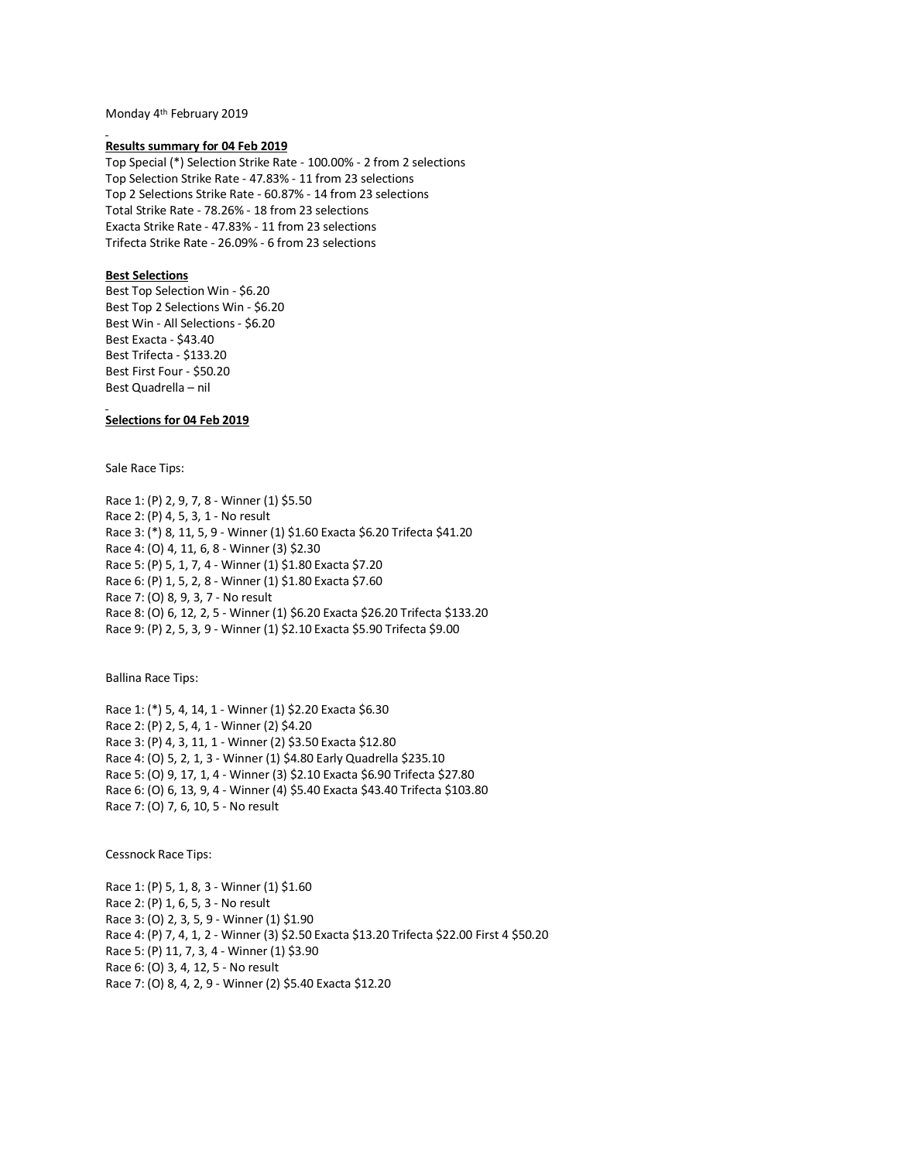Monday 4th February 2019

#### **Results summary for 04 Feb 2019**

Top Special (\*) Selection Strike Rate - 100.00% - 2 from 2 selections Top Selection Strike Rate - 47.83% - 11 from 23 selections Top 2 Selections Strike Rate - 60.87% - 14 from 23 selections Total Strike Rate - 78.26% - 18 from 23 selections Exacta Strike Rate - 47.83% - 11 from 23 selections Trifecta Strike Rate - 26.09% - 6 from 23 selections

## **Best Selections**

Best Top Selection Win - \$6.20 Best Top 2 Selections Win - \$6.20 Best Win - All Selections - \$6.20 Best Exacta - \$43.40 Best Trifecta - \$133.20 Best First Four - \$50.20 Best Quadrella – nil

## **Selections for 04 Feb 2019**

Sale Race Tips:

Race 1: (P) 2, 9, 7, 8 - Winner (1) \$5.50 Race 2: (P) 4, 5, 3, 1 - No result Race 3: (\*) 8, 11, 5, 9 - Winner (1) \$1.60 Exacta \$6.20 Trifecta \$41.20 Race 4: (O) 4, 11, 6, 8 - Winner (3) \$2.30 Race 5: (P) 5, 1, 7, 4 - Winner (1) \$1.80 Exacta \$7.20 Race 6: (P) 1, 5, 2, 8 - Winner (1) \$1.80 Exacta \$7.60 Race 7: (O) 8, 9, 3, 7 - No result Race 8: (O) 6, 12, 2, 5 - Winner (1) \$6.20 Exacta \$26.20 Trifecta \$133.20 Race 9: (P) 2, 5, 3, 9 - Winner (1) \$2.10 Exacta \$5.90 Trifecta \$9.00

Ballina Race Tips:

Race 1: (\*) 5, 4, 14, 1 - Winner (1) \$2.20 Exacta \$6.30 Race 2: (P) 2, 5, 4, 1 - Winner (2) \$4.20 Race 3: (P) 4, 3, 11, 1 - Winner (2) \$3.50 Exacta \$12.80 Race 4: (O) 5, 2, 1, 3 - Winner (1) \$4.80 Early Quadrella \$235.10 Race 5: (O) 9, 17, 1, 4 - Winner (3) \$2.10 Exacta \$6.90 Trifecta \$27.80 Race 6: (O) 6, 13, 9, 4 - Winner (4) \$5.40 Exacta \$43.40 Trifecta \$103.80 Race 7: (O) 7, 6, 10, 5 - No result

Cessnock Race Tips:

Race 1: (P) 5, 1, 8, 3 - Winner (1) \$1.60 Race 2: (P) 1, 6, 5, 3 - No result Race 3: (O) 2, 3, 5, 9 - Winner (1) \$1.90 Race 4: (P) 7, 4, 1, 2 - Winner (3) \$2.50 Exacta \$13.20 Trifecta \$22.00 First 4 \$50.20 Race 5: (P) 11, 7, 3, 4 - Winner (1) \$3.90 Race 6: (O) 3, 4, 12, 5 - No result Race 7: (O) 8, 4, 2, 9 - Winner (2) \$5.40 Exacta \$12.20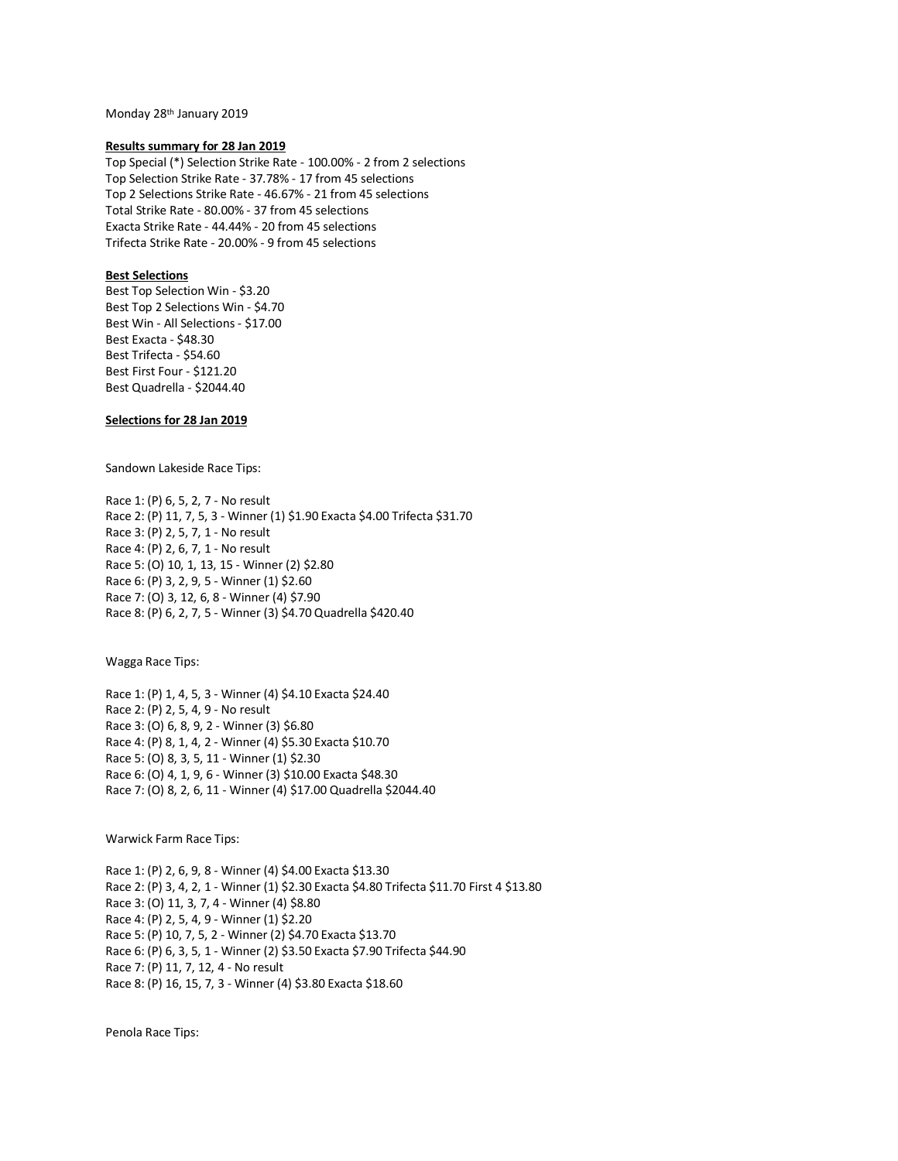Monday 28th January 2019

### **Results summary for 28 Jan 2019**

Top Special (\*) Selection Strike Rate - 100.00% - 2 from 2 selections Top Selection Strike Rate - 37.78% - 17 from 45 selections Top 2 Selections Strike Rate - 46.67% - 21 from 45 selections Total Strike Rate - 80.00% - 37 from 45 selections Exacta Strike Rate - 44.44% - 20 from 45 selections Trifecta Strike Rate - 20.00% - 9 from 45 selections

## **Best Selections**

Best Top Selection Win - \$3.20 Best Top 2 Selections Win - \$4.70 Best Win - All Selections - \$17.00 Best Exacta - \$48.30 Best Trifecta - \$54.60 Best First Four - \$121.20 Best Quadrella - \$2044.40

## **Selections for 28 Jan 2019**

Sandown Lakeside Race Tips:

Race 1: (P) 6, 5, 2, 7 - No result Race 2: (P) 11, 7, 5, 3 - Winner (1) \$1.90 Exacta \$4.00 Trifecta \$31.70 Race 3: (P) 2, 5, 7, 1 - No result Race 4: (P) 2, 6, 7, 1 - No result Race 5: (O) 10, 1, 13, 15 - Winner (2) \$2.80 Race 6: (P) 3, 2, 9, 5 - Winner (1) \$2.60 Race 7: (O) 3, 12, 6, 8 - Winner (4) \$7.90 Race 8: (P) 6, 2, 7, 5 - Winner (3) \$4.70 Quadrella \$420.40

Wagga Race Tips:

Race 1: (P) 1, 4, 5, 3 - Winner (4) \$4.10 Exacta \$24.40 Race 2: (P) 2, 5, 4, 9 - No result Race 3: (O) 6, 8, 9, 2 - Winner (3) \$6.80 Race 4: (P) 8, 1, 4, 2 - Winner (4) \$5.30 Exacta \$10.70 Race 5: (O) 8, 3, 5, 11 - Winner (1) \$2.30 Race 6: (O) 4, 1, 9, 6 - Winner (3) \$10.00 Exacta \$48.30 Race 7: (O) 8, 2, 6, 11 - Winner (4) \$17.00 Quadrella \$2044.40

Warwick Farm Race Tips:

Race 1: (P) 2, 6, 9, 8 - Winner (4) \$4.00 Exacta \$13.30 Race 2: (P) 3, 4, 2, 1 - Winner (1) \$2.30 Exacta \$4.80 Trifecta \$11.70 First 4 \$13.80 Race 3: (O) 11, 3, 7, 4 - Winner (4) \$8.80 Race 4: (P) 2, 5, 4, 9 - Winner (1) \$2.20 Race 5: (P) 10, 7, 5, 2 - Winner (2) \$4.70 Exacta \$13.70 Race 6: (P) 6, 3, 5, 1 - Winner (2) \$3.50 Exacta \$7.90 Trifecta \$44.90 Race 7: (P) 11, 7, 12, 4 - No result Race 8: (P) 16, 15, 7, 3 - Winner (4) \$3.80 Exacta \$18.60

Penola Race Tips: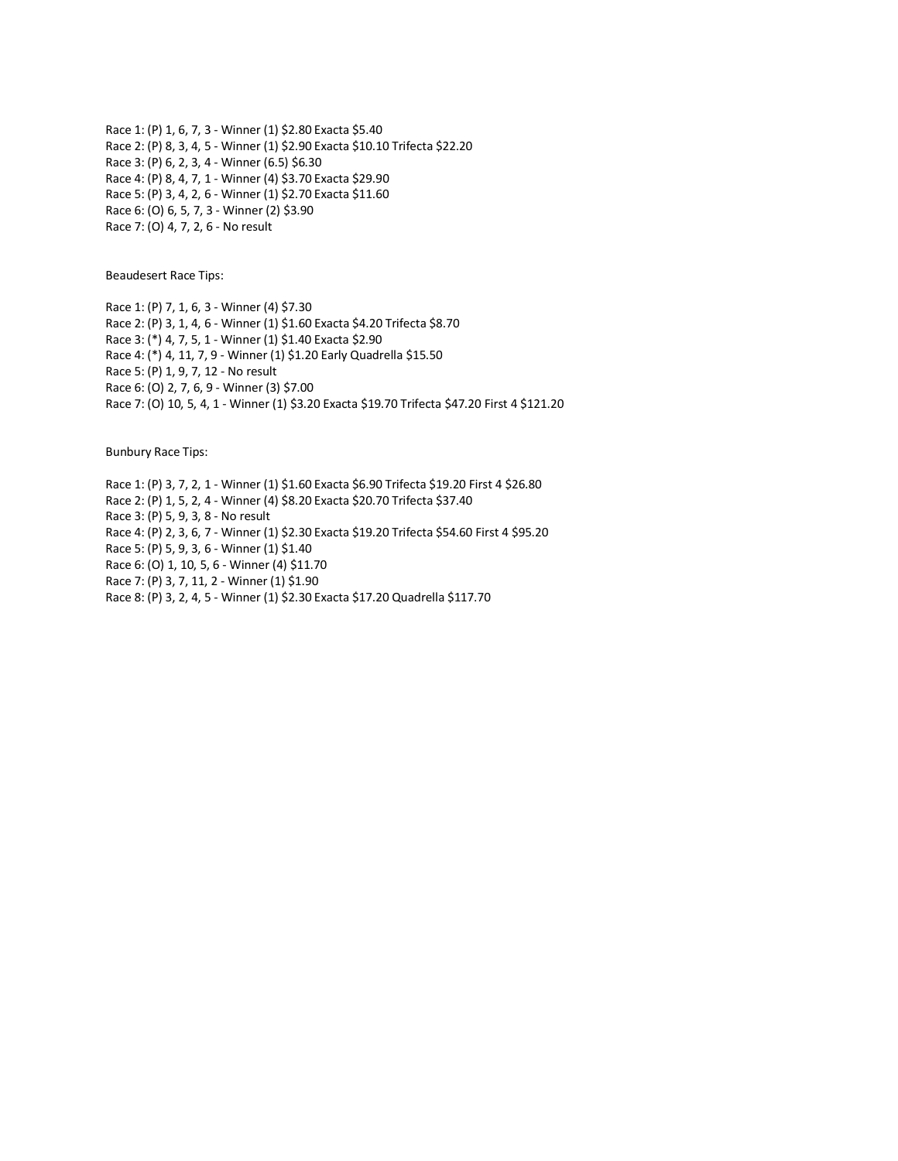Race 1: (P) 1, 6, 7, 3 - Winner (1) \$2.80 Exacta \$5.40 Race 2: (P) 8, 3, 4, 5 - Winner (1) \$2.90 Exacta \$10.10 Trifecta \$22.20 Race 3: (P) 6, 2, 3, 4 - Winner (6.5) \$6.30 Race 4: (P) 8, 4, 7, 1 - Winner (4) \$3.70 Exacta \$29.90 Race 5: (P) 3, 4, 2, 6 - Winner (1) \$2.70 Exacta \$11.60 Race 6: (O) 6, 5, 7, 3 - Winner (2) \$3.90 Race 7: (O) 4, 7, 2, 6 - No result

Beaudesert Race Tips:

Race 1: (P) 7, 1, 6, 3 - Winner (4) \$7.30 Race 2: (P) 3, 1, 4, 6 - Winner (1) \$1.60 Exacta \$4.20 Trifecta \$8.70 Race 3: (\*) 4, 7, 5, 1 - Winner (1) \$1.40 Exacta \$2.90 Race 4: (\*) 4, 11, 7, 9 - Winner (1) \$1.20 Early Quadrella \$15.50 Race 5: (P) 1, 9, 7, 12 - No result Race 6: (O) 2, 7, 6, 9 - Winner (3) \$7.00 Race 7: (O) 10, 5, 4, 1 - Winner (1) \$3.20 Exacta \$19.70 Trifecta \$47.20 First 4 \$121.20

Bunbury Race Tips:

Race 1: (P) 3, 7, 2, 1 - Winner (1) \$1.60 Exacta \$6.90 Trifecta \$19.20 First 4 \$26.80 Race 2: (P) 1, 5, 2, 4 - Winner (4) \$8.20 Exacta \$20.70 Trifecta \$37.40 Race 3: (P) 5, 9, 3, 8 - No result Race 4: (P) 2, 3, 6, 7 - Winner (1) \$2.30 Exacta \$19.20 Trifecta \$54.60 First 4 \$95.20 Race 5: (P) 5, 9, 3, 6 - Winner (1) \$1.40 Race 6: (O) 1, 10, 5, 6 - Winner (4) \$11.70 Race 7: (P) 3, 7, 11, 2 - Winner (1) \$1.90 Race 8: (P) 3, 2, 4, 5 - Winner (1) \$2.30 Exacta \$17.20 Quadrella \$117.70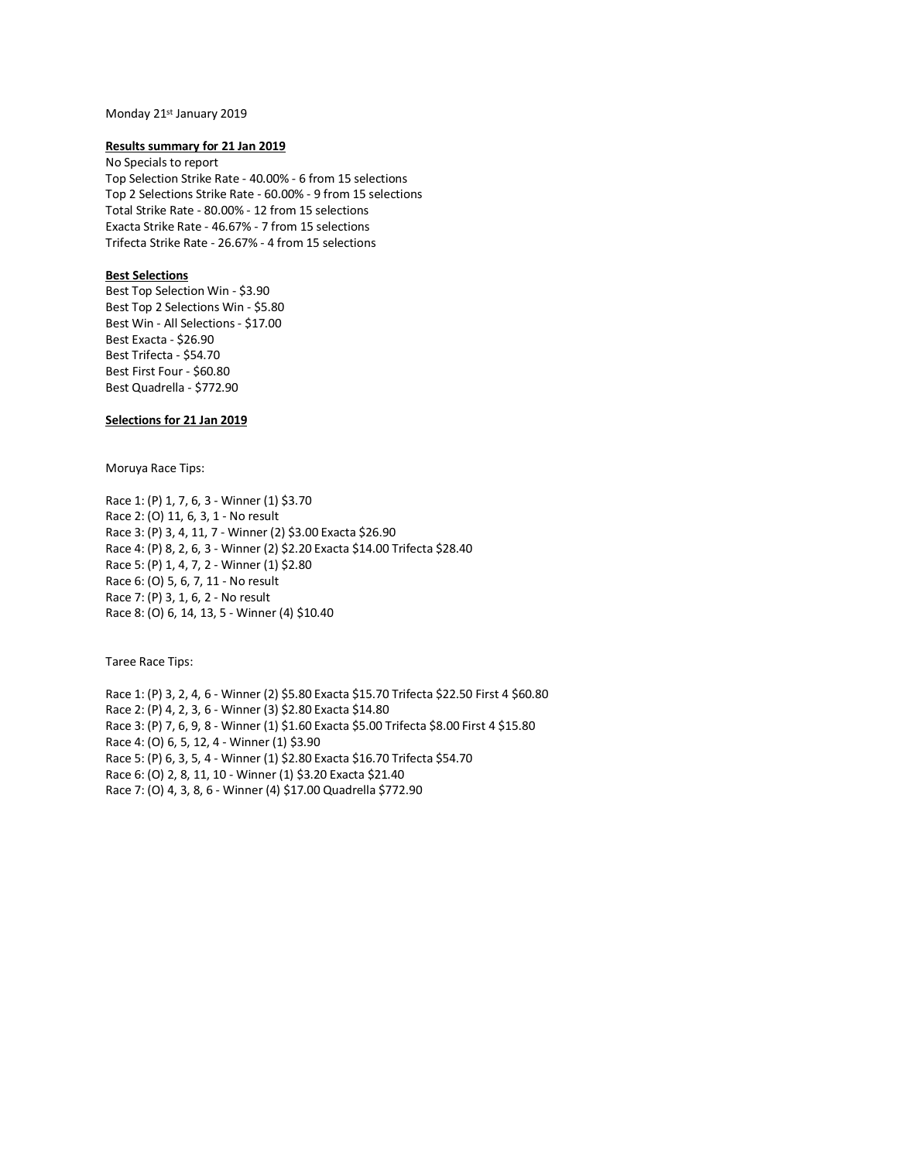## Monday 21st January 2019

### **Results summary for 21 Jan 2019**

No Specials to report Top Selection Strike Rate - 40.00% - 6 from 15 selections Top 2 Selections Strike Rate - 60.00% - 9 from 15 selections Total Strike Rate - 80.00% - 12 from 15 selections Exacta Strike Rate - 46.67% - 7 from 15 selections Trifecta Strike Rate - 26.67% - 4 from 15 selections

## **Best Selections**

Best Top Selection Win - \$3.90 Best Top 2 Selections Win - \$5.80 Best Win - All Selections - \$17.00 Best Exacta - \$26.90 Best Trifecta - \$54.70 Best First Four - \$60.80 Best Quadrella - \$772.90

## **Selections for 21 Jan 2019**

Moruya Race Tips:

Race 1: (P) 1, 7, 6, 3 - Winner (1) \$3.70 Race 2: (O) 11, 6, 3, 1 - No result Race 3: (P) 3, 4, 11, 7 - Winner (2) \$3.00 Exacta \$26.90 Race 4: (P) 8, 2, 6, 3 - Winner (2) \$2.20 Exacta \$14.00 Trifecta \$28.40 Race 5: (P) 1, 4, 7, 2 - Winner (1) \$2.80 Race 6: (O) 5, 6, 7, 11 - No result Race 7: (P) 3, 1, 6, 2 - No result Race 8: (O) 6, 14, 13, 5 - Winner (4) \$10.40

Taree Race Tips:

Race 1: (P) 3, 2, 4, 6 - Winner (2) \$5.80 Exacta \$15.70 Trifecta \$22.50 First 4 \$60.80 Race 2: (P) 4, 2, 3, 6 - Winner (3) \$2.80 Exacta \$14.80 Race 3: (P) 7, 6, 9, 8 - Winner (1) \$1.60 Exacta \$5.00 Trifecta \$8.00 First 4 \$15.80 Race 4: (O) 6, 5, 12, 4 - Winner (1) \$3.90 Race 5: (P) 6, 3, 5, 4 - Winner (1) \$2.80 Exacta \$16.70 Trifecta \$54.70 Race 6: (O) 2, 8, 11, 10 - Winner (1) \$3.20 Exacta \$21.40 Race 7: (O) 4, 3, 8, 6 - Winner (4) \$17.00 Quadrella \$772.90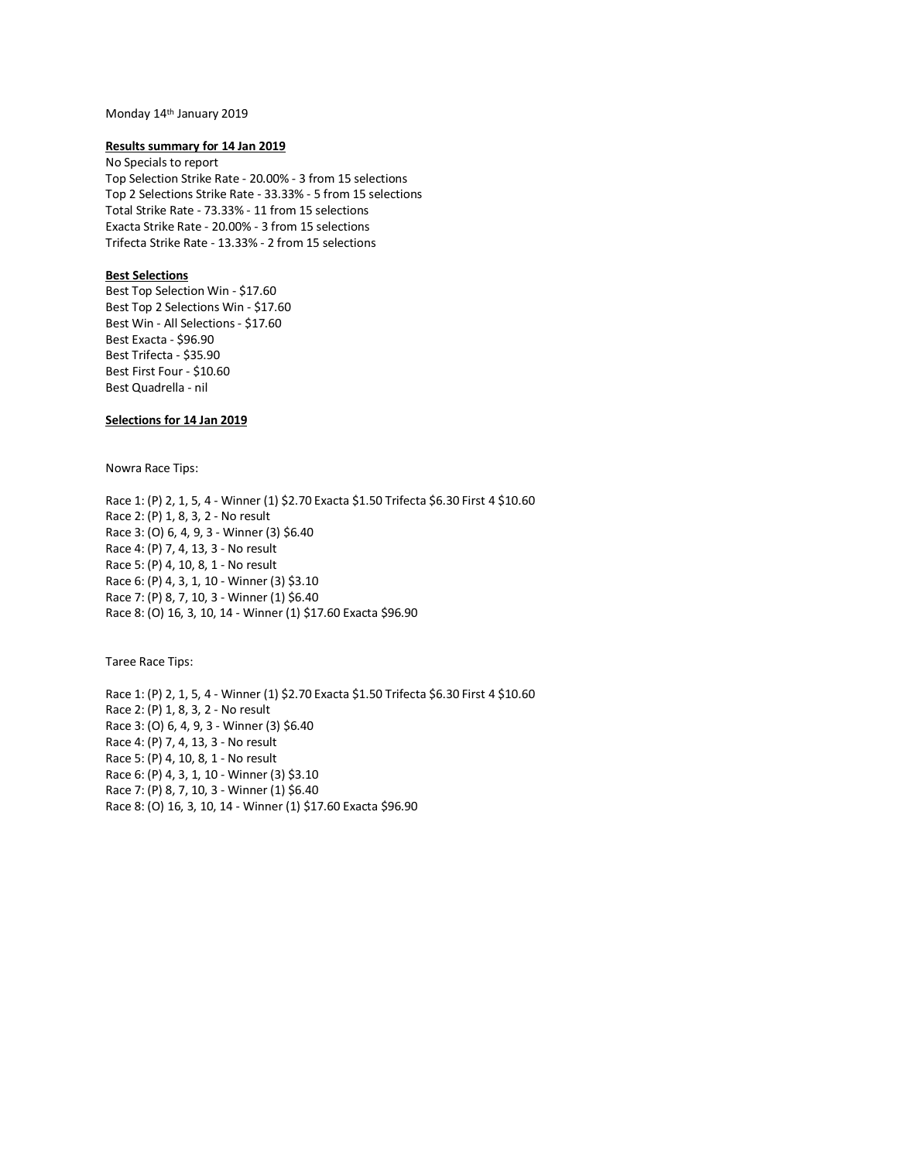# Monday 14th January 2019

### **Results summary for 14 Jan 2019**

No Specials to report Top Selection Strike Rate - 20.00% - 3 from 15 selections Top 2 Selections Strike Rate - 33.33% - 5 from 15 selections Total Strike Rate - 73.33% - 11 from 15 selections Exacta Strike Rate - 20.00% - 3 from 15 selections Trifecta Strike Rate - 13.33% - 2 from 15 selections

## **Best Selections**

Best Top Selection Win - \$17.60 Best Top 2 Selections Win - \$17.60 Best Win - All Selections - \$17.60 Best Exacta - \$96.90 Best Trifecta - \$35.90 Best First Four - \$10.60 Best Quadrella - nil

## **Selections for 14 Jan 2019**

Nowra Race Tips:

Race 1: (P) 2, 1, 5, 4 - Winner (1) \$2.70 Exacta \$1.50 Trifecta \$6.30 First 4 \$10.60 Race 2: (P) 1, 8, 3, 2 - No result Race 3: (O) 6, 4, 9, 3 - Winner (3) \$6.40 Race 4: (P) 7, 4, 13, 3 - No result Race 5: (P) 4, 10, 8, 1 - No result Race 6: (P) 4, 3, 1, 10 - Winner (3) \$3.10 Race 7: (P) 8, 7, 10, 3 - Winner (1) \$6.40 Race 8: (O) 16, 3, 10, 14 - Winner (1) \$17.60 Exacta \$96.90

Taree Race Tips:

Race 1: (P) 2, 1, 5, 4 - Winner (1) \$2.70 Exacta \$1.50 Trifecta \$6.30 First 4 \$10.60 Race 2: (P) 1, 8, 3, 2 - No result Race 3: (O) 6, 4, 9, 3 - Winner (3) \$6.40 Race 4: (P) 7, 4, 13, 3 - No result Race 5: (P) 4, 10, 8, 1 - No result Race 6: (P) 4, 3, 1, 10 - Winner (3) \$3.10 Race 7: (P) 8, 7, 10, 3 - Winner (1) \$6.40 Race 8: (O) 16, 3, 10, 14 - Winner (1) \$17.60 Exacta \$96.90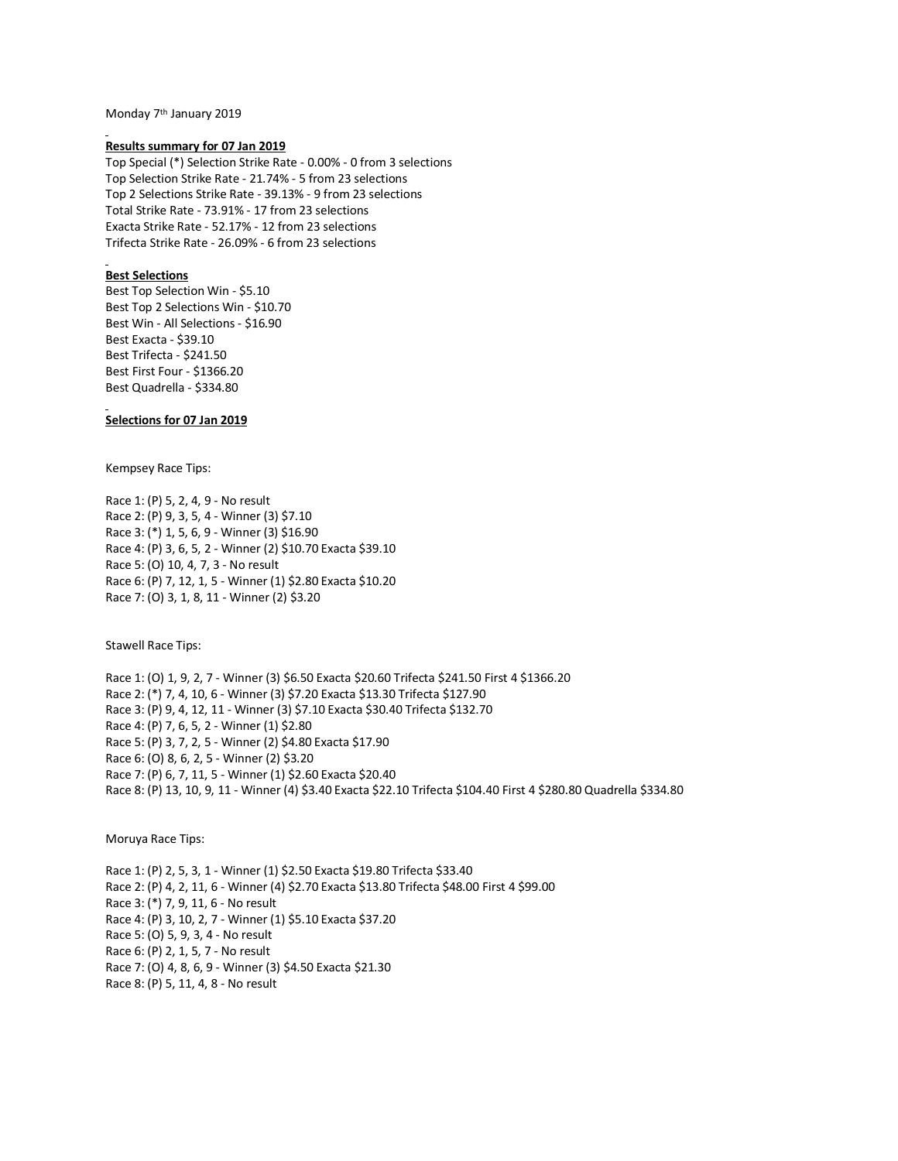Monday 7th January 2019

#### **Results summary for 07 Jan 2019**

Top Special (\*) Selection Strike Rate - 0.00% - 0 from 3 selections Top Selection Strike Rate - 21.74% - 5 from 23 selections Top 2 Selections Strike Rate - 39.13% - 9 from 23 selections Total Strike Rate - 73.91% - 17 from 23 selections Exacta Strike Rate - 52.17% - 12 from 23 selections Trifecta Strike Rate - 26.09% - 6 from 23 selections

## **Best Selections**

Best Top Selection Win - \$5.10 Best Top 2 Selections Win - \$10.70 Best Win - All Selections - \$16.90 Best Exacta - \$39.10 Best Trifecta - \$241.50 Best First Four - \$1366.20 Best Quadrella - \$334.80

### **Selections for 07 Jan 2019**

Kempsey Race Tips:

Race 1: (P) 5, 2, 4, 9 - No result Race 2: (P) 9, 3, 5, 4 - Winner (3) \$7.10 Race 3: (\*) 1, 5, 6, 9 - Winner (3) \$16.90 Race 4: (P) 3, 6, 5, 2 - Winner (2) \$10.70 Exacta \$39.10 Race 5: (O) 10, 4, 7, 3 - No result Race 6: (P) 7, 12, 1, 5 - Winner (1) \$2.80 Exacta \$10.20 Race 7: (O) 3, 1, 8, 11 - Winner (2) \$3.20

Stawell Race Tips:

Race 1: (O) 1, 9, 2, 7 - Winner (3) \$6.50 Exacta \$20.60 Trifecta \$241.50 First 4 \$1366.20 Race 2: (\*) 7, 4, 10, 6 - Winner (3) \$7.20 Exacta \$13.30 Trifecta \$127.90 Race 3: (P) 9, 4, 12, 11 - Winner (3) \$7.10 Exacta \$30.40 Trifecta \$132.70 Race 4: (P) 7, 6, 5, 2 - Winner (1) \$2.80 Race 5: (P) 3, 7, 2, 5 - Winner (2) \$4.80 Exacta \$17.90 Race 6: (O) 8, 6, 2, 5 - Winner (2) \$3.20 Race 7: (P) 6, 7, 11, 5 - Winner (1) \$2.60 Exacta \$20.40 Race 8: (P) 13, 10, 9, 11 - Winner (4) \$3.40 Exacta \$22.10 Trifecta \$104.40 First 4 \$280.80 Quadrella \$334.80

## Moruya Race Tips:

Race 1: (P) 2, 5, 3, 1 - Winner (1) \$2.50 Exacta \$19.80 Trifecta \$33.40 Race 2: (P) 4, 2, 11, 6 - Winner (4) \$2.70 Exacta \$13.80 Trifecta \$48.00 First 4 \$99.00 Race 3: (\*) 7, 9, 11, 6 - No result Race 4: (P) 3, 10, 2, 7 - Winner (1) \$5.10 Exacta \$37.20 Race 5: (O) 5, 9, 3, 4 - No result Race 6: (P) 2, 1, 5, 7 - No result Race 7: (O) 4, 8, 6, 9 - Winner (3) \$4.50 Exacta \$21.30 Race 8: (P) 5, 11, 4, 8 - No result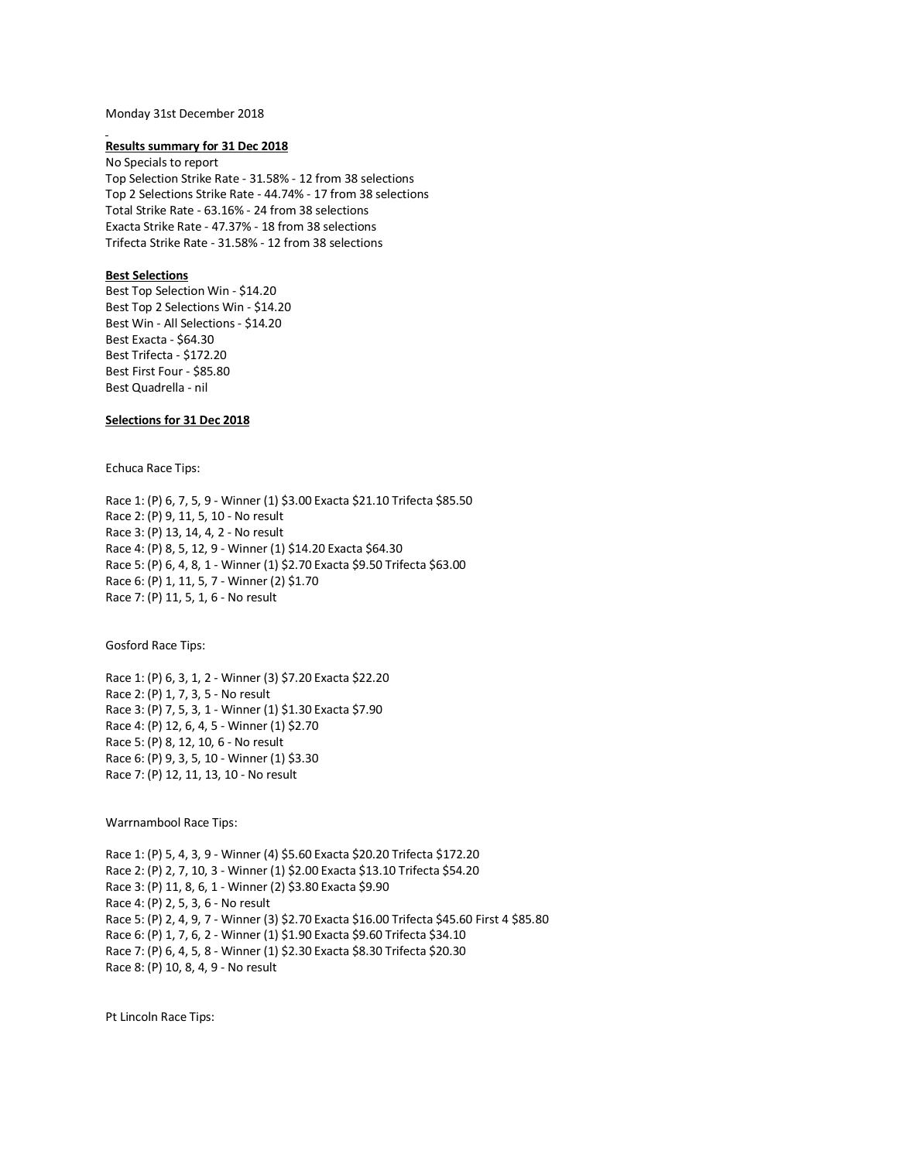### Monday 31st December 2018

#### **Results summary for 31 Dec 2018**

No Specials to report Top Selection Strike Rate - 31.58% - 12 from 38 selections Top 2 Selections Strike Rate - 44.74% - 17 from 38 selections Total Strike Rate - 63.16% - 24 from 38 selections Exacta Strike Rate - 47.37% - 18 from 38 selections Trifecta Strike Rate - 31.58% - 12 from 38 selections

## **Best Selections**

Best Top Selection Win - \$14.20 Best Top 2 Selections Win - \$14.20 Best Win - All Selections - \$14.20 Best Exacta - \$64.30 Best Trifecta - \$172.20 Best First Four - \$85.80 Best Quadrella - nil

## **Selections for 31 Dec 2018**

Echuca Race Tips:

Race 1: (P) 6, 7, 5, 9 - Winner (1) \$3.00 Exacta \$21.10 Trifecta \$85.50 Race 2: (P) 9, 11, 5, 10 - No result Race 3: (P) 13, 14, 4, 2 - No result Race 4: (P) 8, 5, 12, 9 - Winner (1) \$14.20 Exacta \$64.30 Race 5: (P) 6, 4, 8, 1 - Winner (1) \$2.70 Exacta \$9.50 Trifecta \$63.00 Race 6: (P) 1, 11, 5, 7 - Winner (2) \$1.70 Race 7: (P) 11, 5, 1, 6 - No result

Gosford Race Tips:

Race 1: (P) 6, 3, 1, 2 - Winner (3) \$7.20 Exacta \$22.20 Race 2: (P) 1, 7, 3, 5 - No result Race 3: (P) 7, 5, 3, 1 - Winner (1) \$1.30 Exacta \$7.90 Race 4: (P) 12, 6, 4, 5 - Winner (1) \$2.70 Race 5: (P) 8, 12, 10, 6 - No result Race 6: (P) 9, 3, 5, 10 - Winner (1) \$3.30 Race 7: (P) 12, 11, 13, 10 - No result

Warrnambool Race Tips:

Race 1: (P) 5, 4, 3, 9 - Winner (4) \$5.60 Exacta \$20.20 Trifecta \$172.20 Race 2: (P) 2, 7, 10, 3 - Winner (1) \$2.00 Exacta \$13.10 Trifecta \$54.20 Race 3: (P) 11, 8, 6, 1 - Winner (2) \$3.80 Exacta \$9.90 Race 4: (P) 2, 5, 3, 6 - No result Race 5: (P) 2, 4, 9, 7 - Winner (3) \$2.70 Exacta \$16.00 Trifecta \$45.60 First 4 \$85.80 Race 6: (P) 1, 7, 6, 2 - Winner (1) \$1.90 Exacta \$9.60 Trifecta \$34.10 Race 7: (P) 6, 4, 5, 8 - Winner (1) \$2.30 Exacta \$8.30 Trifecta \$20.30 Race 8: (P) 10, 8, 4, 9 - No result

Pt Lincoln Race Tips: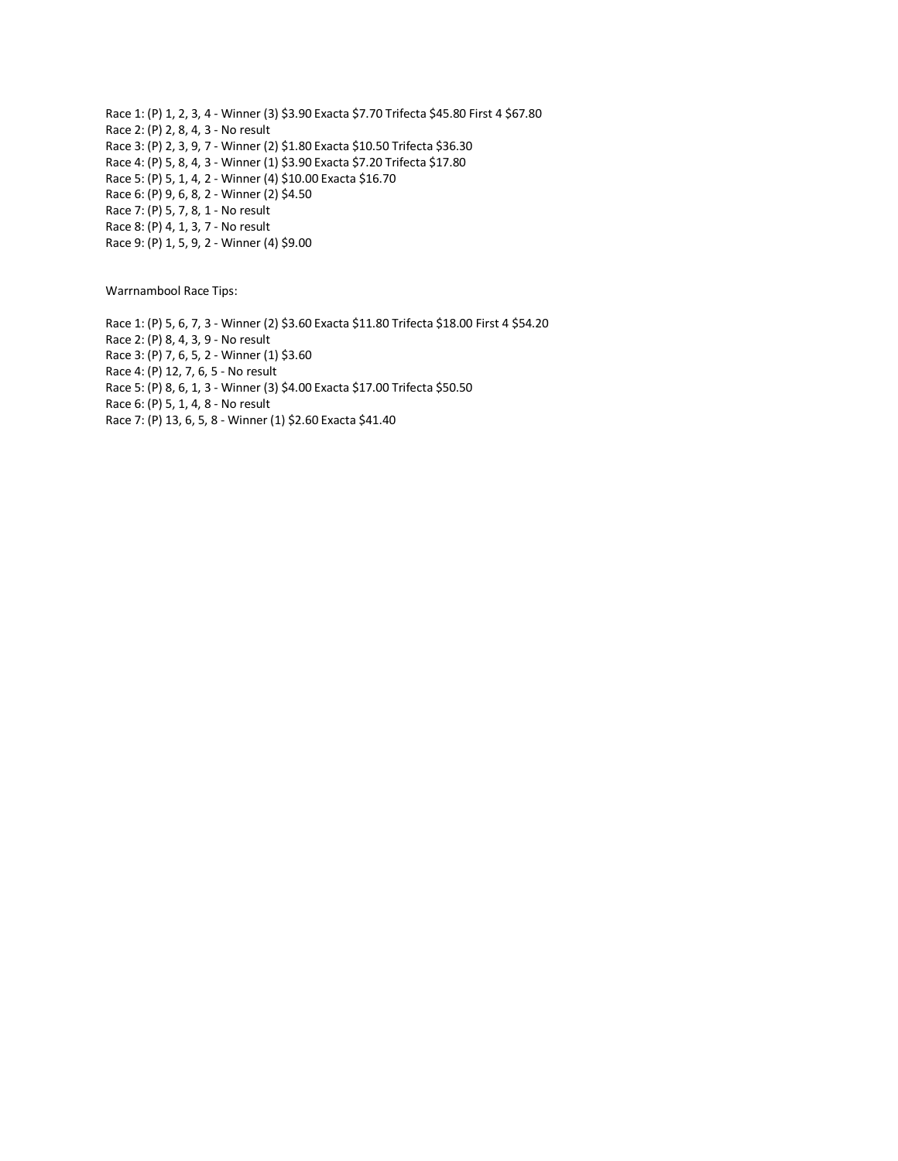Race 1: (P) 1, 2, 3, 4 - Winner (3) \$3.90 Exacta \$7.70 Trifecta \$45.80 First 4 \$67.80 Race 2: (P) 2, 8, 4, 3 - No result Race 3: (P) 2, 3, 9, 7 - Winner (2) \$1.80 Exacta \$10.50 Trifecta \$36.30 Race 4: (P) 5, 8, 4, 3 - Winner (1) \$3.90 Exacta \$7.20 Trifecta \$17.80 Race 5: (P) 5, 1, 4, 2 - Winner (4) \$10.00 Exacta \$16.70 Race 6: (P) 9, 6, 8, 2 - Winner (2) \$4.50 Race 7: (P) 5, 7, 8, 1 - No result Race 8: (P) 4, 1, 3, 7 - No result Race 9: (P) 1, 5, 9, 2 - Winner (4) \$9.00

Warrnambool Race Tips:

Race 1: (P) 5, 6, 7, 3 - Winner (2) \$3.60 Exacta \$11.80 Trifecta \$18.00 First 4 \$54.20 Race 2: (P) 8, 4, 3, 9 - No result Race 3: (P) 7, 6, 5, 2 - Winner (1) \$3.60 Race 4: (P) 12, 7, 6, 5 - No result Race 5: (P) 8, 6, 1, 3 - Winner (3) \$4.00 Exacta \$17.00 Trifecta \$50.50 Race 6: (P) 5, 1, 4, 8 - No result Race 7: (P) 13, 6, 5, 8 - Winner (1) \$2.60 Exacta \$41.40